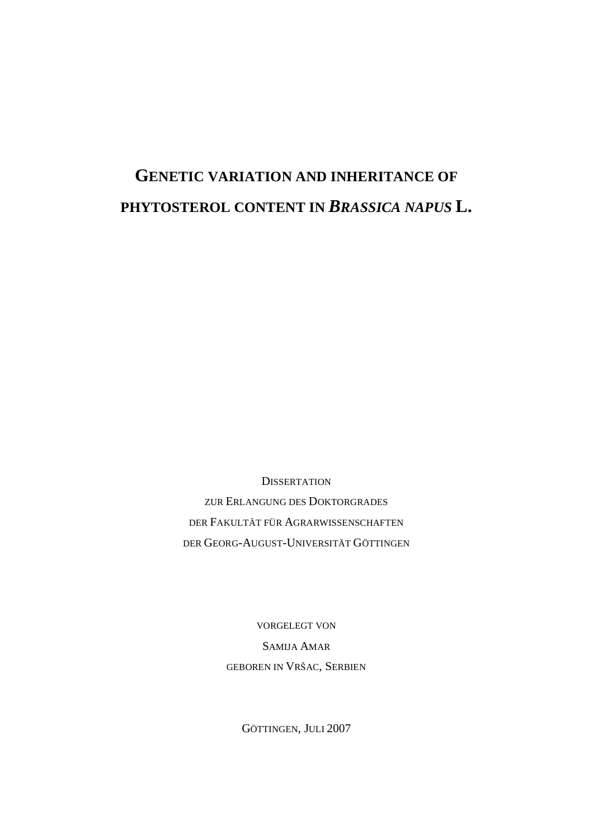# **GENETIC VARIATION AND INHERITANCE OF PHYTOSTEROL CONTENT IN** *BRASSICA NAPUS* **L.**

**DISSERTATION** ZUR ERLANGUNG DES DOKTORGRADES DER FAKULTÄT FÜR AGRARWISSENSCHAFTEN DER GEORG-AUGUST-UNIVERSITÄT GÖTTINGEN

> VORGELEGT VON SAMIJA AMAR GEBOREN IN VRŠAC, SERBIEN

> > GÖTTINGEN, JULI 2007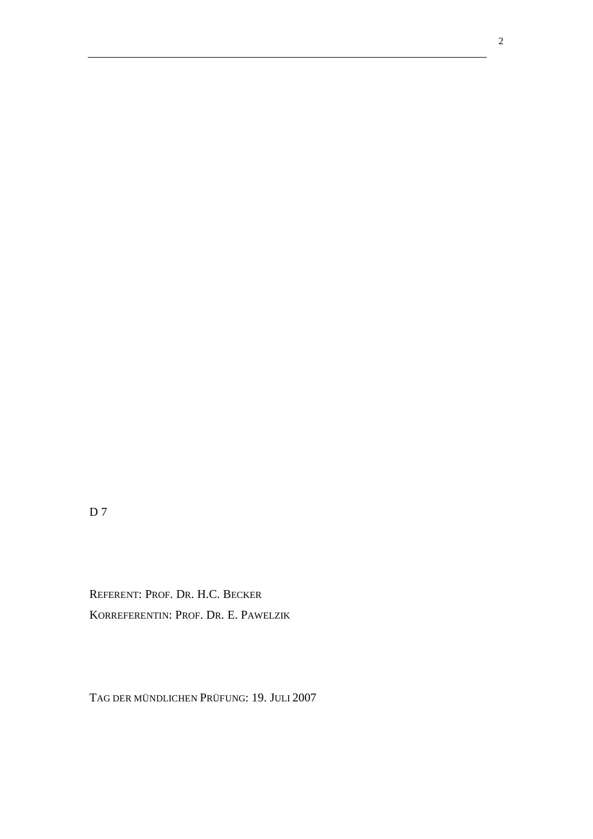$D<sub>7</sub>$ 

REFERENT: PROF. DR. H.C. BECKER KORREFERENTIN: PROF. DR. E. PAWELZIK

TAG DER MÜNDLICHEN PRÜFUNG: 19. JULI 2007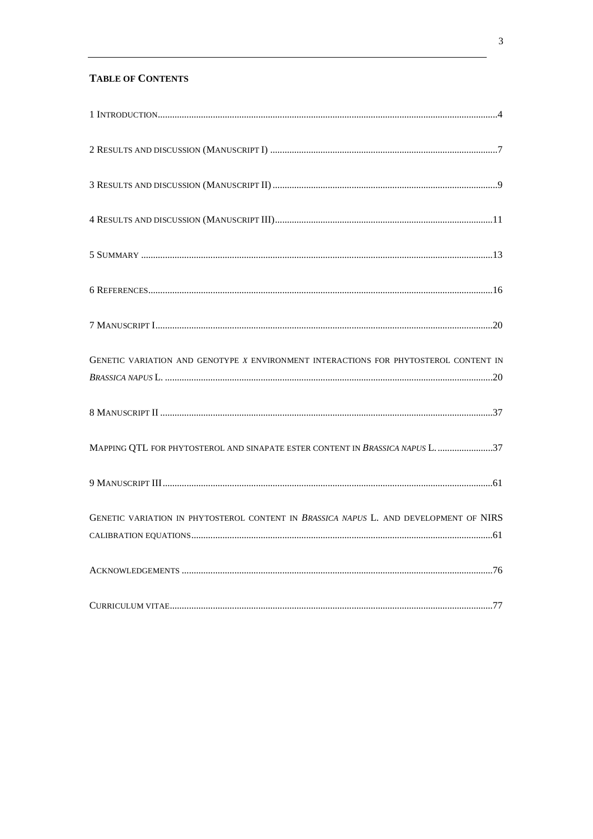# **TABLE OF CONTENTS**

| GENETIC VARIATION AND GENOTYPE X ENVIRONMENT INTERACTIONS FOR PHYTOSTEROL CONTENT IN  |  |
|---------------------------------------------------------------------------------------|--|
|                                                                                       |  |
| MAPPING QTL FOR PHYTOSTEROL AND SINAPATE ESTER CONTENT IN BRASSICA NAPUS L. 37        |  |
|                                                                                       |  |
| GENETIC VARIATION IN PHYTOSTEROL CONTENT IN BRASSICA NAPUS L. AND DEVELOPMENT OF NIRS |  |
|                                                                                       |  |
|                                                                                       |  |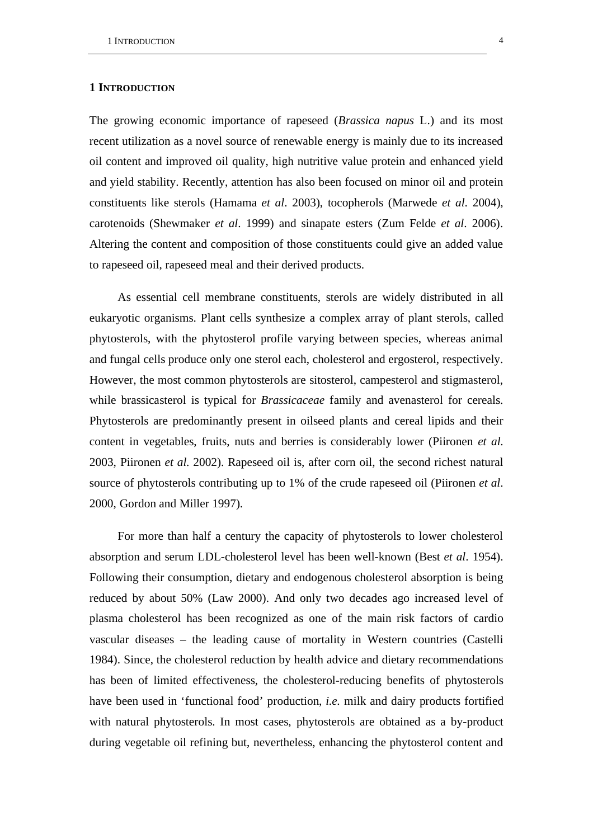#### **1 INTRODUCTION**

The growing economic importance of rapeseed (*Brassica napus* L.) and its most recent utilization as a novel source of renewable energy is mainly due to its increased oil content and improved oil quality, high nutritive value protein and enhanced yield and yield stability. Recently, attention has also been focused on minor oil and protein constituents like sterols (Hamama *et al*. 2003), tocopherols (Marwede *et al*. 2004), carotenoids (Shewmaker *et al*. 1999) and sinapate esters (Zum Felde *et al*. 2006). Altering the content and composition of those constituents could give an added value to rapeseed oil, rapeseed meal and their derived products.

As essential cell membrane constituents, sterols are widely distributed in all eukaryotic organisms. Plant cells synthesize a complex array of plant sterols, called phytosterols, with the phytosterol profile varying between species, whereas animal and fungal cells produce only one sterol each, cholesterol and ergosterol, respectively. However, the most common phytosterols are sitosterol, campesterol and stigmasterol, while brassicasterol is typical for *Brassicaceae* family and avenasterol for cereals. Phytosterols are predominantly present in oilseed plants and cereal lipids and their content in vegetables, fruits, nuts and berries is considerably lower (Piironen *et al*. 2003, Piironen *et al*. 2002). Rapeseed oil is, after corn oil, the second richest natural source of phytosterols contributing up to 1% of the crude rapeseed oil (Piironen *et al*. 2000, Gordon and Miller 1997).

For more than half a century the capacity of phytosterols to lower cholesterol absorption and serum LDL-cholesterol level has been well-known (Best *et al*. 1954). Following their consumption, dietary and endogenous cholesterol absorption is being reduced by about 50% (Law 2000). And only two decades ago increased level of plasma cholesterol has been recognized as one of the main risk factors of cardio vascular diseases – the leading cause of mortality in Western countries (Castelli 1984). Since, the cholesterol reduction by health advice and dietary recommendations has been of limited effectiveness, the cholesterol-reducing benefits of phytosterols have been used in 'functional food' production, *i.e.* milk and dairy products fortified with natural phytosterols. In most cases, phytosterols are obtained as a by-product during vegetable oil refining but, nevertheless, enhancing the phytosterol content and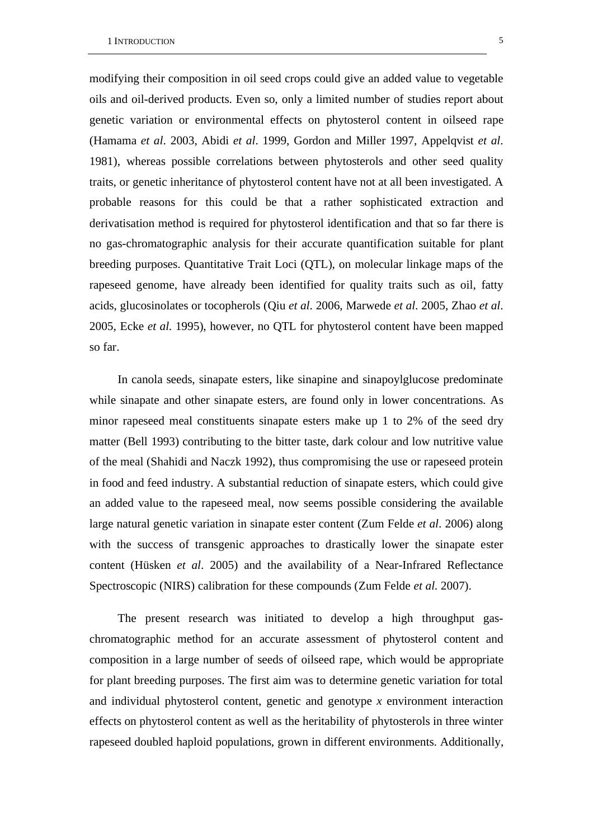modifying their composition in oil seed crops could give an added value to vegetable oils and oil-derived products. Even so, only a limited number of studies report about genetic variation or environmental effects on phytosterol content in oilseed rape (Hamama *et al*. 2003, Abidi *et al*. 1999, Gordon and Miller 1997, Appelqvist *et al*. 1981), whereas possible correlations between phytosterols and other seed quality traits, or genetic inheritance of phytosterol content have not at all been investigated. A probable reasons for this could be that a rather sophisticated extraction and derivatisation method is required for phytosterol identification and that so far there is no gas-chromatographic analysis for their accurate quantification suitable for plant breeding purposes. Quantitative Trait Loci (QTL), on molecular linkage maps of the rapeseed genome, have already been identified for quality traits such as oil, fatty acids, glucosinolates or tocopherols (Qiu *et al*. 2006, Marwede *et al*. 2005, Zhao *et al*. 2005, Ecke *et al*. 1995), however, no QTL for phytosterol content have been mapped so far.

In canola seeds, sinapate esters, like sinapine and sinapoylglucose predominate while sinapate and other sinapate esters, are found only in lower concentrations. As minor rapeseed meal constituents sinapate esters make up 1 to 2% of the seed dry matter (Bell 1993) contributing to the bitter taste, dark colour and low nutritive value of the meal (Shahidi and Naczk 1992), thus compromising the use or rapeseed protein in food and feed industry. A substantial reduction of sinapate esters, which could give an added value to the rapeseed meal, now seems possible considering the available large natural genetic variation in sinapate ester content (Zum Felde *et al*. 2006) along with the success of transgenic approaches to drastically lower the sinapate ester content (Hüsken *et al*. 2005) and the availability of a Near-Infrared Reflectance Spectroscopic (NIRS) calibration for these compounds (Zum Felde *et al*. 2007).

The present research was initiated to develop a high throughput gaschromatographic method for an accurate assessment of phytosterol content and composition in a large number of seeds of oilseed rape, which would be appropriate for plant breeding purposes. The first aim was to determine genetic variation for total and individual phytosterol content, genetic and genotype *x* environment interaction effects on phytosterol content as well as the heritability of phytosterols in three winter rapeseed doubled haploid populations, grown in different environments. Additionally,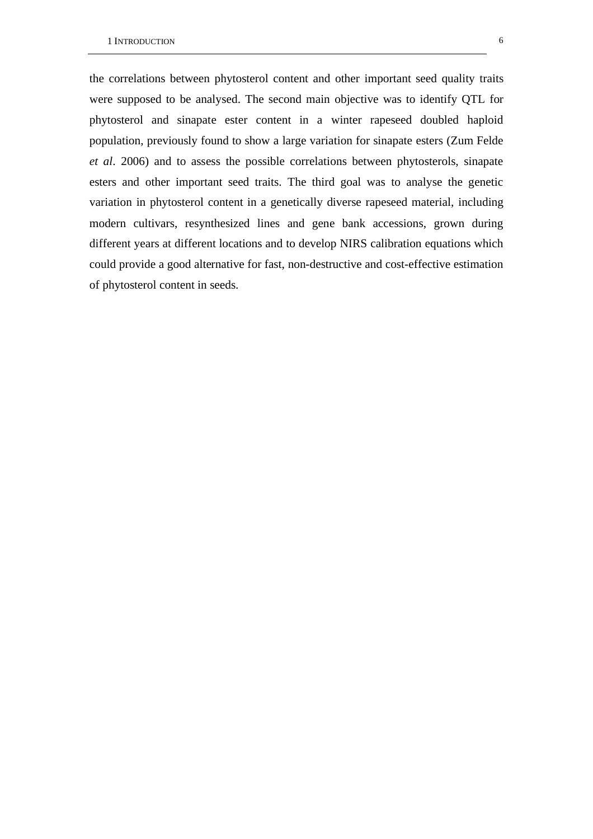the correlations between phytosterol content and other important seed quality traits were supposed to be analysed. The second main objective was to identify QTL for phytosterol and sinapate ester content in a winter rapeseed doubled haploid population, previously found to show a large variation for sinapate esters (Zum Felde *et al*. 2006) and to assess the possible correlations between phytosterols, sinapate esters and other important seed traits. The third goal was to analyse the genetic variation in phytosterol content in a genetically diverse rapeseed material, including modern cultivars, resynthesized lines and gene bank accessions, grown during different years at different locations and to develop NIRS calibration equations which could provide a good alternative for fast, non-destructive and cost-effective estimation of phytosterol content in seeds.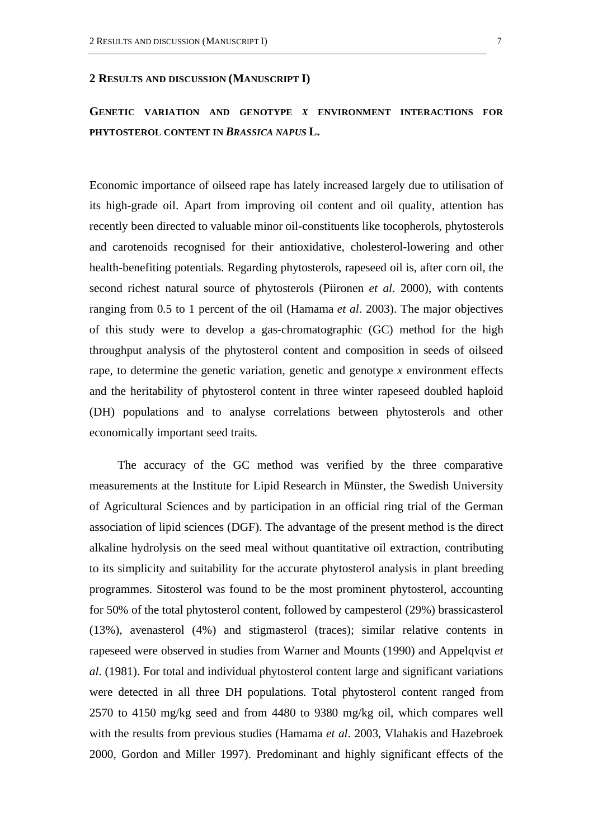#### **2 RESULTS AND DISCUSSION (MANUSCRIPT I)**

**GENETIC VARIATION AND GENOTYPE** *X* **ENVIRONMENT INTERACTIONS FOR PHYTOSTEROL CONTENT IN** *BRASSICA NAPUS* **L.** 

Economic importance of oilseed rape has lately increased largely due to utilisation of its high-grade oil. Apart from improving oil content and oil quality, attention has recently been directed to valuable minor oil-constituents like tocopherols, phytosterols and carotenoids recognised for their antioxidative, cholesterol-lowering and other health-benefiting potentials. Regarding phytosterols, rapeseed oil is, after corn oil, the second richest natural source of phytosterols (Piironen *et al*. 2000), with contents ranging from 0.5 to 1 percent of the oil (Hamama *et al*. 2003). The major objectives of this study were to develop a gas-chromatographic (GC) method for the high throughput analysis of the phytosterol content and composition in seeds of oilseed rape, to determine the genetic variation, genetic and genotype *x* environment effects and the heritability of phytosterol content in three winter rapeseed doubled haploid (DH) populations and to analyse correlations between phytosterols and other economically important seed traits.

The accuracy of the GC method was verified by the three comparative measurements at the Institute for Lipid Research in Münster, the Swedish University of Agricultural Sciences and by participation in an official ring trial of the German association of lipid sciences (DGF). The advantage of the present method is the direct alkaline hydrolysis on the seed meal without quantitative oil extraction, contributing to its simplicity and suitability for the accurate phytosterol analysis in plant breeding programmes. Sitosterol was found to be the most prominent phytosterol, accounting for 50% of the total phytosterol content, followed by campesterol (29%) brassicasterol (13%), avenasterol (4%) and stigmasterol (traces); similar relative contents in rapeseed were observed in studies from Warner and Mounts (1990) and Appelqvist *et al*. (1981). For total and individual phytosterol content large and significant variations were detected in all three DH populations. Total phytosterol content ranged from 2570 to 4150 mg/kg seed and from 4480 to 9380 mg/kg oil, which compares well with the results from previous studies (Hamama *et al*. 2003, Vlahakis and Hazebroek 2000, Gordon and Miller 1997). Predominant and highly significant effects of the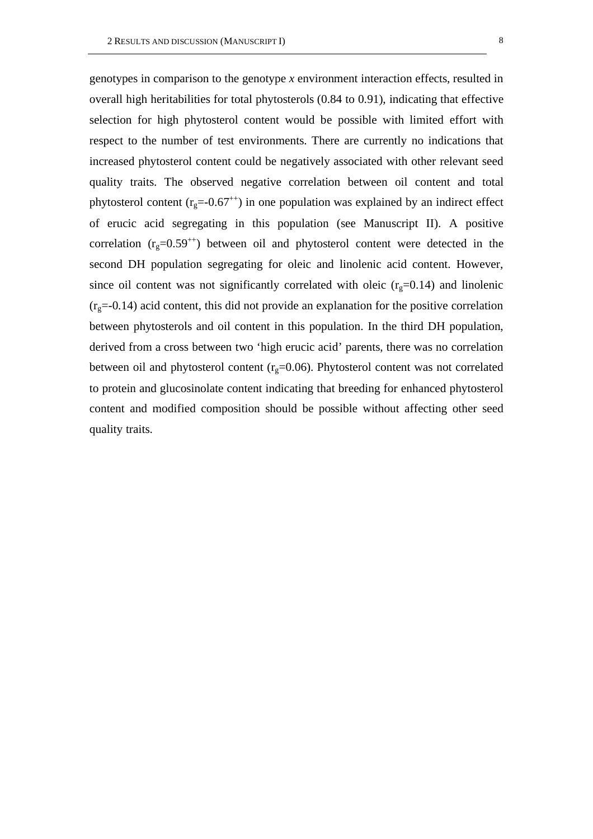genotypes in comparison to the genotype *x* environment interaction effects, resulted in overall high heritabilities for total phytosterols (0.84 to 0.91), indicating that effective selection for high phytosterol content would be possible with limited effort with respect to the number of test environments. There are currently no indications that increased phytosterol content could be negatively associated with other relevant seed quality traits. The observed negative correlation between oil content and total phytosterol content ( $r_g$ =-0.67<sup>++</sup>) in one population was explained by an indirect effect of erucic acid segregating in this population (see Manuscript II). A positive correlation  $(r<sub>g</sub>=0.59<sup>++</sup>)$  between oil and phytosterol content were detected in the second DH population segregating for oleic and linolenic acid content. However, since oil content was not significantly correlated with oleic  $(r<sub>g</sub>=0.14)$  and linolenic  $(r<sub>g</sub>=0.14)$  acid content, this did not provide an explanation for the positive correlation between phytosterols and oil content in this population. In the third DH population, derived from a cross between two 'high erucic acid' parents, there was no correlation between oil and phytosterol content  $(r<sub>g</sub>=0.06)$ . Phytosterol content was not correlated to protein and glucosinolate content indicating that breeding for enhanced phytosterol content and modified composition should be possible without affecting other seed quality traits.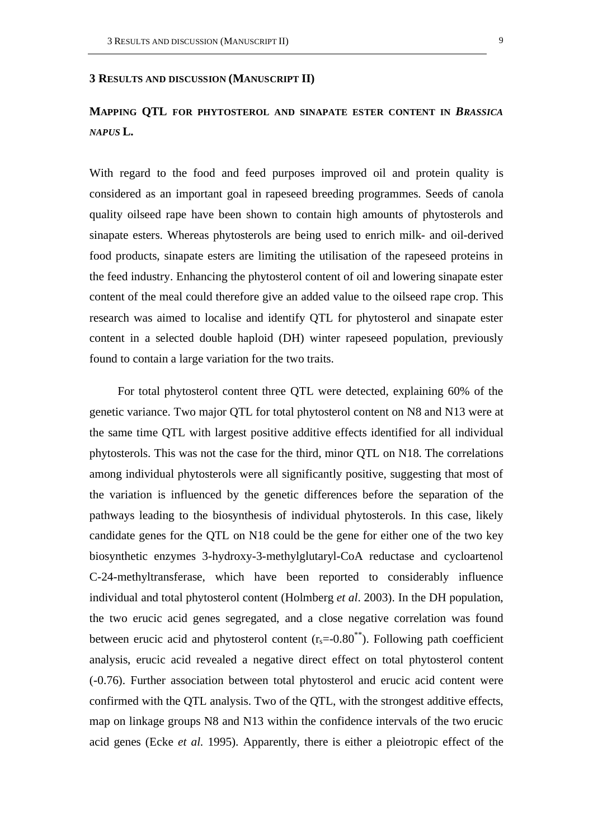#### **3 RESULTS AND DISCUSSION (MANUSCRIPT II)**

# **MAPPING QTL FOR PHYTOSTEROL AND SINAPATE ESTER CONTENT IN** *BRASSICA NAPUS* **L.**

With regard to the food and feed purposes improved oil and protein quality is considered as an important goal in rapeseed breeding programmes. Seeds of canola quality oilseed rape have been shown to contain high amounts of phytosterols and sinapate esters. Whereas phytosterols are being used to enrich milk- and oil-derived food products, sinapate esters are limiting the utilisation of the rapeseed proteins in the feed industry. Enhancing the phytosterol content of oil and lowering sinapate ester content of the meal could therefore give an added value to the oilseed rape crop. This research was aimed to localise and identify QTL for phytosterol and sinapate ester content in a selected double haploid (DH) winter rapeseed population, previously found to contain a large variation for the two traits.

For total phytosterol content three QTL were detected, explaining 60% of the genetic variance. Two major QTL for total phytosterol content on N8 and N13 were at the same time QTL with largest positive additive effects identified for all individual phytosterols. This was not the case for the third, minor QTL on N18. The correlations among individual phytosterols were all significantly positive, suggesting that most of the variation is influenced by the genetic differences before the separation of the pathways leading to the biosynthesis of individual phytosterols. In this case, likely candidate genes for the QTL on N18 could be the gene for either one of the two key biosynthetic enzymes 3-hydroxy-3-methylglutaryl-CoA reductase and cycloartenol C-24-methyltransferase, which have been reported to considerably influence individual and total phytosterol content (Holmberg *et al*. 2003). In the DH population, the two erucic acid genes segregated, and a close negative correlation was found between erucic acid and phytosterol content  $(r_s=0.80^{**})$ . Following path coefficient analysis, erucic acid revealed a negative direct effect on total phytosterol content (-0.76). Further association between total phytosterol and erucic acid content were confirmed with the QTL analysis. Two of the QTL, with the strongest additive effects, map on linkage groups N8 and N13 within the confidence intervals of the two erucic acid genes (Ecke *et al*. 1995). Apparently, there is either a pleiotropic effect of the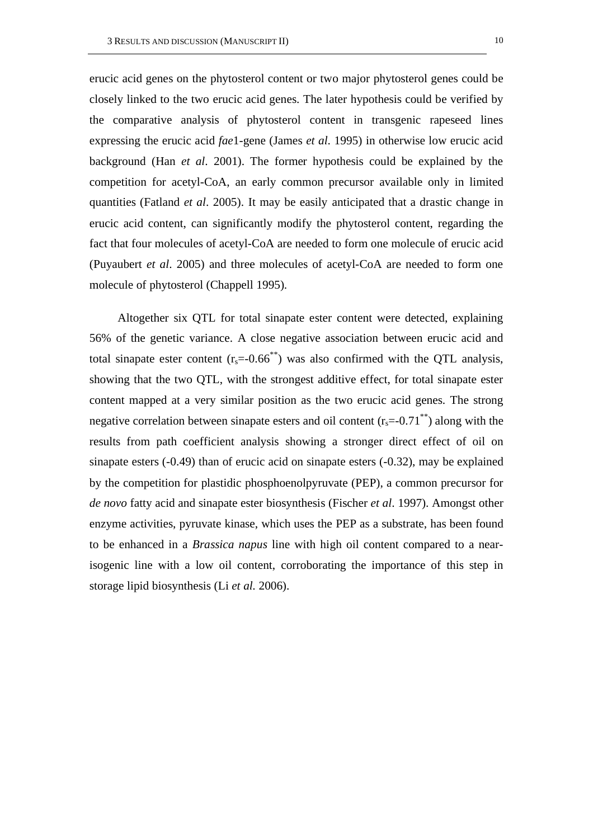erucic acid genes on the phytosterol content or two major phytosterol genes could be closely linked to the two erucic acid genes. The later hypothesis could be verified by the comparative analysis of phytosterol content in transgenic rapeseed lines expressing the erucic acid *fae*1-gene (James *et al*. 1995) in otherwise low erucic acid background (Han *et al*. 2001). The former hypothesis could be explained by the competition for acetyl-CoA, an early common precursor available only in limited quantities (Fatland *et al*. 2005). It may be easily anticipated that a drastic change in erucic acid content, can significantly modify the phytosterol content, regarding the fact that four molecules of acetyl-CoA are needed to form one molecule of erucic acid (Puyaubert *et al*. 2005) and three molecules of acetyl-CoA are needed to form one molecule of phytosterol (Chappell 1995).

Altogether six QTL for total sinapate ester content were detected, explaining 56% of the genetic variance. A close negative association between erucic acid and total sinapate ester content  $(r_s=0.66^{**})$  was also confirmed with the QTL analysis, showing that the two QTL, with the strongest additive effect, for total sinapate ester content mapped at a very similar position as the two erucic acid genes. The strong negative correlation between sinapate esters and oil content  $(r_s = 0.71^{**})$  along with the results from path coefficient analysis showing a stronger direct effect of oil on sinapate esters (-0.49) than of erucic acid on sinapate esters (-0.32), may be explained by the competition for plastidic phosphoenolpyruvate (PEP), a common precursor for *de novo* fatty acid and sinapate ester biosynthesis (Fischer *et al*. 1997). Amongst other enzyme activities, pyruvate kinase, which uses the PEP as a substrate, has been found to be enhanced in a *Brassica napus* line with high oil content compared to a nearisogenic line with a low oil content, corroborating the importance of this step in storage lipid biosynthesis (Li *et al*. 2006).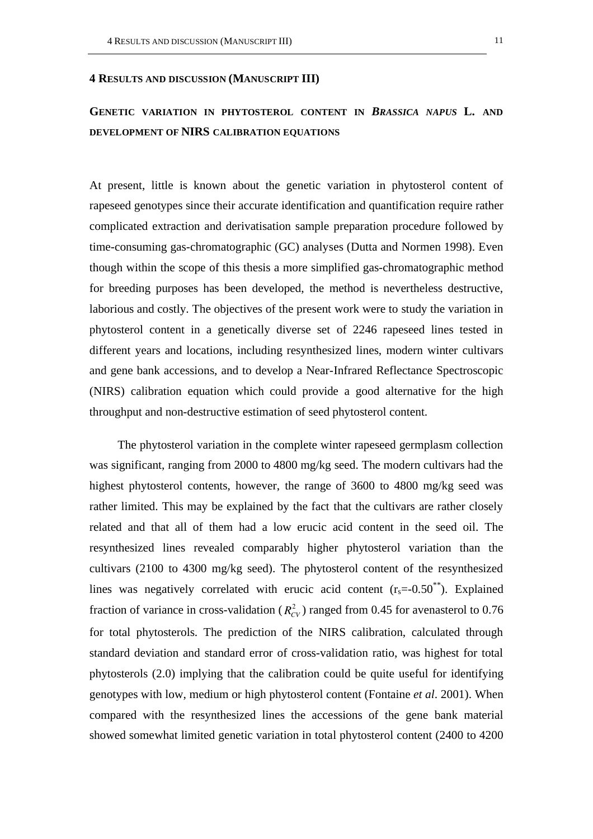#### **4 RESULTS AND DISCUSSION (MANUSCRIPT III)**

# **GENETIC VARIATION IN PHYTOSTEROL CONTENT IN** *BRASSICA NAPUS* **L. AND DEVELOPMENT OF NIRS CALIBRATION EQUATIONS**

At present, little is known about the genetic variation in phytosterol content of rapeseed genotypes since their accurate identification and quantification require rather complicated extraction and derivatisation sample preparation procedure followed by time-consuming gas-chromatographic (GC) analyses (Dutta and Normen 1998). Even though within the scope of this thesis a more simplified gas-chromatographic method for breeding purposes has been developed, the method is nevertheless destructive, laborious and costly. The objectives of the present work were to study the variation in phytosterol content in a genetically diverse set of 2246 rapeseed lines tested in different years and locations, including resynthesized lines, modern winter cultivars and gene bank accessions, and to develop a Near-Infrared Reflectance Spectroscopic (NIRS) calibration equation which could provide a good alternative for the high throughput and non-destructive estimation of seed phytosterol content.

The phytosterol variation in the complete winter rapeseed germplasm collection was significant, ranging from 2000 to 4800 mg/kg seed. The modern cultivars had the highest phytosterol contents, however, the range of 3600 to 4800 mg/kg seed was rather limited. This may be explained by the fact that the cultivars are rather closely related and that all of them had a low erucic acid content in the seed oil. The resynthesized lines revealed comparably higher phytosterol variation than the cultivars (2100 to 4300 mg/kg seed). The phytosterol content of the resynthesized lines was negatively correlated with erucic acid content  $(r_s=0.50^{**})$ . Explained fraction of variance in cross-validation  $(R_{CV}^2)$  ranged from 0.45 for avenasterol to 0.76 for total phytosterols. The prediction of the NIRS calibration, calculated through standard deviation and standard error of cross-validation ratio, was highest for total phytosterols (2.0) implying that the calibration could be quite useful for identifying genotypes with low, medium or high phytosterol content (Fontaine *et al*. 2001). When compared with the resynthesized lines the accessions of the gene bank material showed somewhat limited genetic variation in total phytosterol content (2400 to 4200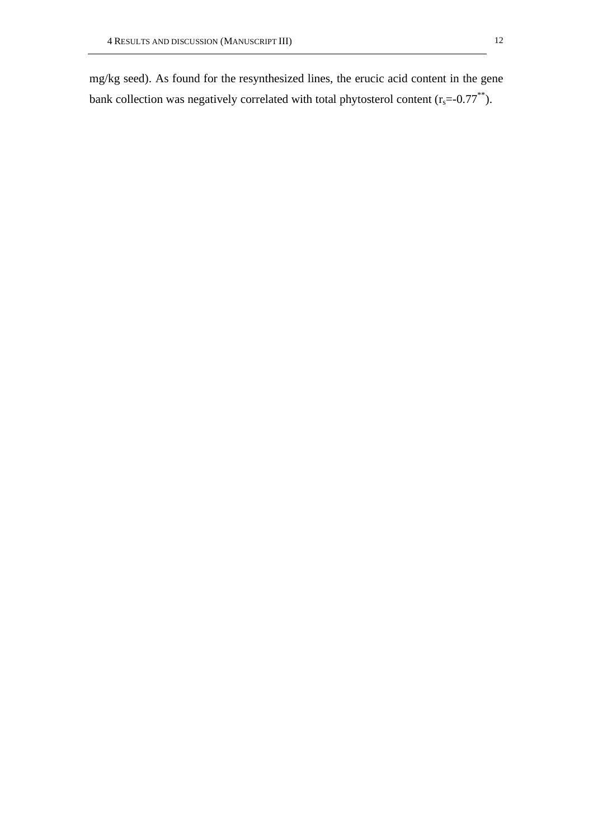mg/kg seed). As found for the resynthesized lines, the erucic acid content in the gene bank collection was negatively correlated with total phytosterol content  $(r_s=0.77^{**})$ .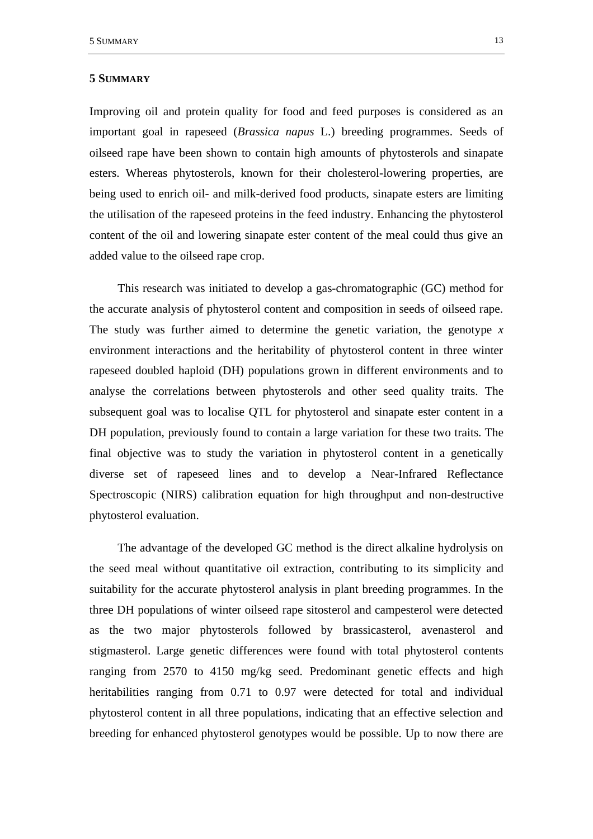#### **5 SUMMARY**

Improving oil and protein quality for food and feed purposes is considered as an important goal in rapeseed (*Brassica napus* L.) breeding programmes. Seeds of oilseed rape have been shown to contain high amounts of phytosterols and sinapate esters. Whereas phytosterols, known for their cholesterol-lowering properties, are being used to enrich oil- and milk-derived food products, sinapate esters are limiting the utilisation of the rapeseed proteins in the feed industry. Enhancing the phytosterol content of the oil and lowering sinapate ester content of the meal could thus give an added value to the oilseed rape crop.

This research was initiated to develop a gas-chromatographic (GC) method for the accurate analysis of phytosterol content and composition in seeds of oilseed rape. The study was further aimed to determine the genetic variation, the genotype *x* environment interactions and the heritability of phytosterol content in three winter rapeseed doubled haploid (DH) populations grown in different environments and to analyse the correlations between phytosterols and other seed quality traits. The subsequent goal was to localise QTL for phytosterol and sinapate ester content in a DH population, previously found to contain a large variation for these two traits. The final objective was to study the variation in phytosterol content in a genetically diverse set of rapeseed lines and to develop a Near-Infrared Reflectance Spectroscopic (NIRS) calibration equation for high throughput and non-destructive phytosterol evaluation.

The advantage of the developed GC method is the direct alkaline hydrolysis on the seed meal without quantitative oil extraction, contributing to its simplicity and suitability for the accurate phytosterol analysis in plant breeding programmes. In the three DH populations of winter oilseed rape sitosterol and campesterol were detected as the two major phytosterols followed by brassicasterol, avenasterol and stigmasterol. Large genetic differences were found with total phytosterol contents ranging from 2570 to 4150 mg/kg seed. Predominant genetic effects and high heritabilities ranging from 0.71 to 0.97 were detected for total and individual phytosterol content in all three populations, indicating that an effective selection and breeding for enhanced phytosterol genotypes would be possible. Up to now there are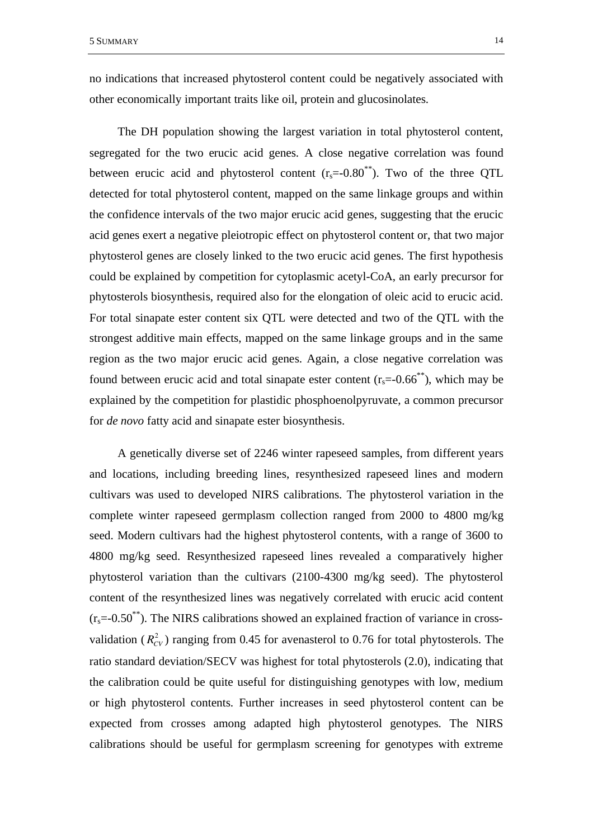no indications that increased phytosterol content could be negatively associated with other economically important traits like oil, protein and glucosinolates.

The DH population showing the largest variation in total phytosterol content, segregated for the two erucic acid genes. A close negative correlation was found between erucic acid and phytosterol content  $(r_s=0.80^{*})$ . Two of the three QTL detected for total phytosterol content, mapped on the same linkage groups and within the confidence intervals of the two major erucic acid genes, suggesting that the erucic acid genes exert a negative pleiotropic effect on phytosterol content or, that two major phytosterol genes are closely linked to the two erucic acid genes. The first hypothesis could be explained by competition for cytoplasmic acetyl-CoA, an early precursor for phytosterols biosynthesis, required also for the elongation of oleic acid to erucic acid. For total sinapate ester content six QTL were detected and two of the QTL with the strongest additive main effects, mapped on the same linkage groups and in the same region as the two major erucic acid genes. Again, a close negative correlation was found between erucic acid and total sinapate ester content  $(r_s=0.66^{**})$ , which may be explained by the competition for plastidic phosphoenolpyruvate, a common precursor for *de novo* fatty acid and sinapate ester biosynthesis.

A genetically diverse set of 2246 winter rapeseed samples, from different years and locations, including breeding lines, resynthesized rapeseed lines and modern cultivars was used to developed NIRS calibrations. The phytosterol variation in the complete winter rapeseed germplasm collection ranged from 2000 to 4800 mg/kg seed. Modern cultivars had the highest phytosterol contents, with a range of 3600 to 4800 mg/kg seed. Resynthesized rapeseed lines revealed a comparatively higher phytosterol variation than the cultivars (2100-4300 mg/kg seed). The phytosterol content of the resynthesized lines was negatively correlated with erucic acid content  $(r_s = -0.50^{**})$ . The NIRS calibrations showed an explained fraction of variance in crossvalidation ( $R_{CV}^2$ ) ranging from 0.45 for avenasterol to 0.76 for total phytosterols. The ratio standard deviation/SECV was highest for total phytosterols (2.0), indicating that the calibration could be quite useful for distinguishing genotypes with low, medium or high phytosterol contents. Further increases in seed phytosterol content can be expected from crosses among adapted high phytosterol genotypes. The NIRS calibrations should be useful for germplasm screening for genotypes with extreme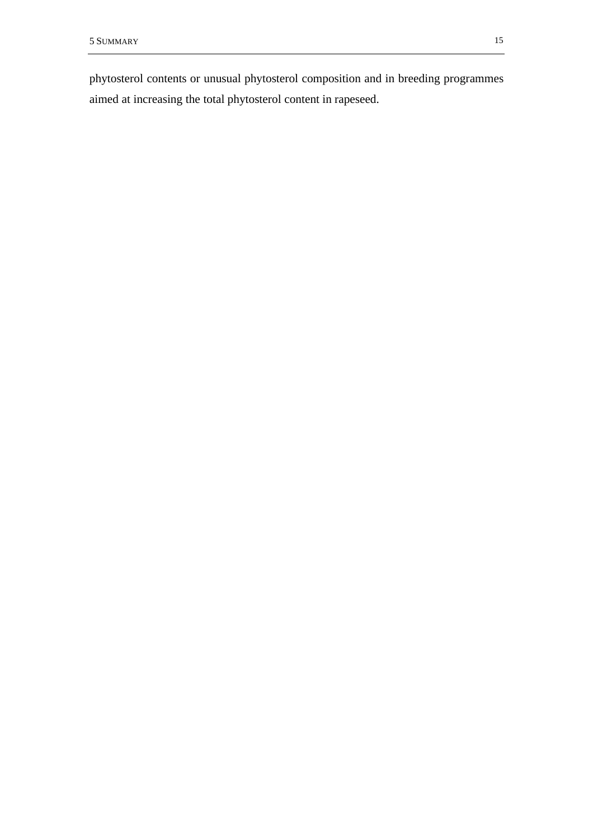phytosterol contents or unusual phytosterol composition and in breeding programmes aimed at increasing the total phytosterol content in rapeseed.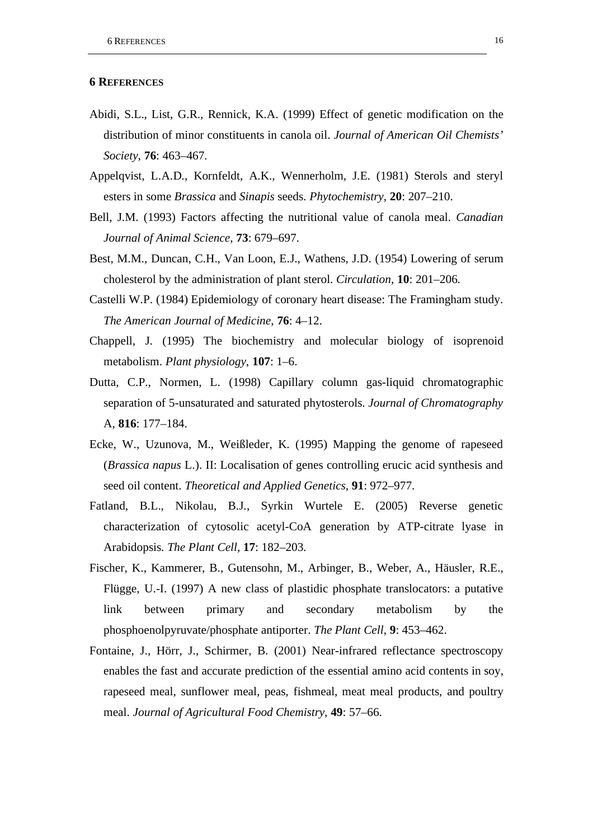# **6 REFERENCES**

- Abidi, S.L., List, G.R., Rennick, K.A. (1999) Effect of genetic modification on the distribution of minor constituents in canola oil. *Journal of American Oil Chemists' Society*, **76**: 463–467.
- Appelqvist, L.A.D., Kornfeldt, A.K., Wennerholm, J.E. (1981) Sterols and steryl esters in some *Brassica* and *Sinapis* seeds. *Phytochemistry*, **20**: 207–210.
- Bell, J.M. (1993) Factors affecting the nutritional value of canola meal. *Canadian Journal of Animal Science*, **73**: 679–697.
- Best, M.M., Duncan, C.H., Van Loon, E.J., Wathens, J.D. (1954) Lowering of serum cholesterol by the administration of plant sterol. *Circulation*, **10**: 201–206.
- Castelli W.P. (1984) Epidemiology of coronary heart disease: The Framingham study. *The American Journal of Medicine*, **76**: 4–12.
- Chappell, J. (1995) The biochemistry and molecular biology of isoprenoid metabolism. *Plant physiology*, **107**: 1–6.
- Dutta, C.P., Normen, L. (1998) Capillary column gas-liquid chromatographic separation of 5-unsaturated and saturated phytosterols. *Journal of Chromatography*  A, **816**: 177–184.
- Ecke, W., Uzunova, M., Weißleder, K. (1995) Mapping the genome of rapeseed (*Brassica napus* L.). II: Localisation of genes controlling erucic acid synthesis and seed oil content. *Theoretical and Applied Genetics*, **91**: 972–977.
- Fatland, B.L., Nikolau, B.J., Syrkin Wurtele E. (2005) Reverse genetic characterization of cytosolic acetyl-CoA generation by ATP-citrate lyase in Arabidopsis. *The Plant Cell*, **17**: 182–203.
- Fischer, K., Kammerer, B., Gutensohn, M., Arbinger, B., Weber, A., Häusler, R.E., Flügge, U.-I. (1997) A new class of plastidic phosphate translocators: a putative link between primary and secondary metabolism by the phosphoenolpyruvate/phosphate antiporter. *The Plant Cell*, **9**: 453–462.
- Fontaine, J., Hörr, J., Schirmer, B. (2001) Near-infrared reflectance spectroscopy enables the fast and accurate prediction of the essential amino acid contents in soy, rapeseed meal, sunflower meal, peas, fishmeal, meat meal products, and poultry meal. *Journal of Agricultural Food Chemistry*, **49**: 57–66.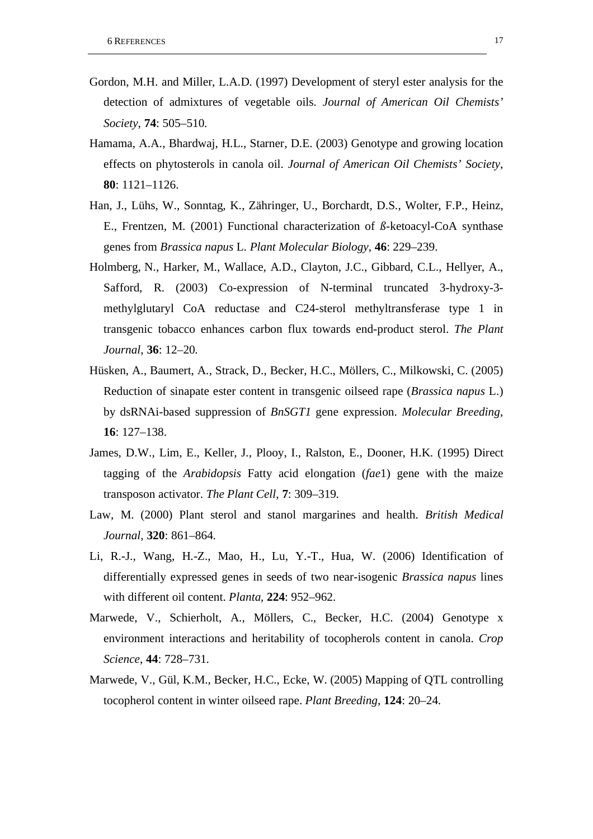- Gordon, M.H. and Miller, L.A.D. (1997) Development of steryl ester analysis for the detection of admixtures of vegetable oils. *Journal of American Oil Chemists' Society*, **74**: 505–510.
- Hamama, A.A., Bhardwaj, H.L., Starner, D.E. (2003) Genotype and growing location effects on phytosterols in canola oil. *Journal of American Oil Chemists' Society*, **80**: 1121–1126.
- Han, J., Lühs, W., Sonntag, K., Zähringer, U., Borchardt, D.S., Wolter, F.P., Heinz, E., Frentzen, M. (2001) Functional characterization of *ß*-ketoacyl-CoA synthase genes from *Brassica napus* L. *Plant Molecular Biology*, **46**: 229–239.
- Holmberg, N., Harker, M., Wallace, A.D., Clayton, J.C., Gibbard, C.L., Hellyer, A., Safford, R. (2003) Co-expression of N-terminal truncated 3-hydroxy-3 methylglutaryl CoA reductase and C24-sterol methyltransferase type 1 in transgenic tobacco enhances carbon flux towards end-product sterol. *The Plant Journal*, **36**: 12–20.
- Hüsken, A., Baumert, A., Strack, D., Becker, H.C., Möllers, C., Milkowski, C. (2005) Reduction of sinapate ester content in transgenic oilseed rape (*Brassica napus* L.) by dsRNAi-based suppression of *BnSGT1* gene expression. *Molecular Breeding*, **16**: 127–138.
- James, D.W., Lim, E., Keller, J., Plooy, I., Ralston, E., Dooner, H.K. (1995) Direct tagging of the *Arabidopsis* Fatty acid elongation (*fae*1) gene with the maize transposon activator. *The Plant Cell*, **7**: 309–319.
- Law, M. (2000) Plant sterol and stanol margarines and health. *British Medical Journal*, **320**: 861–864.
- Li, R.-J., Wang, H.-Z., Mao, H., Lu, Y.-T., Hua, W. (2006) Identification of differentially expressed genes in seeds of two near-isogenic *Brassica napus* lines with different oil content. *Planta*, **224**: 952–962.
- Marwede, V., Schierholt, A., Möllers, C., Becker, H.C. (2004) Genotype x environment interactions and heritability of tocopherols content in canola. *Crop Science*, **44**: 728–731.
- Marwede, V., Gül, K.M., Becker, H.C., Ecke, W. (2005) Mapping of QTL controlling tocopherol content in winter oilseed rape. *Plant Breeding*, **124**: 20–24.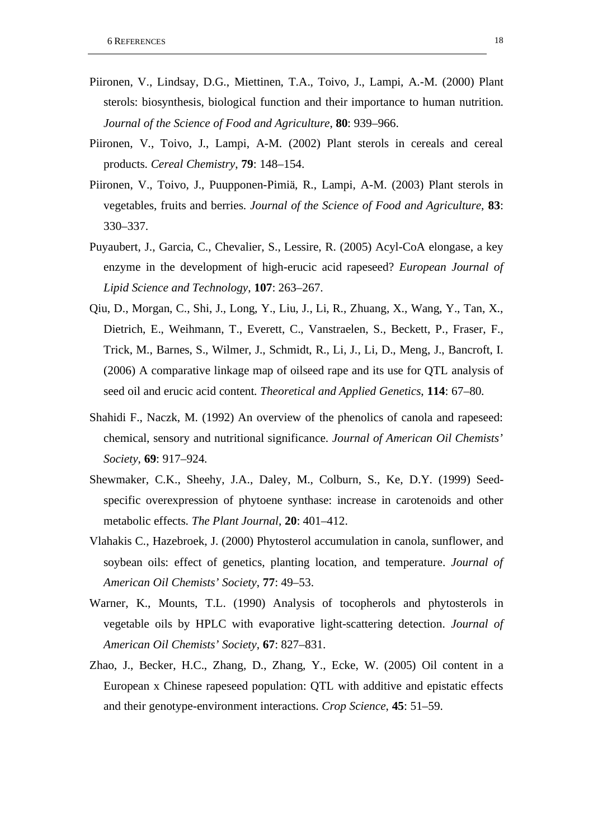- Piironen, V., Lindsay, D.G., Miettinen, T.A., Toivo, J., Lampi, A.-M. (2000) Plant sterols: biosynthesis, biological function and their importance to human nutrition. *Journal of the Science of Food and Agriculture*, **80**: 939–966.
- Piironen, V., Toivo, J., Lampi, A-M. (2002) Plant sterols in cereals and cereal products. *Cereal Chemistry*, **79**: 148–154.
- Piironen, V., Toivo, J., Puupponen-Pimiä, R., Lampi, A-M. (2003) Plant sterols in vegetables, fruits and berries. *Journal of the Science of Food and Agriculture*, **83**: 330–337.
- Puyaubert, J., Garcia, C., Chevalier, S., Lessire, R. (2005) Acyl-CoA elongase, a key enzyme in the development of high-erucic acid rapeseed? *European Journal of Lipid Science and Technology*, **107**: 263–267.
- Qiu, D., Morgan, C., Shi, J., Long, Y., Liu, J., Li, R., Zhuang, X., Wang, Y., Tan, X., Dietrich, E., Weihmann, T., Everett, C., Vanstraelen, S., Beckett, P., Fraser, F., Trick, M., Barnes, S., Wilmer, J., Schmidt, R., Li, J., Li, D., Meng, J., Bancroft, I. (2006) A comparative linkage map of oilseed rape and its use for QTL analysis of seed oil and erucic acid content. *Theoretical and Applied Genetics*, **114**: 67–80.
- Shahidi F., Naczk, M. (1992) An overview of the phenolics of canola and rapeseed: chemical, sensory and nutritional significance. *Journal of American Oil Chemists' Society*, **69**: 917–924.
- Shewmaker, C.K., Sheehy, J.A., Daley, M., Colburn, S., Ke, D.Y. (1999) Seedspecific overexpression of phytoene synthase: increase in carotenoids and other metabolic effects. *The Plant Journal*, **20**: 401–412.
- Vlahakis C., Hazebroek, J. (2000) Phytosterol accumulation in canola, sunflower, and soybean oils: effect of genetics, planting location, and temperature. *Journal of American Oil Chemists' Society*, **77**: 49–53.
- Warner, K., Mounts, T.L. (1990) Analysis of tocopherols and phytosterols in vegetable oils by HPLC with evaporative light-scattering detection. *Journal of American Oil Chemists' Society*, **67**: 827–831.
- Zhao, J., Becker, H.C., Zhang, D., Zhang, Y., Ecke, W. (2005) Oil content in a European x Chinese rapeseed population: QTL with additive and epistatic effects and their genotype-environment interactions. *Crop Science*, **45**: 51–59.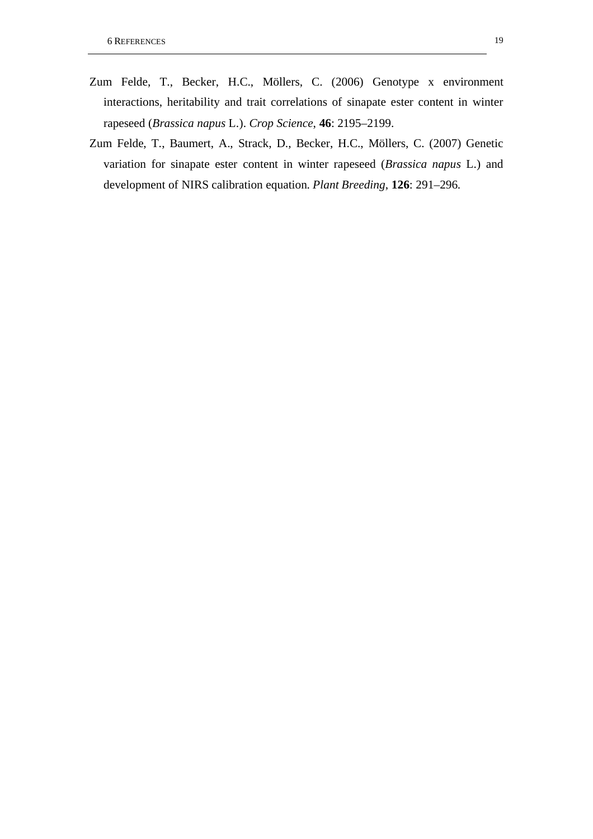- Zum Felde, T., Becker, H.C., Möllers, C. (2006) Genotype x environment interactions, heritability and trait correlations of sinapate ester content in winter rapeseed (*Brassica napus* L.). *Crop Science*, **46**: 2195–2199.
- Zum Felde, T., Baumert, A., Strack, D., Becker, H.C., Möllers, C. (2007) Genetic variation for sinapate ester content in winter rapeseed (*Brassica napus* L.) and development of NIRS calibration equation. *Plant Breeding*, **126**: 291–296.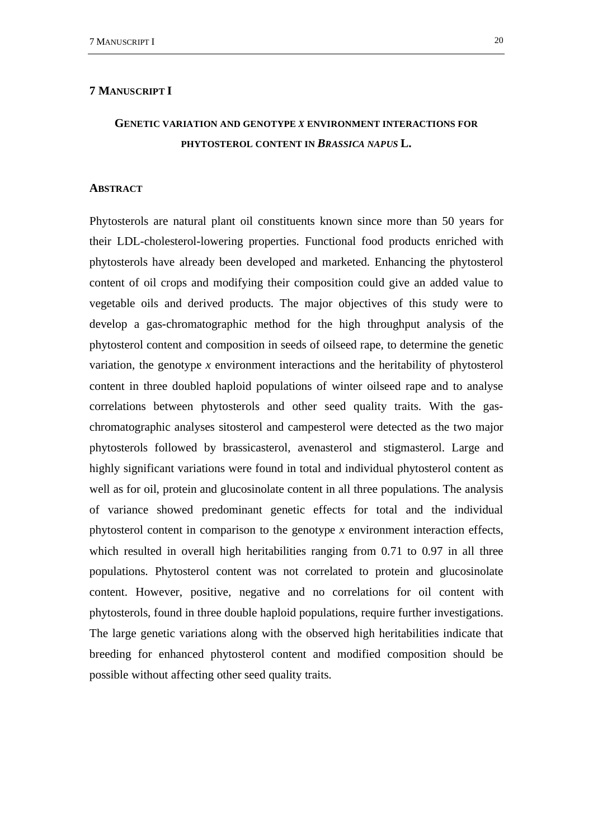# **7 MANUSCRIPT I**

# **GENETIC VARIATION AND GENOTYPE** *X* **ENVIRONMENT INTERACTIONS FOR PHYTOSTEROL CONTENT IN** *BRASSICA NAPUS* **L.**

#### **ABSTRACT**

Phytosterols are natural plant oil constituents known since more than 50 years for their LDL-cholesterol-lowering properties. Functional food products enriched with phytosterols have already been developed and marketed. Enhancing the phytosterol content of oil crops and modifying their composition could give an added value to vegetable oils and derived products. The major objectives of this study were to develop a gas-chromatographic method for the high throughput analysis of the phytosterol content and composition in seeds of oilseed rape, to determine the genetic variation, the genotype *x* environment interactions and the heritability of phytosterol content in three doubled haploid populations of winter oilseed rape and to analyse correlations between phytosterols and other seed quality traits. With the gaschromatographic analyses sitosterol and campesterol were detected as the two major phytosterols followed by brassicasterol, avenasterol and stigmasterol. Large and highly significant variations were found in total and individual phytosterol content as well as for oil, protein and glucosinolate content in all three populations. The analysis of variance showed predominant genetic effects for total and the individual phytosterol content in comparison to the genotype *x* environment interaction effects, which resulted in overall high heritabilities ranging from 0.71 to 0.97 in all three populations. Phytosterol content was not correlated to protein and glucosinolate content. However, positive, negative and no correlations for oil content with phytosterols, found in three double haploid populations, require further investigations. The large genetic variations along with the observed high heritabilities indicate that breeding for enhanced phytosterol content and modified composition should be possible without affecting other seed quality traits.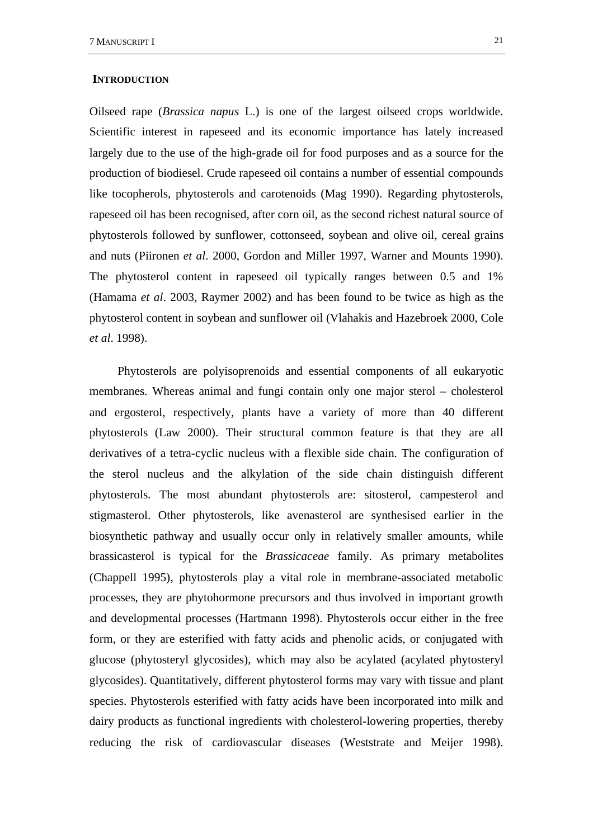#### **INTRODUCTION**

Oilseed rape (*Brassica napus* L.) is one of the largest oilseed crops worldwide. Scientific interest in rapeseed and its economic importance has lately increased largely due to the use of the high-grade oil for food purposes and as a source for the production of biodiesel. Crude rapeseed oil contains a number of essential compounds like tocopherols, phytosterols and carotenoids (Mag 1990). Regarding phytosterols, rapeseed oil has been recognised, after corn oil, as the second richest natural source of phytosterols followed by sunflower, cottonseed, soybean and olive oil, cereal grains and nuts (Piironen *et al*. 2000, Gordon and Miller 1997, Warner and Mounts 1990). The phytosterol content in rapeseed oil typically ranges between 0.5 and 1% (Hamama *et al*. 2003, Raymer 2002) and has been found to be twice as high as the phytosterol content in soybean and sunflower oil (Vlahakis and Hazebroek 2000, Cole *et al*. 1998).

Phytosterols are polyisoprenoids and essential components of all eukaryotic membranes. Whereas animal and fungi contain only one major sterol – cholesterol and ergosterol, respectively, plants have a variety of more than 40 different phytosterols (Law 2000). Their structural common feature is that they are all derivatives of a tetra-cyclic nucleus with a flexible side chain. The configuration of the sterol nucleus and the alkylation of the side chain distinguish different phytosterols. The most abundant phytosterols are: sitosterol, campesterol and stigmasterol. Other phytosterols, like avenasterol are synthesised earlier in the biosynthetic pathway and usually occur only in relatively smaller amounts, while brassicasterol is typical for the *Brassicaceae* family. As primary metabolites (Chappell 1995), phytosterols play a vital role in membrane-associated metabolic processes, they are phytohormone precursors and thus involved in important growth and developmental processes (Hartmann 1998). Phytosterols occur either in the free form, or they are esterified with fatty acids and phenolic acids, or conjugated with glucose (phytosteryl glycosides), which may also be acylated (acylated phytosteryl glycosides). Quantitatively, different phytosterol forms may vary with tissue and plant species. Phytosterols esterified with fatty acids have been incorporated into milk and dairy products as functional ingredients with cholesterol-lowering properties, thereby reducing the risk of cardiovascular diseases (Weststrate and Meijer 1998).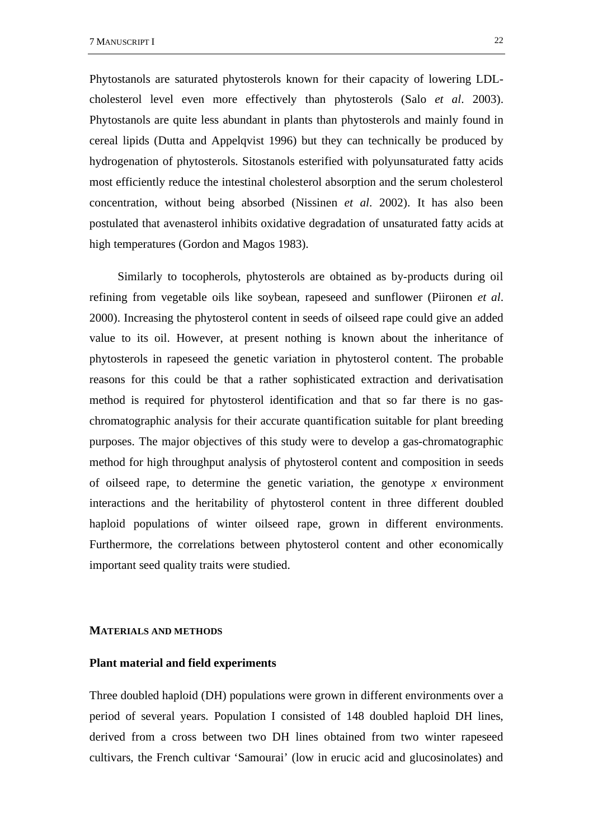Phytostanols are saturated phytosterols known for their capacity of lowering LDLcholesterol level even more effectively than phytosterols (Salo *et al*. 2003). Phytostanols are quite less abundant in plants than phytosterols and mainly found in cereal lipids (Dutta and Appelqvist 1996) but they can technically be produced by hydrogenation of phytosterols. Sitostanols esterified with polyunsaturated fatty acids most efficiently reduce the intestinal cholesterol absorption and the serum cholesterol concentration, without being absorbed (Nissinen *et al*. 2002). It has also been postulated that avenasterol inhibits oxidative degradation of unsaturated fatty acids at high temperatures (Gordon and Magos 1983).

Similarly to tocopherols, phytosterols are obtained as by-products during oil refining from vegetable oils like soybean, rapeseed and sunflower (Piironen *et al*. 2000). Increasing the phytosterol content in seeds of oilseed rape could give an added value to its oil. However, at present nothing is known about the inheritance of phytosterols in rapeseed the genetic variation in phytosterol content. The probable reasons for this could be that a rather sophisticated extraction and derivatisation method is required for phytosterol identification and that so far there is no gaschromatographic analysis for their accurate quantification suitable for plant breeding purposes. The major objectives of this study were to develop a gas-chromatographic method for high throughput analysis of phytosterol content and composition in seeds of oilseed rape, to determine the genetic variation, the genotype *x* environment interactions and the heritability of phytosterol content in three different doubled haploid populations of winter oilseed rape, grown in different environments. Furthermore, the correlations between phytosterol content and other economically important seed quality traits were studied.

### **MATERIALS AND METHODS**

### **Plant material and field experiments**

Three doubled haploid (DH) populations were grown in different environments over a period of several years. Population I consisted of 148 doubled haploid DH lines, derived from a cross between two DH lines obtained from two winter rapeseed cultivars, the French cultivar 'Samourai' (low in erucic acid and glucosinolates) and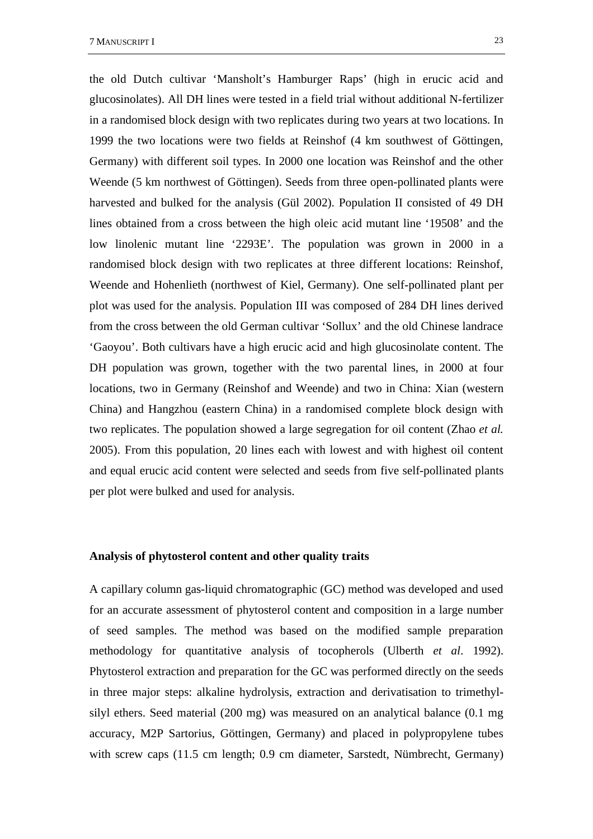the old Dutch cultivar 'Mansholt's Hamburger Raps' (high in erucic acid and glucosinolates). All DH lines were tested in a field trial without additional N-fertilizer in a randomised block design with two replicates during two years at two locations. In 1999 the two locations were two fields at Reinshof (4 km southwest of Göttingen, Germany) with different soil types. In 2000 one location was Reinshof and the other Weende (5 km northwest of Göttingen). Seeds from three open-pollinated plants were harvested and bulked for the analysis (Gül 2002). Population II consisted of 49 DH lines obtained from a cross between the high oleic acid mutant line '19508' and the low linolenic mutant line '2293E'. The population was grown in 2000 in a randomised block design with two replicates at three different locations: Reinshof, Weende and Hohenlieth (northwest of Kiel, Germany). One self-pollinated plant per plot was used for the analysis. Population III was composed of 284 DH lines derived from the cross between the old German cultivar 'Sollux' and the old Chinese landrace 'Gaoyou'. Both cultivars have a high erucic acid and high glucosinolate content. The DH population was grown, together with the two parental lines, in 2000 at four locations, two in Germany (Reinshof and Weende) and two in China: Xian (western China) and Hangzhou (eastern China) in a randomised complete block design with two replicates. The population showed a large segregation for oil content (Zhao *et al.* 

2005). From this population, 20 lines each with lowest and with highest oil content and equal erucic acid content were selected and seeds from five self-pollinated plants per plot were bulked and used for analysis.

# **Analysis of phytosterol content and other quality traits**

A capillary column gas-liquid chromatographic (GC) method was developed and used for an accurate assessment of phytosterol content and composition in a large number of seed samples. The method was based on the modified sample preparation methodology for quantitative analysis of tocopherols (Ulberth *et al*. 1992). Phytosterol extraction and preparation for the GC was performed directly on the seeds in three major steps: alkaline hydrolysis, extraction and derivatisation to trimethylsilyl ethers. Seed material (200 mg) was measured on an analytical balance (0.1 mg accuracy, M2P Sartorius, Göttingen, Germany) and placed in polypropylene tubes with screw caps (11.5 cm length; 0.9 cm diameter, Sarstedt, Nümbrecht, Germany)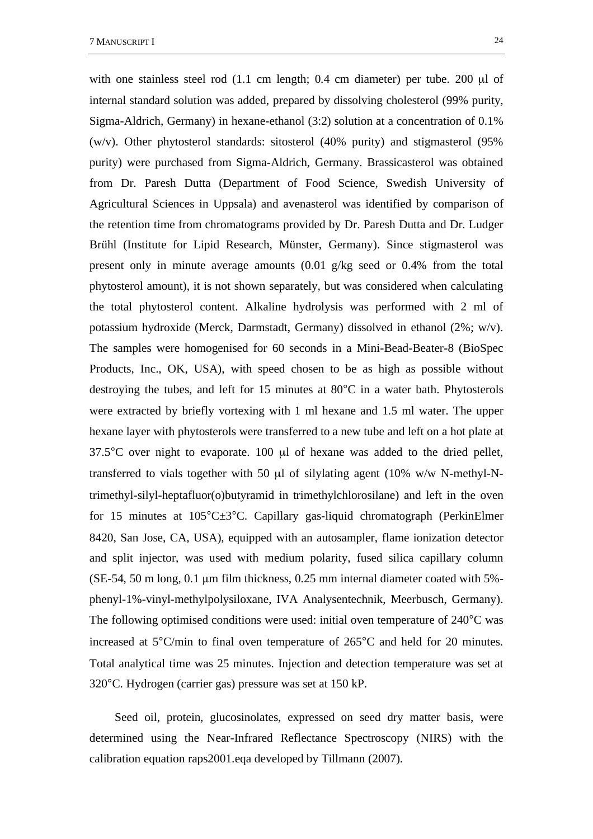with one stainless steel rod (1.1 cm length; 0.4 cm diameter) per tube. 200 µl of internal standard solution was added, prepared by dissolving cholesterol (99% purity, Sigma-Aldrich, Germany) in hexane-ethanol (3:2) solution at a concentration of 0.1% (w/v). Other phytosterol standards: sitosterol (40% purity) and stigmasterol (95% purity) were purchased from Sigma-Aldrich, Germany. Brassicasterol was obtained from Dr. Paresh Dutta (Department of Food Science, Swedish University of Agricultural Sciences in Uppsala) and avenasterol was identified by comparison of the retention time from chromatograms provided by Dr. Paresh Dutta and Dr. Ludger Brühl (Institute for Lipid Research, Münster, Germany). Since stigmasterol was present only in minute average amounts (0.01 g/kg seed or 0.4% from the total phytosterol amount), it is not shown separately, but was considered when calculating the total phytosterol content. Alkaline hydrolysis was performed with 2 ml of potassium hydroxide (Merck, Darmstadt, Germany) dissolved in ethanol (2%; w/v). The samples were homogenised for 60 seconds in a Mini-Bead-Beater-8 (BioSpec Products, Inc., OK, USA), with speed chosen to be as high as possible without destroying the tubes, and left for 15 minutes at 80°C in a water bath. Phytosterols were extracted by briefly vortexing with 1 ml hexane and 1.5 ml water. The upper hexane layer with phytosterols were transferred to a new tube and left on a hot plate at 37.5°C over night to evaporate. 100 µl of hexane was added to the dried pellet, transferred to vials together with 50 µl of silylating agent (10% w/w N-methyl-Ntrimethyl-silyl-heptafluor(o)butyramid in trimethylchlorosilane) and left in the oven for 15 minutes at 105°C±3°C. Capillary gas-liquid chromatograph (PerkinElmer 8420, San Jose, CA, USA), equipped with an autosampler, flame ionization detector and split injector, was used with medium polarity, fused silica capillary column  $(SE-54, 50 \text{ m long}, 0.1 \mu \text{m film thickness}, 0.25 \text{ mm internal diameter coated with } 5\%$ phenyl-1%-vinyl-methylpolysiloxane, IVA Analysentechnik, Meerbusch, Germany). The following optimised conditions were used: initial oven temperature of 240°C was increased at 5°C/min to final oven temperature of 265°C and held for 20 minutes. Total analytical time was 25 minutes. Injection and detection temperature was set at 320°C. Hydrogen (carrier gas) pressure was set at 150 kP.

Seed oil, protein, glucosinolates, expressed on seed dry matter basis, were determined using the Near-Infrared Reflectance Spectroscopy (NIRS) with the calibration equation raps2001.eqa developed by Tillmann (2007).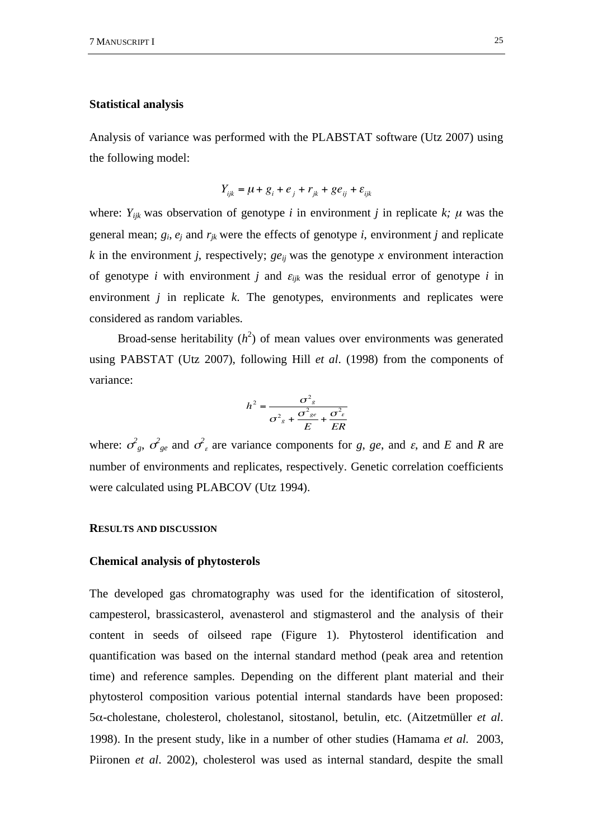### **Statistical analysis**

Analysis of variance was performed with the PLABSTAT software (Utz 2007) using the following model:

$$
Y_{ijk} = \mu + g_i + e_j + r_{jk} + g e_{ij} + \varepsilon_{ijk}
$$

where:  $Y_{ijk}$  was observation of genotype *i* in environment *j* in replicate *k*;  $\mu$  was the general mean;  $g_i$ ,  $e_j$  and  $r_{ik}$  were the effects of genotype *i*, environment *j* and replicate  $k$  in the environment *j*, respectively;  $ge_{ij}$  was the genotype  $x$  environment interaction of genotype *i* with environment *j* and  $\varepsilon_{ijk}$  was the residual error of genotype *i* in environment *j* in replicate *k*. The genotypes, environments and replicates were considered as random variables.

Broad-sense heritability  $(h^2)$  of mean values over environments was generated using PABSTAT (Utz 2007), following Hill *et al*. (1998) from the components of variance:

$$
h^{2} = \frac{\sigma_{g}^{2}}{\sigma_{g}^{2} + \frac{\sigma_{ge}^{2}}{E} + \frac{\sigma_{e}^{2}}{ER}}
$$

where:  $\sigma_{g}$ ,  $\sigma_{g}$  and  $\sigma_{g}$  are variance components for *g*, *ge*, and *ε*, and *E* and *R* are number of environments and replicates, respectively. Genetic correlation coefficients were calculated using PLABCOV (Utz 1994).

# **RESULTS AND DISCUSSION**

#### **Chemical analysis of phytosterols**

The developed gas chromatography was used for the identification of sitosterol, campesterol, brassicasterol, avenasterol and stigmasterol and the analysis of their content in seeds of oilseed rape (Figure 1). Phytosterol identification and quantification was based on the internal standard method (peak area and retention time) and reference samples. Depending on the different plant material and their phytosterol composition various potential internal standards have been proposed: 5-cholestane, cholesterol, cholestanol, sitostanol, betulin, etc. (Aitzetmüller *et al*. 1998). In the present study, like in a number of other studies (Hamama *et al*. 2003, Piironen *et al*. 2002), cholesterol was used as internal standard, despite the small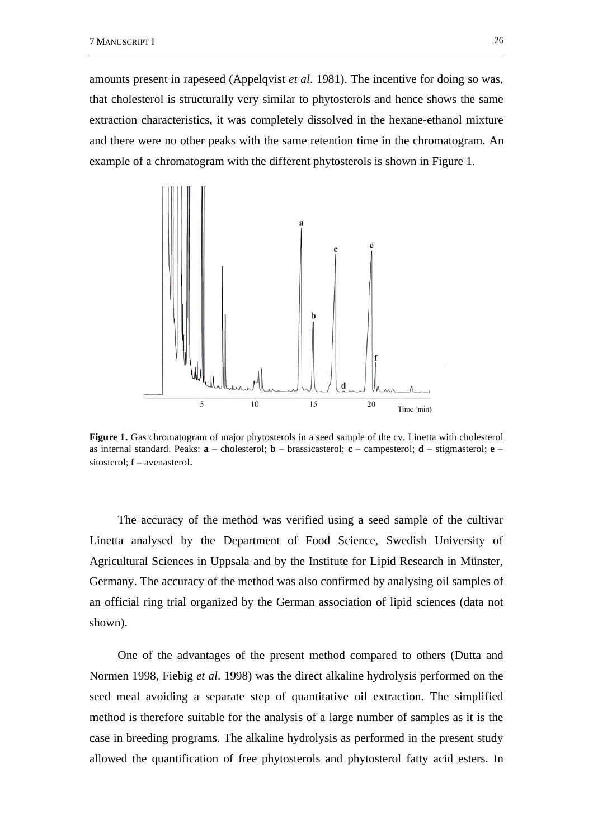amounts present in rapeseed (Appelqvist *et al*. 1981). The incentive for doing so was, that cholesterol is structurally very similar to phytosterols and hence shows the same extraction characteristics, it was completely dissolved in the hexane-ethanol mixture and there were no other peaks with the same retention time in the chromatogram. An example of a chromatogram with the different phytosterols is shown in Figure 1.



**Figure 1.** Gas chromatogram of major phytosterols in a seed sample of the cv. Linetta with cholesterol as internal standard. Peaks: **a** – cholesterol; **b** – brassicasterol; **c** – campesterol; **d** – stigmasterol; **e** – sitosterol; **f** – avenasterol.

The accuracy of the method was verified using a seed sample of the cultivar Linetta analysed by the Department of Food Science, Swedish University of Agricultural Sciences in Uppsala and by the Institute for Lipid Research in Münster, Germany. The accuracy of the method was also confirmed by analysing oil samples of an official ring trial organized by the German association of lipid sciences (data not shown).

One of the advantages of the present method compared to others (Dutta and Normen 1998, Fiebig *et al*. 1998) was the direct alkaline hydrolysis performed on the seed meal avoiding a separate step of quantitative oil extraction. The simplified method is therefore suitable for the analysis of a large number of samples as it is the case in breeding programs. The alkaline hydrolysis as performed in the present study allowed the quantification of free phytosterols and phytosterol fatty acid esters. In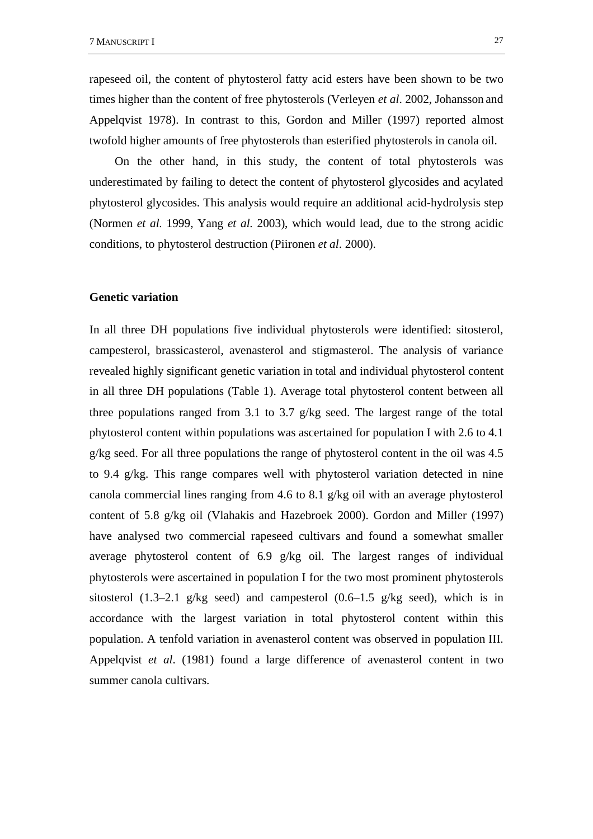rapeseed oil, the content of phytosterol fatty acid esters have been shown to be two times higher than the content of free phytosterols (Verleyen *et al*. 2002, Johansson and Appelqvist 1978). In contrast to this, Gordon and Miller (1997) reported almost twofold higher amounts of free phytosterols than esterified phytosterols in canola oil.

On the other hand, in this study, the content of total phytosterols was underestimated by failing to detect the content of phytosterol glycosides and acylated phytosterol glycosides. This analysis would require an additional acid-hydrolysis step (Normen *et al*. 1999, Yang *et al*. 2003), which would lead, due to the strong acidic conditions, to phytosterol destruction (Piironen *et al*. 2000).

# **Genetic variation**

In all three DH populations five individual phytosterols were identified: sitosterol, campesterol, brassicasterol, avenasterol and stigmasterol. The analysis of variance revealed highly significant genetic variation in total and individual phytosterol content in all three DH populations (Table 1). Average total phytosterol content between all three populations ranged from 3.1 to 3.7 g/kg seed. The largest range of the total phytosterol content within populations was ascertained for population I with 2.6 to 4.1 g/kg seed. For all three populations the range of phytosterol content in the oil was 4.5 to 9.4 g/kg. This range compares well with phytosterol variation detected in nine canola commercial lines ranging from 4.6 to 8.1 g/kg oil with an average phytosterol content of 5.8 g/kg oil (Vlahakis and Hazebroek 2000). Gordon and Miller (1997) have analysed two commercial rapeseed cultivars and found a somewhat smaller average phytosterol content of 6.9 g/kg oil. The largest ranges of individual phytosterols were ascertained in population I for the two most prominent phytosterols sitosterol (1.3–2.1 g/kg seed) and campesterol (0.6–1.5 g/kg seed), which is in accordance with the largest variation in total phytosterol content within this population. A tenfold variation in avenasterol content was observed in population III. Appelqvist *et al*. (1981) found a large difference of avenasterol content in two summer canola cultivars.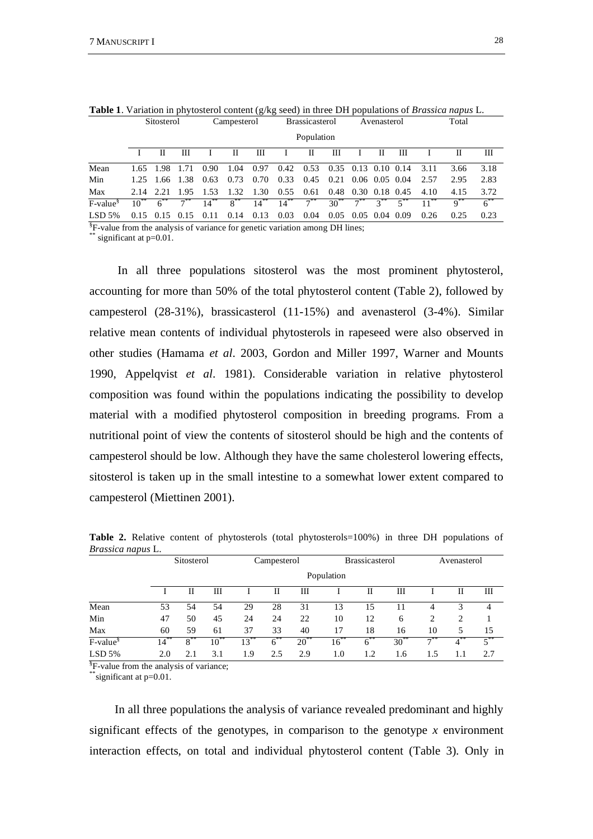|            | <b>DIWSWIDI</b> |                      |          |           | $\mathcal{L}_{\text{diff}}$ |         |           | <b>Diassicasterul</b> |                       |                  | 110011000101      |        | 1 vui     |          |               |  |  |
|------------|-----------------|----------------------|----------|-----------|-----------------------------|---------|-----------|-----------------------|-----------------------|------------------|-------------------|--------|-----------|----------|---------------|--|--|
|            |                 |                      |          |           |                             |         |           | Population            |                       |                  |                   |        |           |          |               |  |  |
|            |                 | П                    | Ш        |           | П                           | Ш       |           | П                     | Ш                     | $\mathbf{I}$     | П                 | Ш      |           | П        | Ш             |  |  |
| Mean       |                 | 1.65 1.98 1.71       |          | 0.90      | 1.04                        | 0.97    |           | $0.42 \quad 0.53$     | $0.35$ 0.13 0.10 0.14 |                  |                   |        | 3.11      | 3.66     | 3.18          |  |  |
| Min        |                 | 1.25 1.66 1.38       |          | 0.63      | 0.73                        | 0.70    | 0.33      | 0.45                  | $0.21$ 0.06 0.05 0.04 |                  |                   |        | 2.57      | 2.95     | 2.83          |  |  |
| Max        | 2.14 2.21       |                      | 1.95     | 1.53      | 1.32 1.30                   |         | 0.55      | 0.61                  | 0.48 0.30 0.18 0.45   |                  |                   |        | 4.10      | 4.15     | 3.72          |  |  |
| $F-value§$ | $10^{**}$       | $6^{**}$             | $7^{**}$ | $14^{**}$ | $8***$                      | $14***$ | $14^{**}$ | $7^{***}$             | $30^{**}$             |                  | $7^{**}$ $3^{**}$ | $5***$ | $11^{**}$ | $q^{**}$ | $\kappa^{**}$ |  |  |
| $LSD$ 5%   |                 | $0.15$ $0.15$ $0.15$ |          | 0.11      | 0.14                        | 0.13    | 0.03      | 0.04                  | 0.05                  | $0.05$ 0.04 0.09 |                   |        | 0.26      | 0.25     | 0.23          |  |  |

**Table 1**. Variation in phytosterol content (g/kg seed) in three DH populations of *Brassica napus* L. Sitosterol Campesterol Brassicasterol Avenasterol Total

§ F-value from the analysis of variance for genetic variation among DH lines;

significant at  $p=0.01$ .

In all three populations sitosterol was the most prominent phytosterol, accounting for more than 50% of the total phytosterol content (Table 2), followed by campesterol (28-31%), brassicasterol (11-15%) and avenasterol (3-4%). Similar relative mean contents of individual phytosterols in rapeseed were also observed in other studies (Hamama *et al*. 2003, Gordon and Miller 1997, Warner and Mounts 1990, Appelqvist *et al*. 1981). Considerable variation in relative phytosterol composition was found within the populations indicating the possibility to develop material with a modified phytosterol composition in breeding programs. From a nutritional point of view the contents of sitosterol should be high and the contents of campesterol should be low. Although they have the same cholesterol lowering effects, sitosterol is taken up in the small intestine to a somewhat lower extent compared to campesterol (Miettinen 2001).

|                      |         | Sitosterol |           |           | Campesterol |           |           | <b>Brassicasterol</b> |           | Avenasterol |          |          |  |
|----------------------|---------|------------|-----------|-----------|-------------|-----------|-----------|-----------------------|-----------|-------------|----------|----------|--|
|                      |         |            |           |           |             |           |           |                       |           |             |          |          |  |
|                      |         | П          | Ш         |           | П           | Ш         |           | П                     | Ш         |             | П        | Ш        |  |
| Mean                 | 53      | 54         | 54        | 29        | 28          | 31        | 13        | 15                    | 11        | 4           | 3        | 4        |  |
| Min                  | 47      | 50         | 45        | 24        | 24          | 22        | 10        | 12                    | 6         | 2           | 2        |          |  |
| Max                  | 60      | 59         | 61        | 37        | 33          | 40        | 17        | 18                    | 16        | 10          | 5        | 15       |  |
| F-value <sup>§</sup> | $14***$ | $8***$     | $10^{**}$ | $13^{**}$ | $6^{**}$    | $20^{**}$ | $16^{**}$ | $6^{**}$              | $30^{**}$ | $7^{**}$    | ,∗∗<br>4 | $5^{**}$ |  |
| $LSD$ 5%             | 2.0     | 2.1        | 3.1       | 1.9       | 2.5         | 2.9       | 1.0       | 1.2                   | 1.6       | 1.5         | 1.1      | 2.7      |  |

**Table 2.** Relative content of phytosterols (total phytosterols=100%) in three DH populations of *Brassica napus* L.

§ F-value from the analysis of variance;

 $*$ significant at p=0.01.

In all three populations the analysis of variance revealed predominant and highly significant effects of the genotypes, in comparison to the genotype  $x$  environment interaction effects, on total and individual phytosterol content (Table 3). Only in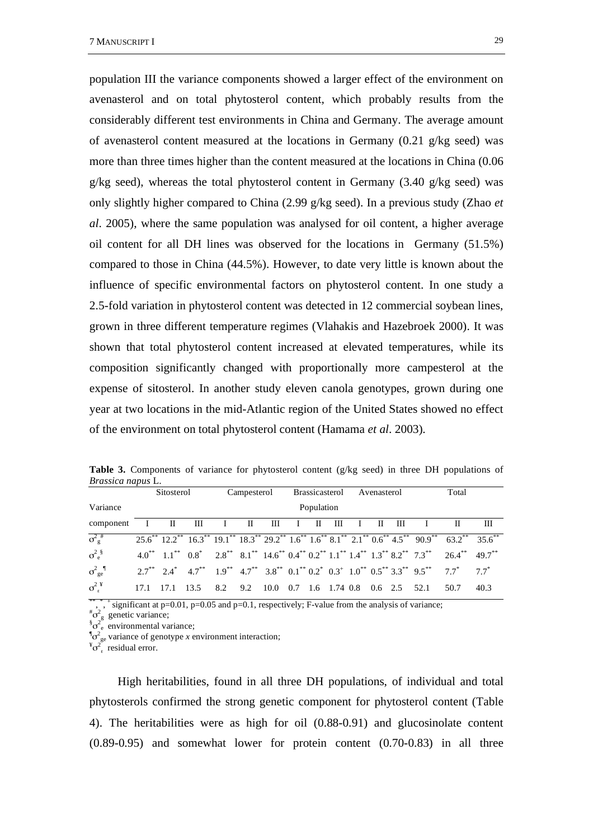population III the variance components showed a larger effect of the environment on avenasterol and on total phytosterol content, which probably results from the considerably different test environments in China and Germany. The average amount of avenasterol content measured at the locations in Germany (0.21 g/kg seed) was more than three times higher than the content measured at the locations in China (0.06 g/kg seed), whereas the total phytosterol content in Germany (3.40 g/kg seed) was only slightly higher compared to China (2.99 g/kg seed). In a previous study (Zhao *et al*. 2005), where the same population was analysed for oil content, a higher average oil content for all DH lines was observed for the locations in Germany (51.5%) compared to those in China (44.5%). However, to date very little is known about the influence of specific environmental factors on phytosterol content. In one study a 2.5-fold variation in phytosterol content was detected in 12 commercial soybean lines, grown in three different temperature regimes (Vlahakis and Hazebroek 2000). It was shown that total phytosterol content increased at elevated temperatures, while its composition significantly changed with proportionally more campesterol at the expense of sitosterol. In another study eleven canola genotypes, grown during one year at two locations in the mid-Atlantic region of the United States showed no effect of the environment on total phytosterol content (Hamama *et al*. 2003).

| <i>Brassica napus L.</i> |            |                |  |                                            |             |   |                            |  |              |  |                            |              |  |                                                                                                                                                                    |      |
|--------------------------|------------|----------------|--|--------------------------------------------|-------------|---|----------------------------|--|--------------|--|----------------------------|--------------|--|--------------------------------------------------------------------------------------------------------------------------------------------------------------------|------|
|                          |            | Sitosterol     |  |                                            | Campesterol |   |                            |  |              |  | Brassicasterol Avenasterol | Total        |  |                                                                                                                                                                    |      |
| Variance                 | Population |                |  |                                            |             |   |                            |  |              |  |                            |              |  |                                                                                                                                                                    |      |
| component I II III       |            |                |  | $\mathbf{I}$ $\mathbf{II}$                 |             | Ш | $\mathbf{I}$ $\mathbf{II}$ |  | $\mathbf{H}$ |  | $\mathbf{H}$               | $\mathbf{H}$ |  |                                                                                                                                                                    | Ш    |
| $\sigma^2_{\rm g}$ #     |            |                |  |                                            |             |   |                            |  |              |  |                            |              |  | $25.6^{**}$ $12.2^{**}$ $16.3^{**}$ $19.1^{**}$ $18.3^{**}$ $29.2^{**}$ $1.6^{**}$ $8.1^{**}$ $2.1^{**}$ $0.6^{**}$ $4.5^{**}$ $90.9^{**}$ $63.2^{**}$ $35.6^{**}$ |      |
| $\sigma_e^2$             |            |                |  |                                            |             |   |                            |  |              |  |                            |              |  | $4.0^{*}$ $1.1^{*}$ $0.8^{*}$ $2.8^{*}$ $8.1^{*}$ $14.6^{*}$ $0.4^{*}$ $0.2^{*}$ $1.1^{*}$ $1.4^{*}$ $1.3^{*}$ $8.2^{*}$ $7.3^{*}$ $26.4^{*}$ $49.7^{*}$           |      |
| $\sigma^2_{\text{ge}}$   |            |                |  |                                            |             |   |                            |  |              |  |                            |              |  | $2.7^{**}$ $2.4^{*}$ $4.7^{**}$ $1.9^{**}$ $4.7^{**}$ $3.8^{**}$ $0.1^{**}$ $0.2^{*}$ $0.3^{+}$ $1.0^{**}$ $0.5^{**}$ $3.3^{**}$ $9.5^{**}$ $7.7^{*}$ $7.7^{*}$    |      |
| $\sigma^2$ <sup>¥</sup>  |            | 17.1 17.1 13.5 |  | 8.2 9.2 10.0 0.7 1.6 1.74 0.8 0.6 2.5 52.1 |             |   |                            |  |              |  |                            |              |  | 50.7                                                                                                                                                               | 40.3 |

Table 3. Components of variance for phytosterol content (g/kg seed) in three DH populations of *Brassica napus* L.

<sup>\*\*,\*</sup>,\* significant at p=0.01, p=0.05 and p=0.1, respectively; F-value from the analysis of variance;  $\frac{m}{2}$ 

 $^{\#}\sigma_{\rm g}^2$  genetic variance;<br> $^{\$}\sigma_{\rm e}^2$  environmental variance;

 $\int_0^{\infty} \int_{\sec^2 x}^{\sec^2 x}$  variance of genotype *x* environment interaction;

 $\sigma_{\epsilon}^{2}$  residual error.

High heritabilities, found in all three DH populations, of individual and total phytosterols confirmed the strong genetic component for phytosterol content (Table 4). The heritabilities were as high for oil (0.88-0.91) and glucosinolate content (0.89-0.95) and somewhat lower for protein content (0.70-0.83) in all three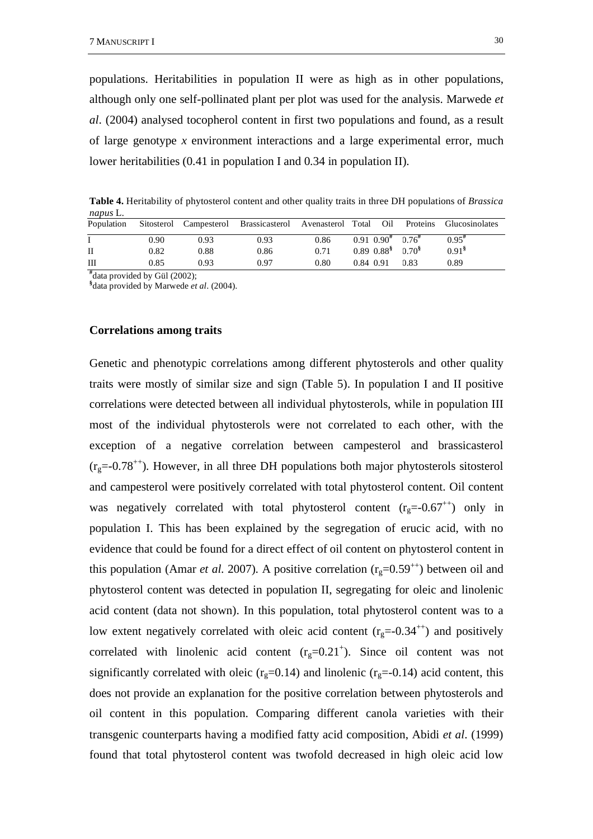populations. Heritabilities in population II were as high as in other populations, although only one self-pollinated plant per plot was used for the analysis. Marwede *et al*. (2004) analysed tocopherol content in first two populations and found, as a result of large genotype *x* environment interactions and a large experimental error, much lower heritabilities (0.41 in population I and 0.34 in population II).

**Table 4.** Heritability of phytosterol content and other quality traits in three DH populations of *Brassica napus* L.

| Population |      |      | Sitosterol Campesterol Brassicasterol Avenasterol Total |      | Oil                                            |      | Proteins Glucosinolates |
|------------|------|------|---------------------------------------------------------|------|------------------------------------------------|------|-------------------------|
|            | 0.90 | 0.93 | 0.93                                                    | 0.86 | $0.91$ $0.90^{\#}$ $0.76^{\#}$                 |      | $0.95^{\#}$             |
| H          | 0.82 | 0.88 | 0.86                                                    | 0.71 | $0.89$ $0.88$ <sup>§</sup> $0.70$ <sup>§</sup> |      | 0.91 <sup>8</sup>       |
| Ш          | 0.85 | 0.93 | 0.97                                                    | 0.80 | 0.84 0.91                                      | 0.83 | 0.89                    |
|            |      |      |                                                         |      |                                                |      |                         |

**#** data provided by Gül (2002);

**§** data provided by Marwede *et al*. (2004).

#### **Correlations among traits**

Genetic and phenotypic correlations among different phytosterols and other quality traits were mostly of similar size and sign (Table 5). In population I and II positive correlations were detected between all individual phytosterols, while in population III most of the individual phytosterols were not correlated to each other, with the exception of a negative correlation between campesterol and brassicasterol  $(r<sub>g</sub>=-0.78<sup>++</sup>)$ . However, in all three DH populations both major phytosterols sitosterol and campesterol were positively correlated with total phytosterol content. Oil content was negatively correlated with total phytosterol content  $(r<sub>g</sub>=0.67<sup>++</sup>)$  only in population I. This has been explained by the segregation of erucic acid, with no evidence that could be found for a direct effect of oil content on phytosterol content in this population (Amar *et al.* 2007). A positive correlation ( $r<sub>e</sub>=0.59<sup>++</sup>$ ) between oil and phytosterol content was detected in population II, segregating for oleic and linolenic acid content (data not shown). In this population, total phytosterol content was to a low extent negatively correlated with oleic acid content  $(r<sub>g</sub>=0.34<sup>++</sup>)$  and positively correlated with linolenic acid content  $(r_g=0.21^+)$ . Since oil content was not significantly correlated with oleic ( $r<sub>g</sub>=0.14$ ) and linolenic ( $r<sub>g</sub>=-0.14$ ) acid content, this does not provide an explanation for the positive correlation between phytosterols and oil content in this population. Comparing different canola varieties with their transgenic counterparts having a modified fatty acid composition, Abidi *et al*. (1999) found that total phytosterol content was twofold decreased in high oleic acid low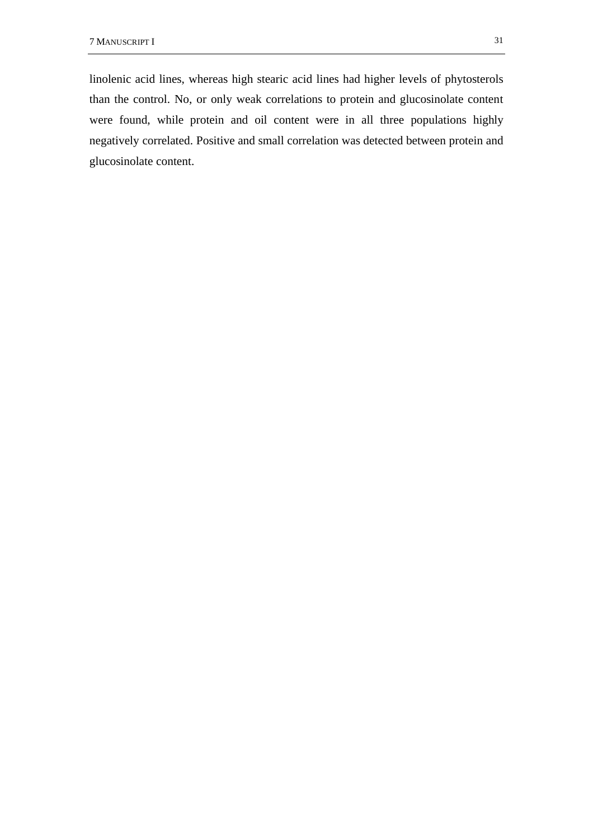linolenic acid lines, whereas high stearic acid lines had higher levels of phytosterols than the control. No, or only weak correlations to protein and glucosinolate content were found, while protein and oil content were in all three populations highly negatively correlated. Positive and small correlation was detected between protein and glucosinolate content.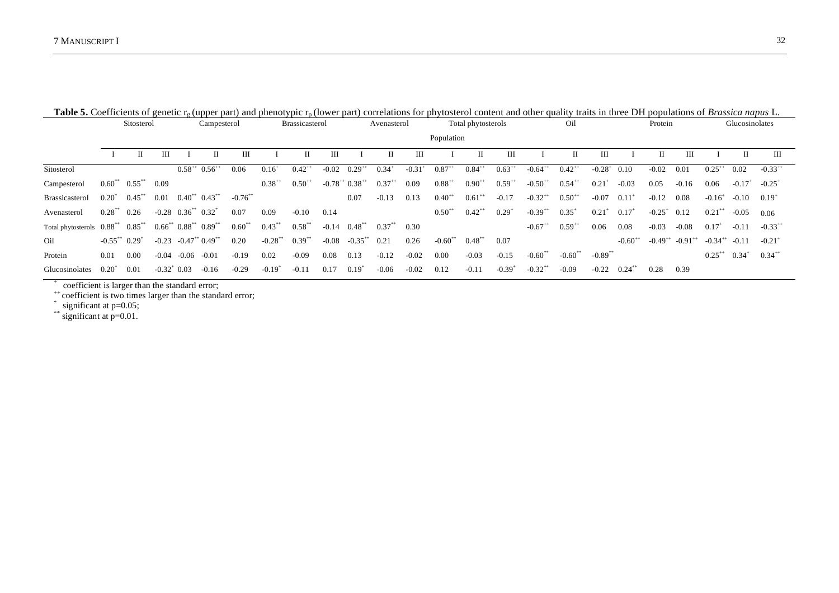|                                            | Sitosterol          |                          | Campesterol                         |                              |                         | <b>Brassicasterol</b> |                 |                      |                          | Avenasterol                  |            | Total phytosterols |                       |             | Oil         |                       |                      | Protein               |                     |                      | Glucosinolates        |                        |                      |                      |
|--------------------------------------------|---------------------|--------------------------|-------------------------------------|------------------------------|-------------------------|-----------------------|-----------------|----------------------|--------------------------|------------------------------|------------|--------------------|-----------------------|-------------|-------------|-----------------------|----------------------|-----------------------|---------------------|----------------------|-----------------------|------------------------|----------------------|----------------------|
|                                            |                     |                          |                                     |                              |                         |                       |                 |                      |                          |                              |            |                    |                       | Population  |             |                       |                      |                       |                     |                      |                       |                        |                      |                      |
|                                            |                     | П                        | Ш                                   |                              | П                       | Ш                     |                 |                      | Ш                        |                              | П          | Ш                  |                       | П           | Ш           |                       |                      | Ш                     |                     |                      | Ш                     |                        | П                    | Ш                    |
| Sitosterol                                 |                     |                          |                                     | $0.58^{++}$ $0.56^{++}$      |                         | 0.06                  | $0.16^+$        | $0.42$ <sup>**</sup> | $-0.02$                  | $0.29^{+1}$                  | $0.34^{+}$ | $-0.31$            | $0.87^{+1}$           | $0.84^{+1}$ | $0.63^{+1}$ | $-0.64$ <sup>**</sup> | $0.42^{++}$          | $-0.28$ <sup>+</sup>  | 0.10                | $-0.02$              | 0.01                  | $0.25^{+1}$            | 0.02                 | $-0.33^{++}$         |
| Campesterol                                |                     | $0.60^{***}$ $0.55^{**}$ | 0.09                                |                              |                         |                       | $0.38^{+}$      | $0.50^{+1}$          | $-0.78^{++}$ $0.38^{++}$ |                              | $0.37^{+}$ | 0.09               | $0.88^{+4}$           | $0.90^{+}$  | $0.59^{+}$  | $-0.50^{++}$          | $0.54^{+4}$          | 0.21                  | $-0.03$             | 0.05                 | $-0.16$               | 0.06                   | $-0.17$ <sup>+</sup> | $-0.25$ <sup>+</sup> |
| Brassicasterol                             | $0.20^{*}$          | $0.45***$                | 0.01                                |                              | $0.40^{**}$ $0.43^{**}$ | $-0.76$               |                 |                      |                          | 0.07                         | $-0.13$    | 0.13               | $0.40^{+}$            | $0.61^{+1}$ | $-0.17$     | $-0.32$ <sup>**</sup> | $0.50^{+4}$          | $-0.07$               | $0.11^{\circ}$      | $-0.12$              | 0.08                  | $-0.16^{+}$            | $-0.10$              | $0.19^{+}$           |
| Avenasterol                                | $0.28^{**}$ 0.26    |                          |                                     | $-0.28$ $0.36^{**}$ $0.32^*$ |                         | 0.07                  | 0.09            | $-0.10$              | 0.14                     |                              |            |                    | $0.50^{+}$            | $0.42^{+1}$ | $0.29^{+}$  | $-0.39^{++}$          | $0.35^{+}$           | 0.21                  | $0.17^{+}$          | $-0.25$ <sup>+</sup> | 0.12                  | $0.21^{+1}$            | -0.05                | 0.06                 |
| Total phytosterols $0.88^{**}$ $0.85^{**}$ |                     |                          | $0.66^{**}$ $0.88^{**}$ $0.89^{**}$ |                              |                         | $0.60***$             | $0.43***$       | $0.58***$            |                          | $-0.14$ $0.48$ <sup>**</sup> | $0.37***$  | 0.30               |                       |             |             | $-0.67$ <sup>++</sup> | $0.59^{+1}$          | 0.06                  | 0.08                | $-0.03$              | $-0.08$               | $0.17^{+}$             | $-0.11$              | $-0.33^{+1}$         |
| Oil                                        | $-0.55$ ** $0.29$ * |                          |                                     | $-0.23$ $-0.47**$ $0.49**$   |                         | 0.20                  | $-0.28***$      | $0.39***$            | $-0.08$                  | $-0.35***$                   | 0.21       | 0.26               | $-0.60$ <sup>**</sup> | $0.48***$   | 0.07        |                       |                      |                       | $-0.60^{++}$        | $-0.49^{++}$         | $-0.91$ <sup>**</sup> | $-0.34^{++}$ $-0.11$   |                      | $-0.21$ <sup>+</sup> |
| Protein                                    | 0.01                | 0.00                     |                                     | $-0.04$ $-0.06$ $-0.01$      |                         | $-0.19$               | 0.02            | $-0.09$              | 0.08                     | 0.13                         | $-0.12$    | $-0.02$            | 0.00                  | $-0.03$     | $-0.15$     | $-0.60$ <sup>**</sup> | $-0.60$ <sup>*</sup> | $-0.89$ <sup>**</sup> |                     |                      |                       | $0.25^{++}$ $0.34^{+}$ |                      | $0.34^{+1}$          |
| Glucosinolates                             | 0.20"               | 0.01                     | $-0.32^*$ 0.03                      |                              | $-0.16$                 | $-0.29$               | $-0.19^{\circ}$ | $-0.11$              | 0.17                     | $0.19^{*}$                   | $-0.06$    | $-0.02$            | 0.12                  | $-0.11$     | $-0.39"$    | $-0.32$ <sup>**</sup> | $-0.09$              | $-0.22$               | $0.24$ <sup>*</sup> | 0.28                 | 0.39                  |                        |                      |                      |

Table 5. Coefficients of genetic r<sub>g</sub> (upper part) and phenotypic r<sub>p</sub> (lower part) correlations for phytosterol content and other quality traits in three DH populations of *Brassica napus* L.

+ coefficient is larger than the standard error;

<sup>++</sup> coefficient is two times larger than the standard error;

 $*$  significant at  $p=0.05$ ;

\*\* significant at p=0.01.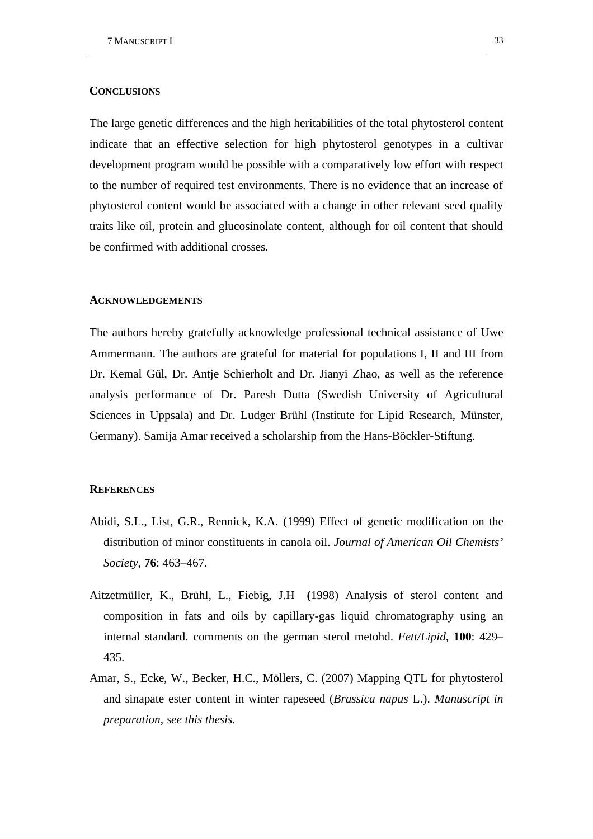# **CONCLUSIONS**

The large genetic differences and the high heritabilities of the total phytosterol content indicate that an effective selection for high phytosterol genotypes in a cultivar development program would be possible with a comparatively low effort with respect to the number of required test environments. There is no evidence that an increase of phytosterol content would be associated with a change in other relevant seed quality traits like oil, protein and glucosinolate content, although for oil content that should be confirmed with additional crosses.

# **ACKNOWLEDGEMENTS**

The authors hereby gratefully acknowledge professional technical assistance of Uwe Ammermann. The authors are grateful for material for populations I, II and III from Dr. Kemal Gül, Dr. Antje Schierholt and Dr. Jianyi Zhao, as well as the reference analysis performance of Dr. Paresh Dutta (Swedish University of Agricultural Sciences in Uppsala) and Dr. Ludger Brühl (Institute for Lipid Research, Münster, Germany). Samija Amar received a scholarship from the Hans-Böckler-Stiftung.

#### **REFERENCES**

- Abidi, S.L., List, G.R., Rennick, K.A. (1999) Effect of genetic modification on the distribution of minor constituents in canola oil. *Journal of American Oil Chemists' Society*, **76**: 463–467.
- Aitzetmüller, K., Brühl, L., Fiebig, J.H **(**1998) Analysis of sterol content and composition in fats and oils by capillary-gas liquid chromatography using an internal standard. comments on the german sterol metohd. *Fett/Lipid*, **100**: 429– 435.
- Amar, S., Ecke, W., Becker, H.C., Möllers, C. (2007) Mapping QTL for phytosterol and sinapate ester content in winter rapeseed (*Brassica napus* L.). *Manuscript in preparation, see this thesis*.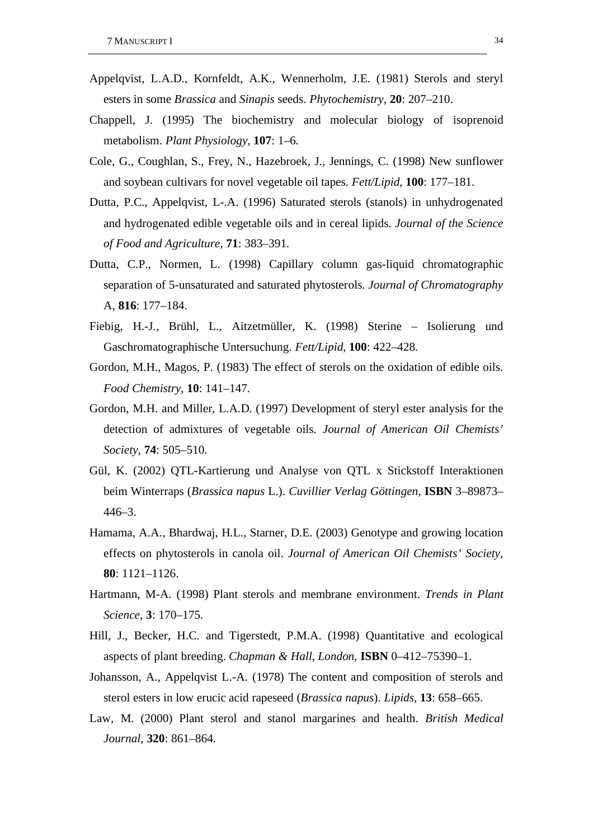- Appelqvist, L.A.D., Kornfeldt, A.K., Wennerholm, J.E. (1981) Sterols and steryl esters in some *Brassica* and *Sinapis* seeds. *Phytochemistry*, **20**: 207–210.
- Chappell, J. (1995) The biochemistry and molecular biology of isoprenoid metabolism. *Plant Physiology*, **107**: 1–6.
- Cole, G., Coughlan, S., Frey, N., Hazebroek, J., Jennings, C. (1998) New sunflower and soybean cultivars for novel vegetable oil tapes. *Fett/Lipid*, **100**: 177–181.
- Dutta, P.C., Appelqvist, L-.A. (1996) Saturated sterols (stanols) in unhydrogenated and hydrogenated edible vegetable oils and in cereal lipids. *Journal of the Science of Food and Agriculture*, **71**: 383–391.
- Dutta, C.P., Normen, L. (1998) Capillary column gas-liquid chromatographic separation of 5-unsaturated and saturated phytosterols. *Journal of Chromatography*  A, **816**: 177–184.
- Fiebig, H.-J., Brühl, L., Aitzetmüller, K. (1998) Sterine Isolierung und Gaschromatographische Untersuchung. *Fett/Lipid*, **100**: 422–428.
- Gordon, M.H., Magos, P. (1983) The effect of sterols on the oxidation of edible oils. *Food Chemistry*, **10**: 141–147.
- Gordon, M.H. and Miller, L.A.D. (1997) Development of steryl ester analysis for the detection of admixtures of vegetable oils. *Journal of American Oil Chemists' Society*, **74**: 505–510.
- Gül, K. (2002) QTL-Kartierung und Analyse von QTL x Stickstoff Interaktionen beim Winterraps (*Brassica napus* L.). *Cuvillier Verlag Göttingen*, **ISBN** 3–89873– 446–3.
- Hamama, A.A., Bhardwaj, H.L., Starner, D.E. (2003) Genotype and growing location effects on phytosterols in canola oil. *Journal of American Oil Chemists' Society*, **80**: 1121–1126.
- Hartmann, M-A. (1998) Plant sterols and membrane environment. *Trends in Plant Science*, **3**: 170–175.
- Hill, J., Becker, H.C. and Tigerstedt, P.M.A. (1998) Quantitative and ecological aspects of plant breeding. *Chapman & Hall, London*, **ISBN** 0–412–75390–1.
- Johansson, A., Appelqvist L.-A. (1978) The content and composition of sterols and sterol esters in low erucic acid rapeseed (*Brassica napus*). *Lipids*, **13**: 658–665.
- Law, M. (2000) Plant sterol and stanol margarines and health. *British Medical Journal*, **320**: 861–864.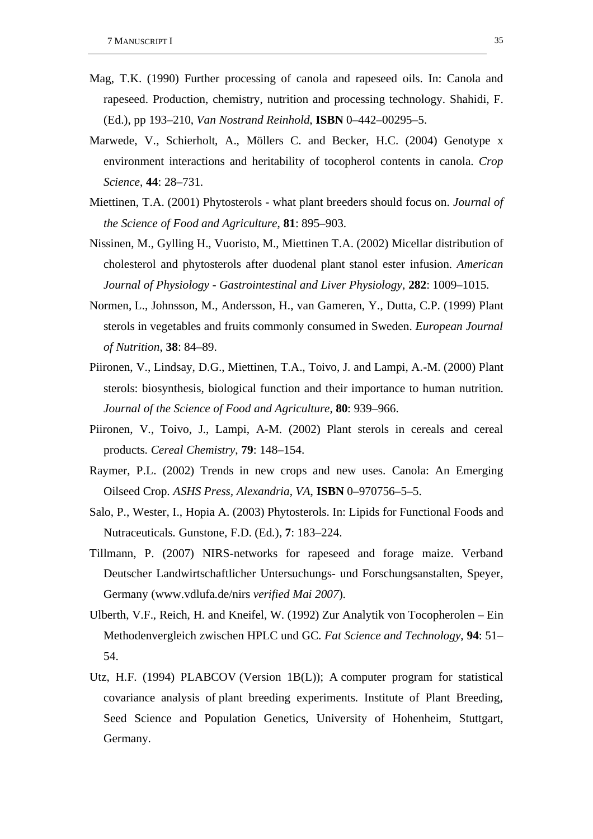- Mag, T.K. (1990) Further processing of canola and rapeseed oils. In: Canola and rapeseed. Production, chemistry, nutrition and processing technology. Shahidi, F. (Ed.), pp 193–210, *Van Nostrand Reinhold*, **ISBN** 0–442–00295–5.
- Marwede, V., Schierholt, A., Möllers C. and Becker, H.C. (2004) Genotype x environment interactions and heritability of tocopherol contents in canola. *Crop Science*, **44**: 28–731.
- Miettinen, T.A. (2001) Phytosterols what plant breeders should focus on. *Journal of the Science of Food and Agriculture*, **81**: 895–903.
- Nissinen, M., Gylling H., Vuoristo, M., Miettinen T.A. (2002) Micellar distribution of cholesterol and phytosterols after duodenal plant stanol ester infusion. *American Journal of Physiology - Gastrointestinal and Liver Physiology*, **282**: 1009–1015.
- Normen, L., Johnsson, M., Andersson, H., van Gameren, Y., Dutta, C.P. (1999) Plant sterols in vegetables and fruits commonly consumed in Sweden. *European Journal of Nutrition*, **38**: 84–89.
- Piironen, V., Lindsay, D.G., Miettinen, T.A., Toivo, J. and Lampi, A.-M. (2000) Plant sterols: biosynthesis, biological function and their importance to human nutrition. *Journal of the Science of Food and Agriculture*, **80**: 939–966.
- Piironen, V., Toivo, J., Lampi, A-M. (2002) Plant sterols in cereals and cereal products. *Cereal Chemistry*, **79**: 148–154.
- Raymer, P.L. (2002) Trends in new crops and new uses. Canola: An Emerging Oilseed Crop. *ASHS Press, Alexandria*, *VA*, **ISBN** 0–970756–5–5.
- Salo, P., Wester, I., Hopia A. (2003) Phytosterols. In: Lipids for Functional Foods and Nutraceuticals. Gunstone, F.D. (Ed.), **7**: 183–224.
- Tillmann, P. (2007) NIRS-networks for rapeseed and forage maize. Verband Deutscher Landwirtschaftlicher Untersuchungs- und Forschungsanstalten, Speyer, Germany (www.vdlufa.de/nirs *verified Mai 2007*).
- Ulberth, V.F., Reich, H. and Kneifel, W. (1992) Zur Analytik von Tocopherolen Ein Methodenvergleich zwischen HPLC und GC. *Fat Science and Technology*, **94**: 51– 54.
- Utz, H.F. (1994) PLABCOV (Version 1B(L)); A computer program for statistical covariance analysis of plant breeding experiments. Institute of Plant Breeding, Seed Science and Population Genetics, University of Hohenheim, Stuttgart, Germany.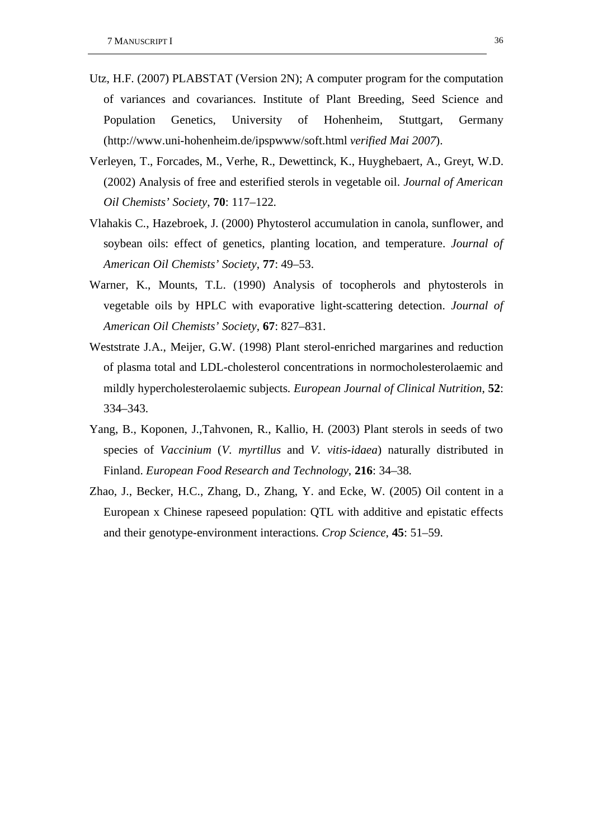- Utz, H.F. (2007) PLABSTAT (Version 2N); A computer program for the computation of variances and covariances. Institute of Plant Breeding, Seed Science and Population Genetics, University of Hohenheim, Stuttgart, Germany (http://www.uni-hohenheim.de/ipspwww/soft.html *verified Mai 2007*).
- Verleyen, T., Forcades, M., Verhe, R., Dewettinck, K., Huyghebaert, A., Greyt, W.D. (2002) Analysis of free and esterified sterols in vegetable oil. *Journal of American Oil Chemists' Society*, **70**: 117–122.
- Vlahakis C., Hazebroek, J. (2000) Phytosterol accumulation in canola, sunflower, and soybean oils: effect of genetics, planting location, and temperature. *Journal of American Oil Chemists' Society*, **77**: 49–53.
- Warner, K., Mounts, T.L. (1990) Analysis of tocopherols and phytosterols in vegetable oils by HPLC with evaporative light-scattering detection. *Journal of American Oil Chemists' Society*, **67**: 827–831.
- Weststrate J.A., Meijer, G.W. (1998) Plant sterol-enriched margarines and reduction of plasma total and LDL-cholesterol concentrations in normocholesterolaemic and mildly hypercholesterolaemic subjects. *European Journal of Clinical Nutrition*, **52**: 334–343.
- Yang, B., Koponen, J.,Tahvonen, R., Kallio, H. (2003) Plant sterols in seeds of two species of *Vaccinium* (*V. myrtillus* and *V. vitis-idaea*) naturally distributed in Finland. *European Food Research and Technology*, **216**: 34–38.
- Zhao, J., Becker, H.C., Zhang, D., Zhang, Y. and Ecke, W. (2005) Oil content in a European x Chinese rapeseed population: QTL with additive and epistatic effects and their genotype-environment interactions. *Crop Science*, **45**: 51–59.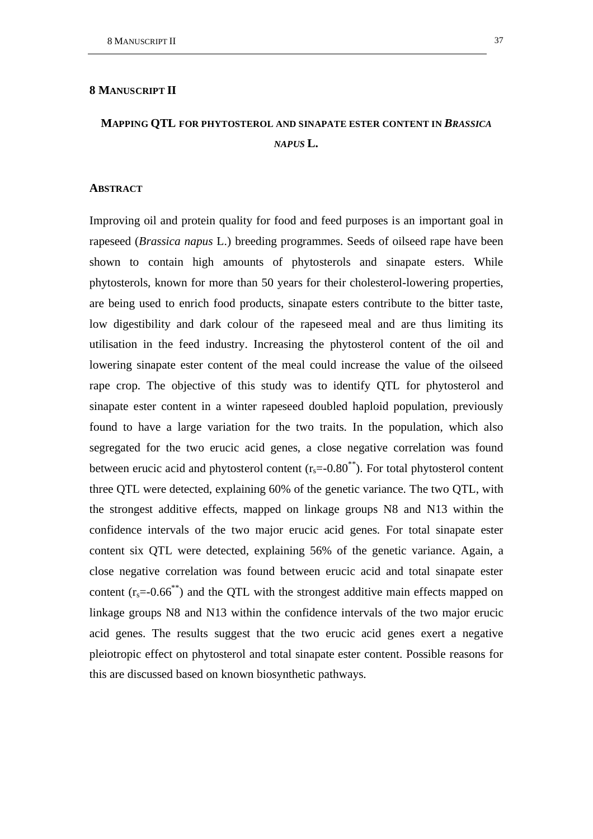## **8 MANUSCRIPT II**

# **MAPPING QTL FOR PHYTOSTEROL AND SINAPATE ESTER CONTENT IN** *BRASSICA*   $NAPIIS$   $\mathbf{L}$ .

## **ABSTRACT**

Improving oil and protein quality for food and feed purposes is an important goal in rapeseed (*Brassica napus* L.) breeding programmes. Seeds of oilseed rape have been shown to contain high amounts of phytosterols and sinapate esters. While phytosterols, known for more than 50 years for their cholesterol-lowering properties, are being used to enrich food products, sinapate esters contribute to the bitter taste, low digestibility and dark colour of the rapeseed meal and are thus limiting its utilisation in the feed industry. Increasing the phytosterol content of the oil and lowering sinapate ester content of the meal could increase the value of the oilseed rape crop. The objective of this study was to identify QTL for phytosterol and sinapate ester content in a winter rapeseed doubled haploid population, previously found to have a large variation for the two traits. In the population, which also segregated for the two erucic acid genes, a close negative correlation was found between erucic acid and phytosterol content  $(r_s=0.80^{**})$ . For total phytosterol content three QTL were detected, explaining 60% of the genetic variance. The two QTL, with the strongest additive effects, mapped on linkage groups N8 and N13 within the confidence intervals of the two major erucic acid genes. For total sinapate ester content six QTL were detected, explaining 56% of the genetic variance. Again, a close negative correlation was found between erucic acid and total sinapate ester content  $(r_s=0.66^{**})$  and the QTL with the strongest additive main effects mapped on linkage groups N8 and N13 within the confidence intervals of the two major erucic acid genes. The results suggest that the two erucic acid genes exert a negative pleiotropic effect on phytosterol and total sinapate ester content. Possible reasons for this are discussed based on known biosynthetic pathways.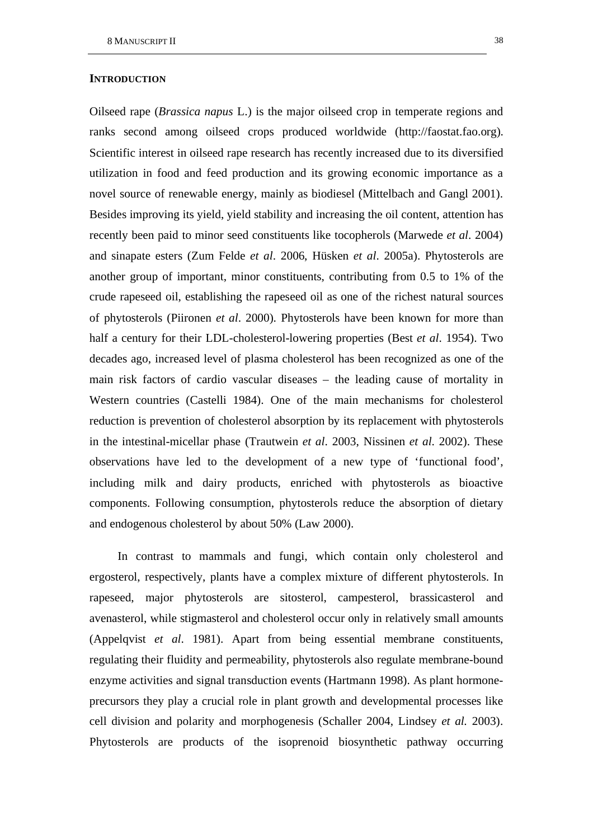#### **INTRODUCTION**

Oilseed rape (*Brassica napus* L.) is the major oilseed crop in temperate regions and ranks second among oilseed crops produced worldwide (http://faostat.fao.org). Scientific interest in oilseed rape research has recently increased due to its diversified utilization in food and feed production and its growing economic importance as a novel source of renewable energy, mainly as biodiesel (Mittelbach and Gangl 2001). Besides improving its yield, yield stability and increasing the oil content, attention has recently been paid to minor seed constituents like tocopherols (Marwede *et al*. 2004) and sinapate esters (Zum Felde *et al*. 2006, Hüsken *et al*. 2005a). Phytosterols are another group of important, minor constituents, contributing from 0.5 to 1% of the crude rapeseed oil, establishing the rapeseed oil as one of the richest natural sources of phytosterols (Piironen *et al*. 2000). Phytosterols have been known for more than half a century for their LDL-cholesterol-lowering properties (Best *et al*. 1954). Two decades ago, increased level of plasma cholesterol has been recognized as one of the main risk factors of cardio vascular diseases – the leading cause of mortality in Western countries (Castelli 1984). One of the main mechanisms for cholesterol reduction is prevention of cholesterol absorption by its replacement with phytosterols in the intestinal-micellar phase (Trautwein *et al*. 2003, Nissinen *et al*. 2002). These observations have led to the development of a new type of 'functional food', including milk and dairy products, enriched with phytosterols as bioactive components. Following consumption, phytosterols reduce the absorption of dietary and endogenous cholesterol by about 50% (Law 2000).

In contrast to mammals and fungi, which contain only cholesterol and ergosterol, respectively, plants have a complex mixture of different phytosterols. In rapeseed, major phytosterols are sitosterol, campesterol, brassicasterol and avenasterol, while stigmasterol and cholesterol occur only in relatively small amounts (Appelqvist *et al*. 1981). Apart from being essential membrane constituents, regulating their fluidity and permeability, phytosterols also regulate membrane-bound enzyme activities and signal transduction events (Hartmann 1998). As plant hormoneprecursors they play a crucial role in plant growth and developmental processes like cell division and polarity and morphogenesis (Schaller 2004, Lindsey *et al.* 2003). Phytosterols are products of the isoprenoid biosynthetic pathway occurring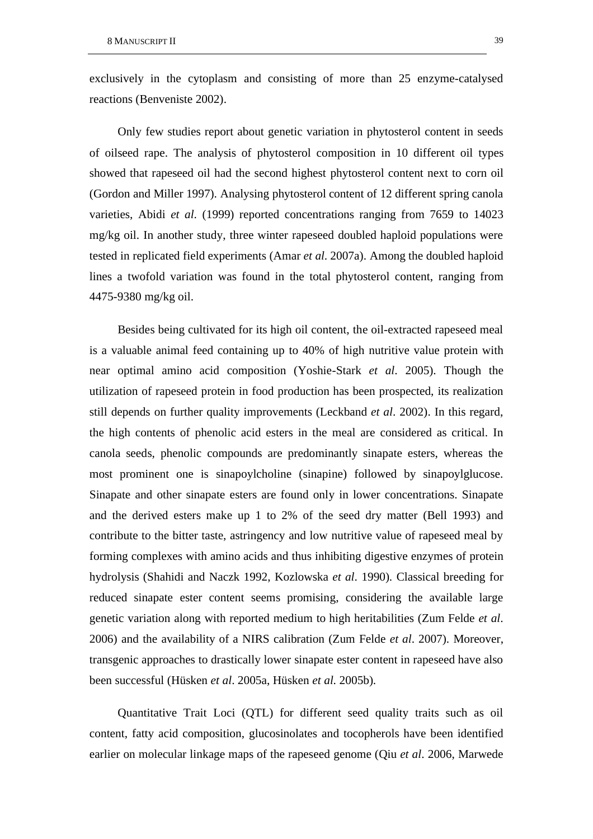exclusively in the cytoplasm and consisting of more than 25 enzyme-catalysed reactions (Benveniste 2002).

Only few studies report about genetic variation in phytosterol content in seeds of oilseed rape. The analysis of phytosterol composition in 10 different oil types showed that rapeseed oil had the second highest phytosterol content next to corn oil (Gordon and Miller 1997). Analysing phytosterol content of 12 different spring canola varieties, Abidi *et al*. (1999) reported concentrations ranging from 7659 to 14023 mg/kg oil. In another study, three winter rapeseed doubled haploid populations were tested in replicated field experiments (Amar *et al*. 2007a). Among the doubled haploid lines a twofold variation was found in the total phytosterol content, ranging from 4475-9380 mg/kg oil.

Besides being cultivated for its high oil content, the oil-extracted rapeseed meal is a valuable animal feed containing up to 40% of high nutritive value protein with near optimal amino acid composition (Yoshie-Stark *et al*. 2005). Though the utilization of rapeseed protein in food production has been prospected, its realization still depends on further quality improvements (Leckband *et al*. 2002). In this regard, the high contents of phenolic acid esters in the meal are considered as critical. In canola seeds, phenolic compounds are predominantly sinapate esters, whereas the most prominent one is sinapoylcholine (sinapine) followed by sinapoylglucose. Sinapate and other sinapate esters are found only in lower concentrations. Sinapate and the derived esters make up 1 to 2% of the seed dry matter (Bell 1993) and contribute to the bitter taste, astringency and low nutritive value of rapeseed meal by forming complexes with amino acids and thus inhibiting digestive enzymes of protein hydrolysis (Shahidi and Naczk 1992, Kozlowska *et al*. 1990). Classical breeding for reduced sinapate ester content seems promising, considering the available large genetic variation along with reported medium to high heritabilities (Zum Felde *et al*. 2006) and the availability of a NIRS calibration (Zum Felde *et al*. 2007). Moreover, transgenic approaches to drastically lower sinapate ester content in rapeseed have also been successful (Hüsken *et al*. 2005a, Hüsken *et al*. 2005b).

Quantitative Trait Loci (QTL) for different seed quality traits such as oil content, fatty acid composition, glucosinolates and tocopherols have been identified earlier on molecular linkage maps of the rapeseed genome (Qiu *et al*. 2006, Marwede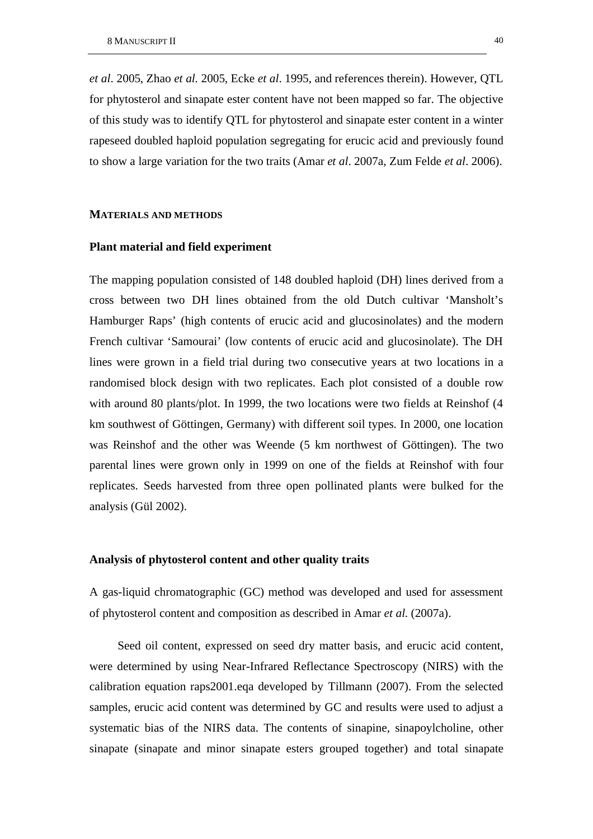*et al*. 2005, Zhao *et al*. 2005, Ecke *et al*. 1995, and references therein). However, QTL for phytosterol and sinapate ester content have not been mapped so far. The objective of this study was to identify QTL for phytosterol and sinapate ester content in a winter rapeseed doubled haploid population segregating for erucic acid and previously found to show a large variation for the two traits (Amar *et al*. 2007a, Zum Felde *et al*. 2006).

### **MATERIALS AND METHODS**

## **Plant material and field experiment**

The mapping population consisted of 148 doubled haploid (DH) lines derived from a cross between two DH lines obtained from the old Dutch cultivar 'Mansholt's Hamburger Raps' (high contents of erucic acid and glucosinolates) and the modern French cultivar 'Samourai' (low contents of erucic acid and glucosinolate). The DH lines were grown in a field trial during two consecutive years at two locations in a randomised block design with two replicates. Each plot consisted of a double row with around 80 plants/plot. In 1999, the two locations were two fields at Reinshof (4 km southwest of Göttingen, Germany) with different soil types. In 2000, one location was Reinshof and the other was Weende (5 km northwest of Göttingen). The two parental lines were grown only in 1999 on one of the fields at Reinshof with four replicates. Seeds harvested from three open pollinated plants were bulked for the analysis (Gül 2002).

#### **Analysis of phytosterol content and other quality traits**

A gas-liquid chromatographic (GC) method was developed and used for assessment of phytosterol content and composition as described in Amar *et al*. (2007a).

Seed oil content, expressed on seed dry matter basis, and erucic acid content, were determined by using Near-Infrared Reflectance Spectroscopy (NIRS) with the calibration equation raps2001.eqa developed by Tillmann (2007). From the selected samples, erucic acid content was determined by GC and results were used to adjust a systematic bias of the NIRS data. The contents of sinapine, sinapoylcholine, other sinapate (sinapate and minor sinapate esters grouped together) and total sinapate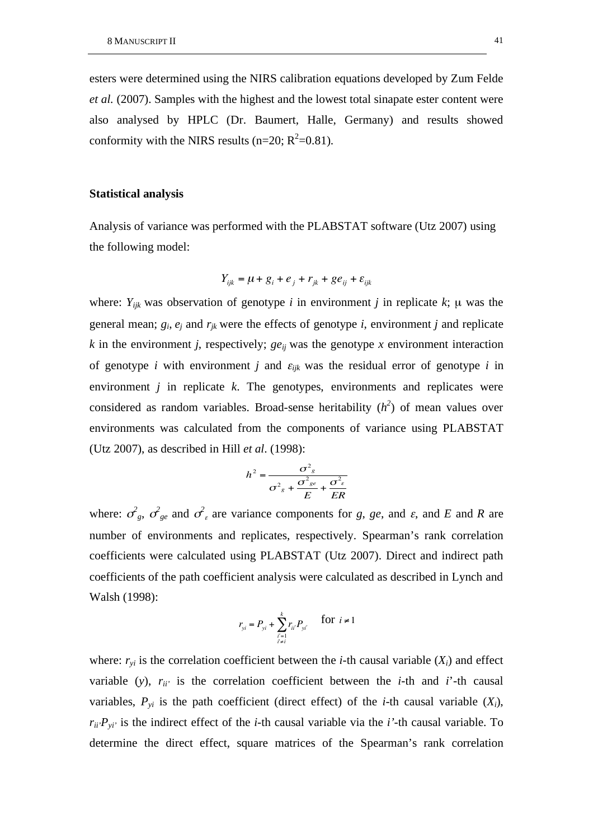esters were determined using the NIRS calibration equations developed by Zum Felde *et al.* (2007). Samples with the highest and the lowest total sinapate ester content were also analysed by HPLC (Dr. Baumert, Halle, Germany) and results showed conformity with the NIRS results ( $n=20$ ;  $R^2=0.81$ ).

## **Statistical analysis**

Analysis of variance was performed with the PLABSTAT software (Utz 2007) using the following model:

$$
Y_{ijk} = \mu + g_i + e_j + r_{jk} + g e_{ij} + \varepsilon_{ijk}
$$

where:  $Y_{ijk}$  was observation of genotype *i* in environment *j* in replicate *k*;  $\mu$  was the general mean;  $g_i$ ,  $e_j$  and  $r_{ik}$  were the effects of genotype *i*, environment *j* and replicate *k* in the environment *j*, respectively; *ge<sub>ij</sub>* was the genotype *x* environment interaction of genotype *i* with environment *j* and  $\varepsilon_{ijk}$  was the residual error of genotype *i* in environment *j* in replicate *k*. The genotypes, environments and replicates were considered as random variables. Broad-sense heritability  $(h^2)$  of mean values over environments was calculated from the components of variance using PLABSTAT (Utz 2007), as described in Hill *et al*. (1998):

$$
h^{2} = \frac{\sigma_{g}^{2}}{\sigma_{g}^{2} + \frac{\sigma_{ge}^{2}}{E} + \frac{\sigma_{g}^{2}}{ER}}
$$

where:  $\sigma_{g}$ ,  $\sigma_{g}$  and  $\sigma_{g}$  are variance components for *g*, *ge*, and *ε*, and *E* and *R* are number of environments and replicates, respectively. Spearman's rank correlation coefficients were calculated using PLABSTAT (Utz 2007). Direct and indirect path coefficients of the path coefficient analysis were calculated as described in Lynch and Walsh (1998):

$$
r_{yi} = P_{yi} + \sum_{\substack{i'=1 \ i \neq i}}^{k} r_{ii'} P_{yi'} \quad \text{for } i \neq 1
$$

where:  $r_{vi}$  is the correlation coefficient between the *i*-th causal variable  $(X_i)$  and effect variable (*y*),  $r_{ii'}$  is the correlation coefficient between the *i*-th and *i*'-th causal variables,  $P_{yi}$  is the path coefficient (direct effect) of the *i*-th causal variable  $(X_i)$ ,  $r_{ii'}P_{\nu i'}$  is the indirect effect of the *i*-th causal variable via the *i*'-th causal variable. To determine the direct effect, square matrices of the Spearman's rank correlation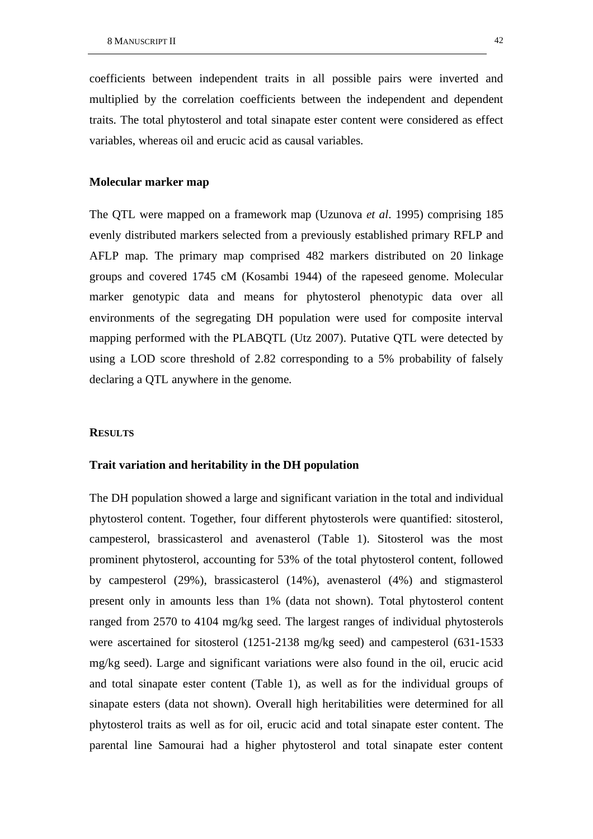coefficients between independent traits in all possible pairs were inverted and multiplied by the correlation coefficients between the independent and dependent traits. The total phytosterol and total sinapate ester content were considered as effect variables, whereas oil and erucic acid as causal variables.

## **Molecular marker map**

The QTL were mapped on a framework map (Uzunova *et al*. 1995) comprising 185 evenly distributed markers selected from a previously established primary RFLP and AFLP map. The primary map comprised 482 markers distributed on 20 linkage groups and covered 1745 cM (Kosambi 1944) of the rapeseed genome. Molecular marker genotypic data and means for phytosterol phenotypic data over all environments of the segregating DH population were used for composite interval mapping performed with the PLABQTL (Utz 2007). Putative QTL were detected by using a LOD score threshold of 2.82 corresponding to a 5% probability of falsely declaring a QTL anywhere in the genome.

#### **RESULTS**

## **Trait variation and heritability in the DH population**

The DH population showed a large and significant variation in the total and individual phytosterol content. Together, four different phytosterols were quantified: sitosterol, campesterol, brassicasterol and avenasterol (Table 1). Sitosterol was the most prominent phytosterol, accounting for 53% of the total phytosterol content, followed by campesterol (29%), brassicasterol (14%), avenasterol (4%) and stigmasterol present only in amounts less than 1% (data not shown). Total phytosterol content ranged from 2570 to 4104 mg/kg seed. The largest ranges of individual phytosterols were ascertained for sitosterol (1251-2138 mg/kg seed) and campesterol (631-1533 mg/kg seed). Large and significant variations were also found in the oil, erucic acid and total sinapate ester content (Table 1), as well as for the individual groups of sinapate esters (data not shown). Overall high heritabilities were determined for all phytosterol traits as well as for oil, erucic acid and total sinapate ester content. The parental line Samourai had a higher phytosterol and total sinapate ester content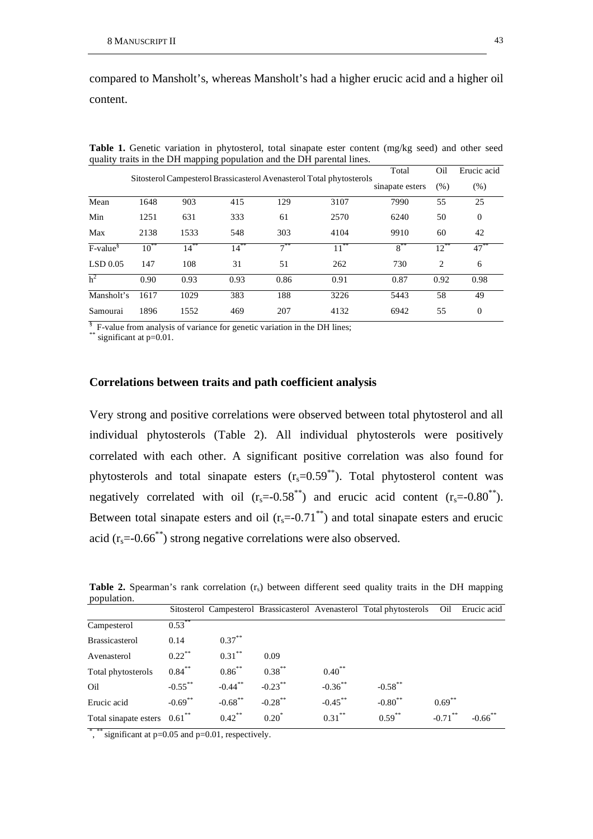compared to Mansholt's, whereas Mansholt's had a higher erucic acid and a higher oil content.

|                |           |         | Total   | Oil    | Erucic acid                                                          |                 |                |                |
|----------------|-----------|---------|---------|--------|----------------------------------------------------------------------|-----------------|----------------|----------------|
|                |           |         |         |        | Sitosterol Campesterol Brassicasterol Avenasterol Total phytosterols | sinapate esters | (% )           | (% )           |
| Mean           | 1648      | 903     | 415     | 129    | 3107                                                                 | 7990            | 55             | 25             |
| Min            | 1251      | 631     | 333     | 61     | 2570                                                                 | 6240            | 50             | $\overline{0}$ |
| Max            | 2138      | 1533    | 548     | 303    | 4104                                                                 | 9910            | 60             | 42             |
| $F-value^{\$}$ | $10^{**}$ | $14***$ | $14***$ | $7***$ | $11***$                                                              | $8***$          | $12***$        | $47***$        |
| LSD 0.05       | 147       | 108     | 31      | 51     | 262                                                                  | 730             | $\overline{2}$ | 6              |
| h <sup>2</sup> | 0.90      | 0.93    | 0.93    | 0.86   | 0.91                                                                 | 0.87            | 0.92           | 0.98           |
| Mansholt's     | 1617      | 1029    | 383     | 188    | 3226                                                                 | 5443            | 58             | 49             |
| Samourai       | 1896      | 1552    | 469     | 207    | 4132                                                                 | 6942            | 55             | $\overline{0}$ |

**Table 1.** Genetic variation in phytosterol, total sinapate ester content (mg/kg seed) and other seed quality traits in the DH mapping population and the DH parental lines.

§ F-value from analysis of variance for genetic variation in the DH lines;

 $*$  significant at  $p=0.01$ .

#### **Correlations between traits and path coefficient analysis**

Very strong and positive correlations were observed between total phytosterol and all individual phytosterols (Table 2). All individual phytosterols were positively correlated with each other. A significant positive correlation was also found for phytosterols and total sinapate esters  $(r_s=0.59^{**})$ . Total phytosterol content was negatively correlated with oil  $(r_s = 0.58^{**})$  and erucic acid content  $(r_s = 0.80^{**})$ . Between total sinapate esters and oil  $(r_s = 0.71^{**})$  and total sinapate esters and erucic acid  $(r_s = 0.66^{**})$  strong negative correlations were also observed.

**Table 2.** Spearman's rank correlation  $(r<sub>s</sub>)$  between different seed quality traits in the DH mapping population.

| population.                                |            |             |            |             |                                                                      |            |             |
|--------------------------------------------|------------|-------------|------------|-------------|----------------------------------------------------------------------|------------|-------------|
|                                            |            |             |            |             | Sitosterol Campesterol Brassicasterol Avenasterol Total phytosterols | Oil        | Erucic acid |
| Campesterol                                | $0.53$ **  |             |            |             |                                                                      |            |             |
| <b>Brassicasterol</b>                      | 0.14       | $0.37***$   |            |             |                                                                      |            |             |
| Avenasterol                                | $0.22$ **  | $0.31***$   | 0.09       |             |                                                                      |            |             |
| Total phytosterols                         | $0.84***$  | $0.86^{**}$ | $0.38***$  | $0.40^{**}$ |                                                                      |            |             |
| Oil                                        | $-0.55***$ | $-0.44$ **  | $-0.23***$ | $-0.36$ **  | $-0.58***$                                                           |            |             |
| Erucic acid                                | $-0.69$ ** | $-0.68$ **  | $-0.28$ ** | $-0.45***$  | $-0.80$ **                                                           | $0.69***$  |             |
| Total sinapate esters $0.61$ <sup>**</sup> |            | $0.42***$   | $0.20*$    | $0.31***$   | $0.59***$                                                            | $-0.71$ ** | $-0.66$ **  |
|                                            |            |             |            |             |                                                                      |            |             |

\*, \*\* significant at p=0.05 and p=0.01, respectively.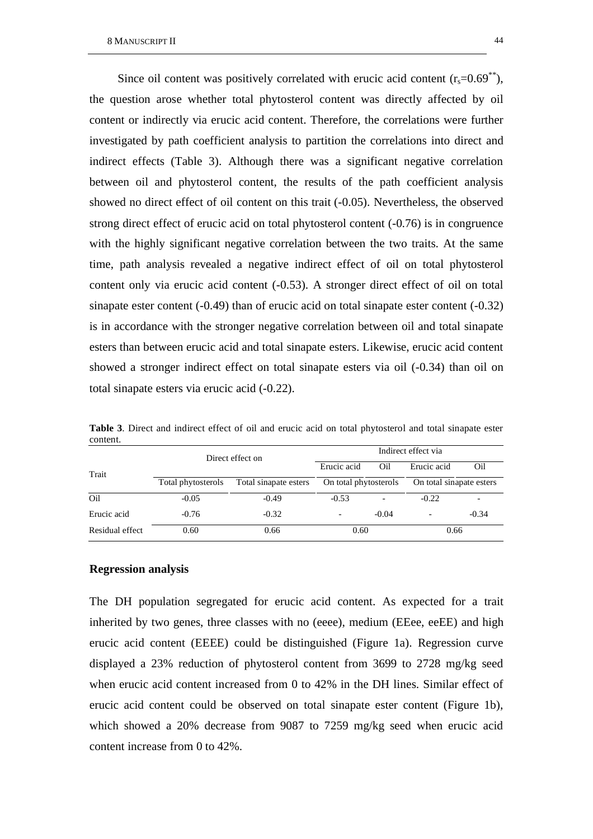Since oil content was positively correlated with erucic acid content  $(r_s=0.69^{**})$ , the question arose whether total phytosterol content was directly affected by oil content or indirectly via erucic acid content. Therefore, the correlations were further investigated by path coefficient analysis to partition the correlations into direct and indirect effects (Table 3). Although there was a significant negative correlation between oil and phytosterol content, the results of the path coefficient analysis showed no direct effect of oil content on this trait (-0.05). Nevertheless, the observed strong direct effect of erucic acid on total phytosterol content (-0.76) is in congruence with the highly significant negative correlation between the two traits. At the same time, path analysis revealed a negative indirect effect of oil on total phytosterol content only via erucic acid content (-0.53). A stronger direct effect of oil on total sinapate ester content (-0.49) than of erucic acid on total sinapate ester content (-0.32) is in accordance with the stronger negative correlation between oil and total sinapate esters than between erucic acid and total sinapate esters. Likewise, erucic acid content showed a stronger indirect effect on total sinapate esters via oil (-0.34) than oil on total sinapate esters via erucic acid (-0.22).

| concent.        |                    |                       |                       |         |                          |         |  |  |
|-----------------|--------------------|-----------------------|-----------------------|---------|--------------------------|---------|--|--|
|                 |                    | Direct effect on      | Indirect effect via   |         |                          |         |  |  |
| Trait           |                    |                       | Erucic acid           | Oil     | Erucic acid              | Oil     |  |  |
|                 | Total phytosterols | Total sinapate esters | On total phytosterols |         | On total sinapate esters |         |  |  |
| Oil             | $-0.05$            | $-0.49$               | $-0.53$               |         | $-0.22$                  |         |  |  |
| Erucic acid     | $-0.76$            | $-0.32$               |                       | $-0.04$ | $\overline{\phantom{0}}$ | $-0.34$ |  |  |
| Residual effect | 0.60               | 0.66                  | 0.60                  |         | 0.66                     |         |  |  |

**Table 3**. Direct and indirect effect of oil and erucic acid on total phytosterol and total sinapate ester content.

#### **Regression analysis**

The DH population segregated for erucic acid content. As expected for a trait inherited by two genes, three classes with no (eeee), medium (EEee, eeEE) and high erucic acid content (EEEE) could be distinguished (Figure 1a). Regression curve displayed a 23% reduction of phytosterol content from 3699 to 2728 mg/kg seed when erucic acid content increased from 0 to 42% in the DH lines. Similar effect of erucic acid content could be observed on total sinapate ester content (Figure 1b), which showed a 20% decrease from 9087 to 7259 mg/kg seed when erucic acid content increase from 0 to 42%.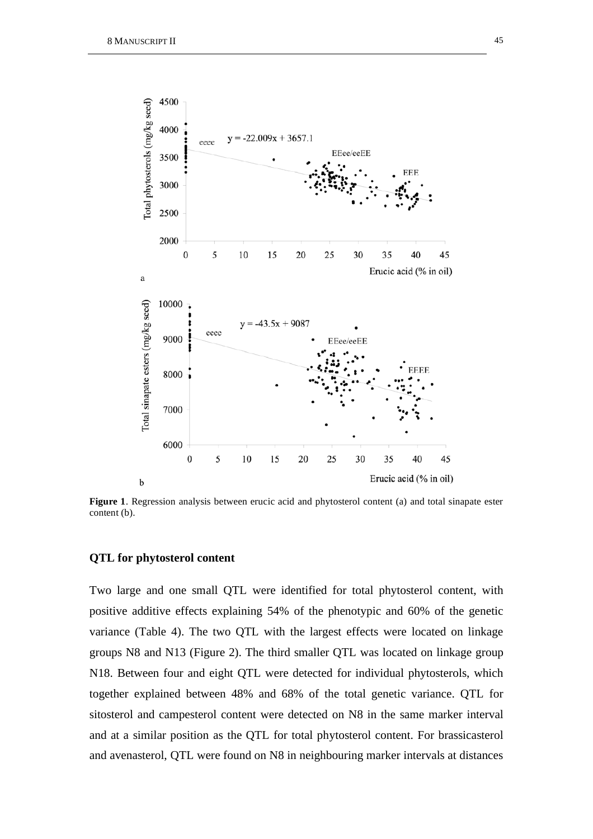

**Figure 1**. Regression analysis between erucic acid and phytosterol content (a) and total sinapate ester content (b).

#### **QTL for phytosterol content**

Two large and one small QTL were identified for total phytosterol content, with positive additive effects explaining 54% of the phenotypic and 60% of the genetic variance (Table 4). The two QTL with the largest effects were located on linkage groups N8 and N13 (Figure 2). The third smaller QTL was located on linkage group N18. Between four and eight QTL were detected for individual phytosterols, which together explained between 48% and 68% of the total genetic variance. QTL for sitosterol and campesterol content were detected on N8 in the same marker interval and at a similar position as the QTL for total phytosterol content. For brassicasterol and avenasterol, QTL were found on N8 in neighbouring marker intervals at distances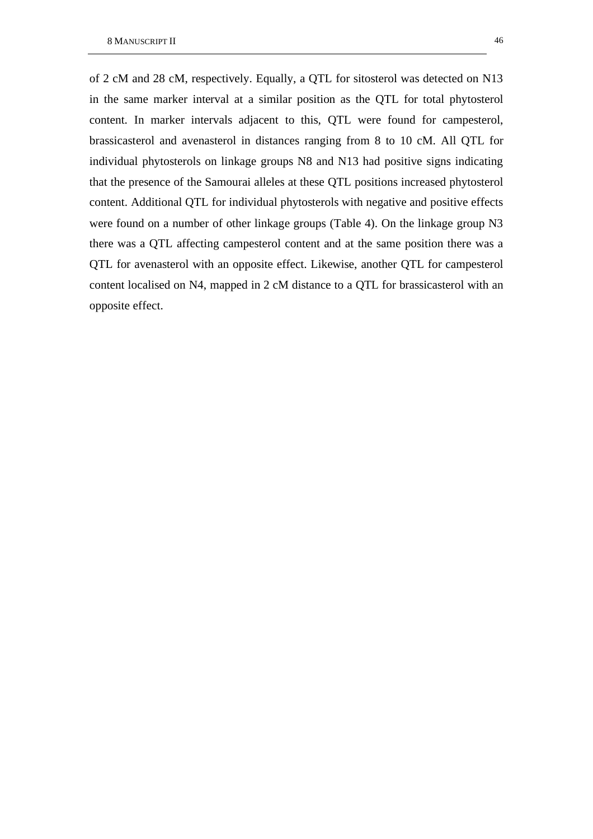of 2 cM and 28 cM, respectively. Equally, a QTL for sitosterol was detected on N13 in the same marker interval at a similar position as the QTL for total phytosterol content. In marker intervals adjacent to this, QTL were found for campesterol, brassicasterol and avenasterol in distances ranging from 8 to 10 cM. All QTL for individual phytosterols on linkage groups N8 and N13 had positive signs indicating that the presence of the Samourai alleles at these QTL positions increased phytosterol content. Additional QTL for individual phytosterols with negative and positive effects were found on a number of other linkage groups (Table 4). On the linkage group N3 there was a QTL affecting campesterol content and at the same position there was a QTL for avenasterol with an opposite effect. Likewise, another QTL for campesterol content localised on N4, mapped in 2 cM distance to a QTL for brassicasterol with an opposite effect.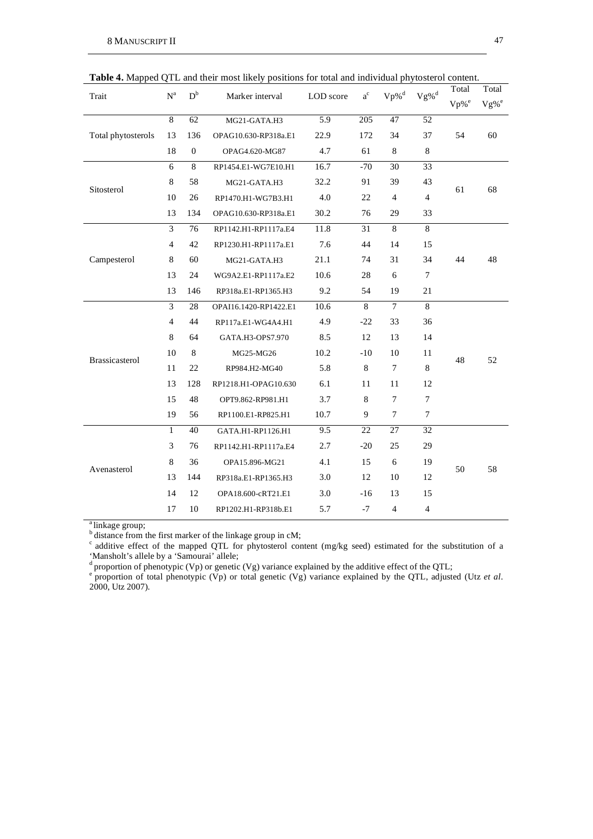|                       |                |              |                                        |                      |                |                |                   | Total              | Total              |
|-----------------------|----------------|--------------|----------------------------------------|----------------------|----------------|----------------|-------------------|--------------------|--------------------|
| Trait                 | $N^a$          | $D^b$        | Marker interval                        | $a^{c}$<br>LOD score |                | $Vp\%^d$       | $\mathrm{Vg\%}^d$ | $Vp%$ <sup>e</sup> | $Vg%$ <sup>e</sup> |
|                       | $\overline{8}$ | 62           | MG21-GATA.H3                           | 5.9                  | 205            | 47             | 52                |                    |                    |
| Total phytosterols    | 13             | 136          | OPAG10.630-RP318a.E1                   | 22.9                 | 172            | 34             | 37                | 54                 | 60                 |
|                       | 18             | $\mathbf{0}$ | OPAG4.620-MG87                         | 4.7                  | 61             | $\,8\,$        | 8                 |                    |                    |
|                       | 6              | 8            | RP1454.E1-WG7E10.H1                    | 16.7                 | $-70$          | 30             | 33                |                    |                    |
| Sitosterol            | 8              | 58           | MG21-GATA.H3                           | 32.2                 | 91             | 39             | 43                | 61                 | 68                 |
|                       | 10             | 26           | RP1470.H1-WG7B3.H1                     | 4.0                  | 22             | $\overline{4}$ | $\overline{4}$    |                    |                    |
|                       | 13             | 134          | OPAG10.630-RP318a.E1                   | 30.2                 | 76             | 29             | 33                |                    |                    |
|                       | $\overline{3}$ | 76           | RP1142.H1-RP1117a.E4                   | 11.8                 | 31             | $\,8\,$        | 8                 |                    |                    |
|                       | $\overline{4}$ | 42           | RP1230.H1-RP1117a.E1                   | 7.6                  | 44             | 14             | 15                |                    |                    |
| Campesterol           | $\,8\,$        | 60           | MG21-GATA.H3                           | 21.1                 | 74             | 31             | 34                | 44                 | 48                 |
|                       | 13             | 24           | 10.6<br>28<br>6<br>WG9A2.E1-RP1117a.E2 |                      | $\overline{7}$ |                |                   |                    |                    |
|                       | 13             | 146          | RP318a.E1-RP1365.H3                    | 9.2                  | 54             | 19             | 21                |                    |                    |
|                       | 3              | 28           | OPAI16.1420-RP1422.E1                  | 10.6                 | 8              | $\tau$         | 8                 |                    |                    |
|                       | $\overline{4}$ | 44           | RP117a.E1-WG4A4.H1                     | 4.9                  | $-22$          | 33             | 36                |                    |                    |
|                       | 8              | 64           | GATA.H3-OPS7.970                       | 8.5                  | 12             | 13             | 14                |                    |                    |
| <b>Brassicasterol</b> | 10             | 8            | MG25-MG26                              | 10.2                 | $-10$          | 10             | 11                | 48                 | 52                 |
|                       | 11             | 22           | RP984.H2-MG40                          | 5.8                  | 8              | $\tau$         | 8                 |                    |                    |
|                       | 13             | 128          | RP1218.H1-OPAG10.630                   | 6.1                  | 11             | 11             | 12                |                    |                    |
|                       | 15             | 48           | OPT9.862-RP981.H1                      | 3.7                  | 8              | 7              | $\tau$            |                    |                    |
|                       | 19             | 56           | RP1100.E1-RP825.H1                     | 10.7                 | 9              | $\tau$         | $\tau$            |                    |                    |
|                       | $\mathbf{1}$   | 40           | GATA.H1-RP1126.H1                      | 9.5                  | 22             | 27             | 32                |                    |                    |
|                       | 3              | 76           | RP1142.H1-RP1117a.E4                   | 2.7                  | $-20$          | 25             | 29                |                    |                    |
|                       | 8              | 36           | OPA15.896-MG21                         | 4.1                  | 15             | 6              | 19                |                    |                    |
| Avenasterol           | 13             | 144          | RP318a.E1-RP1365.H3                    | 3.0                  | 12             | 10             | 12                | 50                 | 58                 |
|                       | 14             | 12           | OPA18.600-cRT21.E1                     | 3.0                  | $-16$          | 13             | 15                |                    |                    |
|                       | 17             | 10           | RP1202.H1-RP318b.E1                    | 5.7                  | $-7$           | 4              | $\overline{4}$    |                    |                    |

**Table 4.** Mapped QTL and their most likely positions for total and individual phytosterol content.

<sup>a</sup> linkage group;

 $<sup>b</sup>$  distance from the first marker of the linkage group in cM;</sup>

c additive effect of the mapped QTL for phytosterol content (mg/kg seed) estimated for the substitution of a 'Mansholt's allele by a 'Samourai' allele;

d proportion of phenotypic (Vp) or genetic (Vg) variance explained by the additive effect of the QTL;<br>
<sup>e</sup> proportion of total phenotypic (Vp) or total genetic (Vg) variance explained by the QTL, adjusted (Utz *et al.*) 2000, Utz 2007).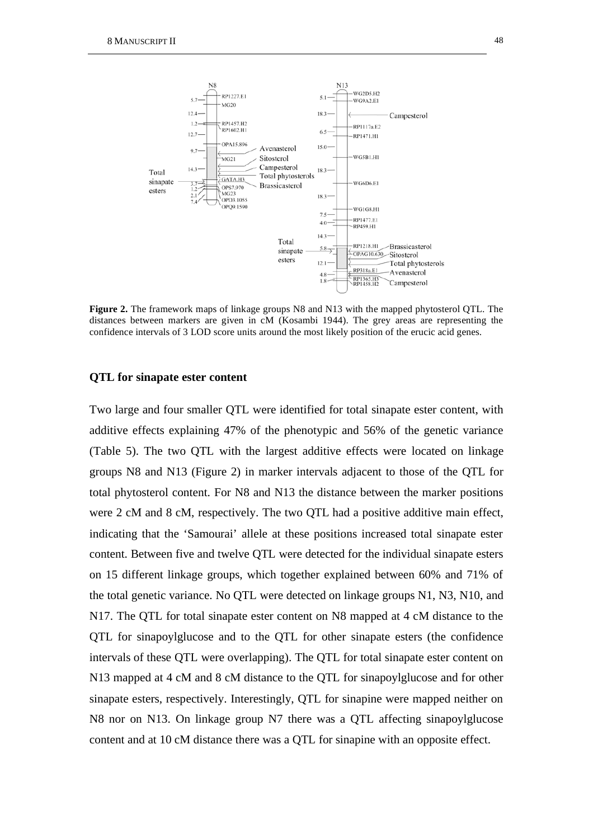

**Figure 2.** The framework maps of linkage groups N8 and N13 with the mapped phytosterol QTL. The distances between markers are given in cM (Kosambi 1944). The grey areas are representing the confidence intervals of 3 LOD score units around the most likely position of the erucic acid genes.

## **QTL for sinapate ester content**

Two large and four smaller QTL were identified for total sinapate ester content, with additive effects explaining 47% of the phenotypic and 56% of the genetic variance (Table 5). The two QTL with the largest additive effects were located on linkage groups N8 and N13 (Figure 2) in marker intervals adjacent to those of the QTL for total phytosterol content. For N8 and N13 the distance between the marker positions were 2 cM and 8 cM, respectively. The two QTL had a positive additive main effect, indicating that the 'Samourai' allele at these positions increased total sinapate ester content. Between five and twelve QTL were detected for the individual sinapate esters on 15 different linkage groups, which together explained between 60% and 71% of the total genetic variance. No QTL were detected on linkage groups N1, N3, N10, and N17. The QTL for total sinapate ester content on N8 mapped at 4 cM distance to the QTL for sinapoylglucose and to the QTL for other sinapate esters (the confidence intervals of these QTL were overlapping). The QTL for total sinapate ester content on N13 mapped at 4 cM and 8 cM distance to the QTL for sinapoylglucose and for other sinapate esters, respectively. Interestingly, QTL for sinapine were mapped neither on N8 nor on N13. On linkage group N7 there was a QTL affecting sinapoylglucose content and at 10 cM distance there was a QTL for sinapine with an opposite effect.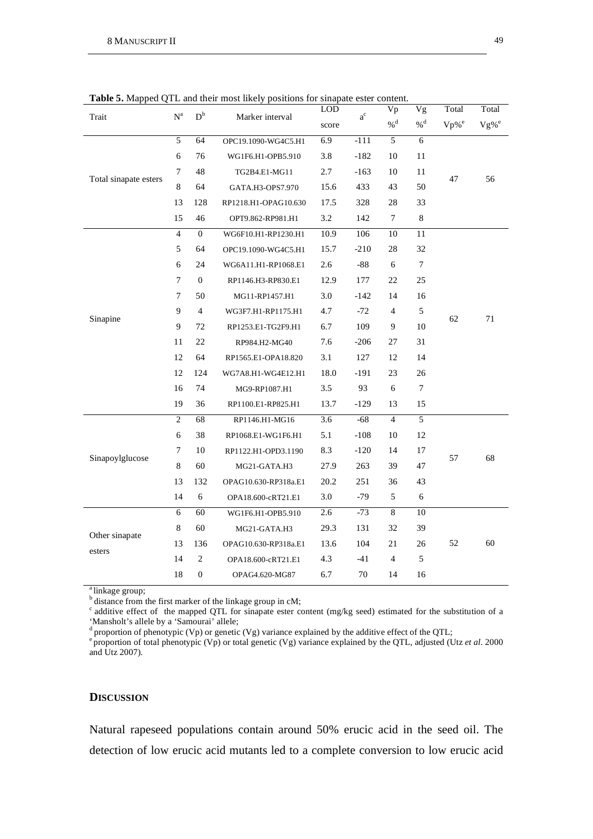| Trait                 | $\mathbf{N}^{\text{a}}$ | $\mathbf{D}^\mathrm{b}$                                |                      | <b>LOD</b><br>$\mathrm{a}^\mathrm{c}$<br>Marker interval<br>score |        | Vp                | Vg     | Total               | Total               |
|-----------------------|-------------------------|--------------------------------------------------------|----------------------|-------------------------------------------------------------------|--------|-------------------|--------|---------------------|---------------------|
|                       |                         |                                                        |                      |                                                                   |        | $\%$ <sup>d</sup> | $\%$ d | $Vp\%$ <sup>e</sup> | $Vg\%$ <sup>e</sup> |
|                       | 5                       | 64                                                     | OPC19.1090-WG4C5.H1  | 6.9                                                               | $-111$ | 5                 | 6      |                     |                     |
|                       | 6                       | 76                                                     | WG1F6.H1-OPB5.910    | 3.8                                                               | $-182$ | 10                | 11     |                     |                     |
|                       | 7                       | 48                                                     | TG2B4.E1-MG11        | 2.7                                                               | $-163$ | 10                | 11     | 47                  | 56                  |
| Total sinapate esters | 8                       | 64                                                     | GATA.H3-OPS7.970     | 15.6                                                              | 433    | 43                | 50     |                     |                     |
|                       | 13                      | 128                                                    | RP1218.H1-OPAG10.630 | 17.5                                                              | 328    | 28                | 33     |                     |                     |
|                       | 15                      | 46                                                     | OPT9.862-RP981.H1    | 3.2                                                               | 142    | $\tau$            | 8      |                     |                     |
|                       | $\overline{4}$          | $\overline{0}$                                         | WG6F10.H1-RP1230.H1  | 10.9                                                              | 106    | 10                | 11     |                     |                     |
|                       | 5                       | 64                                                     | OPC19.1090-WG4C5.H1  | 15.7                                                              | $-210$ | 28                | 32     |                     |                     |
|                       | 6                       | 24                                                     | WG6A11.H1-RP1068.E1  | 2.6                                                               | -88    | 6                 | 7      |                     |                     |
|                       | 7                       | $\mathbf{0}$                                           | RP1146.H3-RP830.E1   | 12.9                                                              | 177    | 22                | 25     |                     |                     |
| Sinapine              | 7                       | 50                                                     | MG11-RP1457.H1       | 3.0<br>$-142$<br>14<br>16                                         |        |                   |        |                     |                     |
|                       | 9<br>4                  |                                                        | WG3F7.H1-RP1175.H1   | 4.7                                                               | $-72$  | 4                 | 5      |                     |                     |
|                       | 9                       | 72                                                     | RP1253.E1-TG2F9.H1   | 6.7                                                               | 109    | 9                 | 10     | 62                  | 71                  |
|                       | 11<br>22                |                                                        | RP984.H2-MG40        | 7.6                                                               | $-206$ | 27                | 31     |                     |                     |
|                       | 12                      | 64                                                     | RP1565.E1-OPA18.820  | 3.1                                                               | 127    | 12                | 14     |                     |                     |
|                       | 12                      | 124                                                    | WG7A8.H1-WG4E12.H1   | 18.0                                                              | $-191$ | 23                | 26     |                     |                     |
|                       | 16                      | 74                                                     | MG9-RP1087.H1        | 3.5                                                               | 93     | 6                 | 7      |                     |                     |
|                       | 19                      | 36                                                     | RP1100.E1-RP825.H1   | 13.7                                                              | $-129$ | 13                | 15     |                     |                     |
|                       | $\overline{2}$          | 68                                                     | RP1146.H1-MG16       | 3.6                                                               | $-68$  | $\overline{4}$    | 5      |                     |                     |
|                       | 6                       | 38                                                     | RP1068.E1-WG1F6.H1   | 5.1                                                               | $-108$ | 10                | 12     |                     |                     |
|                       | 7                       | 10                                                     | RP1122.H1-OPD3.1190  | 8.3                                                               | $-120$ | 14                | 17     |                     |                     |
| Sinapoylglucose       | 8                       | 60                                                     | MG21-GATA.H3         | 27.9                                                              | 263    | 39                | 47     | 57                  | 68                  |
|                       | 13                      | 132                                                    | OPAG10.630-RP318a.E1 | 20.2                                                              | 251    | 36                | 43     |                     |                     |
|                       | 14                      | 6                                                      | OPA18.600-cRT21.E1   | 3.0                                                               | -79    | 5                 | 6      |                     |                     |
|                       | 6                       | 60                                                     | WG1F6.H1-OPB5.910    | 2.6                                                               | $-73$  | $\,8\,$           | 10     |                     |                     |
|                       | 8                       | 60                                                     | MG21-GATA.H3         | 29.3                                                              | 131    | 32                | 39     |                     |                     |
| Other sinapate        | 13                      | 136<br>OPAG10.630-RP318a.E1<br>2<br>OPA18.600-cRT21.E1 |                      | 13.6                                                              | 104    | 21                | 26     | 52                  | 60                  |
| esters                | 14                      |                                                        |                      | 4.3                                                               | -41    | 4                 | 5      |                     |                     |
|                       | 18                      | $\boldsymbol{0}$                                       | OPAG4.620-MG87       | 6.7                                                               | 70     | 14                | 16     |                     |                     |

**Table 5.** Mapped QTL and their most likely positions for sinapate ester content.

<sup>a</sup> linkage group;

b distance from the first marker of the linkage group in cM;

 $\degree$  additive effect of the mapped QTL for sinapate ester content (mg/kg seed) estimated for the substitution of a 'Mansholt's allele by a 'Samourai' allele;

<sup>d</sup> proportion of phenotypic (Vp) or genetic (Vg) variance explained by the additive effect of the QTL;<br><sup>e</sup> proportion of total phenotypic (Vp) or total genetic (Vg) variance explained by the QTL, adjusted (Utz *et al.* 2 and Utz 2007).

### **DISCUSSION**

Natural rapeseed populations contain around 50% erucic acid in the seed oil. The detection of low erucic acid mutants led to a complete conversion to low erucic acid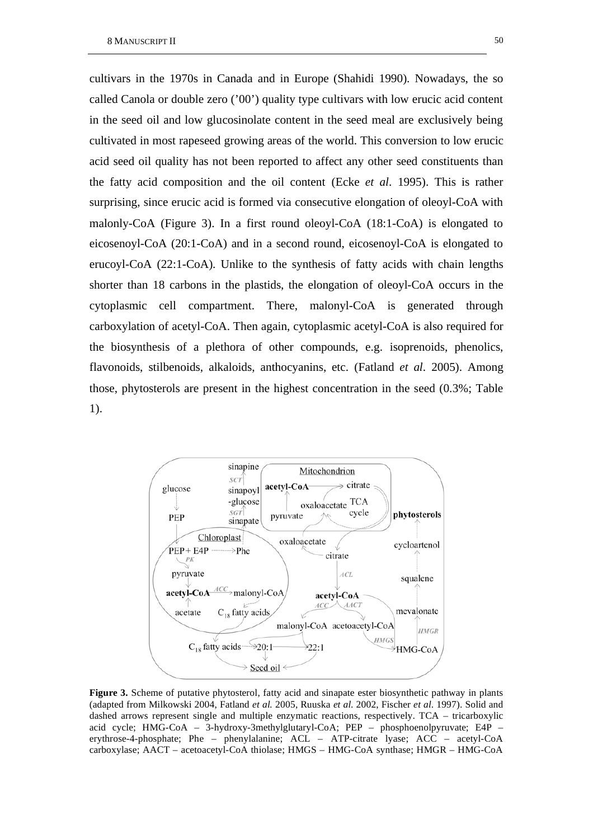cultivars in the 1970s in Canada and in Europe (Shahidi 1990). Nowadays, the so called Canola or double zero ('00') quality type cultivars with low erucic acid content in the seed oil and low glucosinolate content in the seed meal are exclusively being cultivated in most rapeseed growing areas of the world. This conversion to low erucic acid seed oil quality has not been reported to affect any other seed constituents than the fatty acid composition and the oil content (Ecke *et al*. 1995). This is rather surprising, since erucic acid is formed via consecutive elongation of oleoyl-CoA with malonly-CoA (Figure 3). In a first round oleoyl-CoA (18:1-CoA) is elongated to eicosenoyl-CoA (20:1-CoA) and in a second round, eicosenoyl-CoA is elongated to erucoyl-CoA (22:1-CoA). Unlike to the synthesis of fatty acids with chain lengths shorter than 18 carbons in the plastids, the elongation of oleoyl-CoA occurs in the cytoplasmic cell compartment. There, malonyl-CoA is generated through carboxylation of acetyl-CoA. Then again, cytoplasmic acetyl-CoA is also required for the biosynthesis of a plethora of other compounds, e.g. isoprenoids, phenolics, flavonoids, stilbenoids, alkaloids, anthocyanins, etc. (Fatland *et al*. 2005). Among those, phytosterols are present in the highest concentration in the seed (0.3%; Table 1).



**Figure 3.** Scheme of putative phytosterol, fatty acid and sinapate ester biosynthetic pathway in plants (adapted from Milkowski 2004, Fatland *et al.* 2005, Ruuska *et al*. 2002, Fischer *et al*. 1997). Solid and dashed arrows represent single and multiple enzymatic reactions, respectively. TCA – tricarboxylic acid cycle; HMG-CoA – 3-hydroxy-3methylglutaryl-CoA; PEP – phosphoenolpyruvate; E4P – erythrose-4-phosphate; Phe – phenylalanine; ACL – ATP-citrate lyase; ACC – acetyl-CoA carboxylase; AACT – acetoacetyl-CoA thiolase; HMGS – HMG-CoA synthase; HMGR – HMG-CoA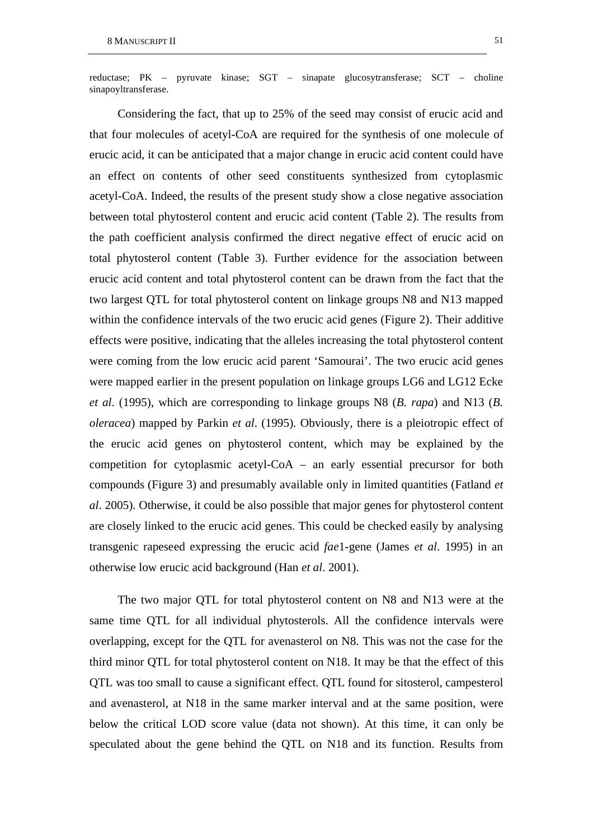reductase; PK – pyruvate kinase; SGT – sinapate glucosytransferase; SCT – choline sinapoyltransferase.

Considering the fact, that up to 25% of the seed may consist of erucic acid and that four molecules of acetyl-CoA are required for the synthesis of one molecule of erucic acid, it can be anticipated that a major change in erucic acid content could have an effect on contents of other seed constituents synthesized from cytoplasmic acetyl-CoA. Indeed, the results of the present study show a close negative association between total phytosterol content and erucic acid content (Table 2). The results from the path coefficient analysis confirmed the direct negative effect of erucic acid on total phytosterol content (Table 3). Further evidence for the association between erucic acid content and total phytosterol content can be drawn from the fact that the two largest QTL for total phytosterol content on linkage groups N8 and N13 mapped within the confidence intervals of the two erucic acid genes (Figure 2). Their additive effects were positive, indicating that the alleles increasing the total phytosterol content were coming from the low erucic acid parent 'Samourai'. The two erucic acid genes were mapped earlier in the present population on linkage groups LG6 and LG12 Ecke *et al*. (1995), which are corresponding to linkage groups N8 (*B. rapa*) and N13 (*B. oleracea*) mapped by Parkin *et al*. (1995). Obviously, there is a pleiotropic effect of the erucic acid genes on phytosterol content, which may be explained by the competition for cytoplasmic acetyl-CoA – an early essential precursor for both compounds (Figure 3) and presumably available only in limited quantities (Fatland *et al*. 2005). Otherwise, it could be also possible that major genes for phytosterol content are closely linked to the erucic acid genes. This could be checked easily by analysing transgenic rapeseed expressing the erucic acid *fae*1-gene (James *et al*. 1995) in an otherwise low erucic acid background (Han *et al*. 2001).

The two major QTL for total phytosterol content on N8 and N13 were at the same time QTL for all individual phytosterols. All the confidence intervals were overlapping, except for the QTL for avenasterol on N8. This was not the case for the third minor QTL for total phytosterol content on N18. It may be that the effect of this QTL was too small to cause a significant effect. QTL found for sitosterol, campesterol and avenasterol, at N18 in the same marker interval and at the same position, were below the critical LOD score value (data not shown). At this time, it can only be speculated about the gene behind the QTL on N18 and its function. Results from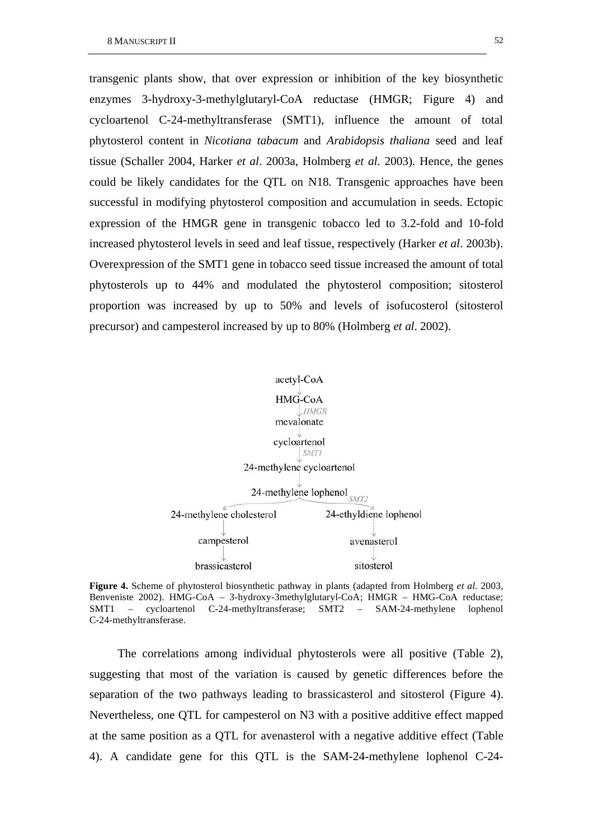transgenic plants show, that over expression or inhibition of the key biosynthetic enzymes 3-hydroxy-3-methylglutaryl-CoA reductase (HMGR; Figure 4) and cycloartenol C-24-methyltransferase (SMT1), influence the amount of total phytosterol content in *Nicotiana tabacum* and *Arabidopsis thaliana* seed and leaf tissue (Schaller 2004, Harker *et al*. 2003a, Holmberg *et al*. 2003). Hence, the genes could be likely candidates for the QTL on N18. Transgenic approaches have been successful in modifying phytosterol composition and accumulation in seeds. Ectopic expression of the HMGR gene in transgenic tobacco led to 3.2-fold and 10-fold increased phytosterol levels in seed and leaf tissue, respectively (Harker *et al*. 2003b). Overexpression of the SMT1 gene in tobacco seed tissue increased the amount of total phytosterols up to 44% and modulated the phytosterol composition; sitosterol proportion was increased by up to 50% and levels of isofucosterol (sitosterol precursor) and campesterol increased by up to 80% (Holmberg *et al*. 2002).



**Figure 4.** Scheme of phytosterol biosynthetic pathway in plants (adapted from Holmberg *et al*. 2003, Benveniste 2002). HMG-CoA – 3-hydroxy-3methylglutaryl-CoA; HMGR – HMG-CoA reductase; SMT1 – cycloartenol C-24-methyltransferase; SMT2 – SAM-24-methylene lophenol C-24-methyltransferase.

The correlations among individual phytosterols were all positive (Table 2), suggesting that most of the variation is caused by genetic differences before the separation of the two pathways leading to brassicasterol and sitosterol (Figure 4). Nevertheless, one QTL for campesterol on N3 with a positive additive effect mapped at the same position as a QTL for avenasterol with a negative additive effect (Table 4). A candidate gene for this QTL is the SAM-24-methylene lophenol C-24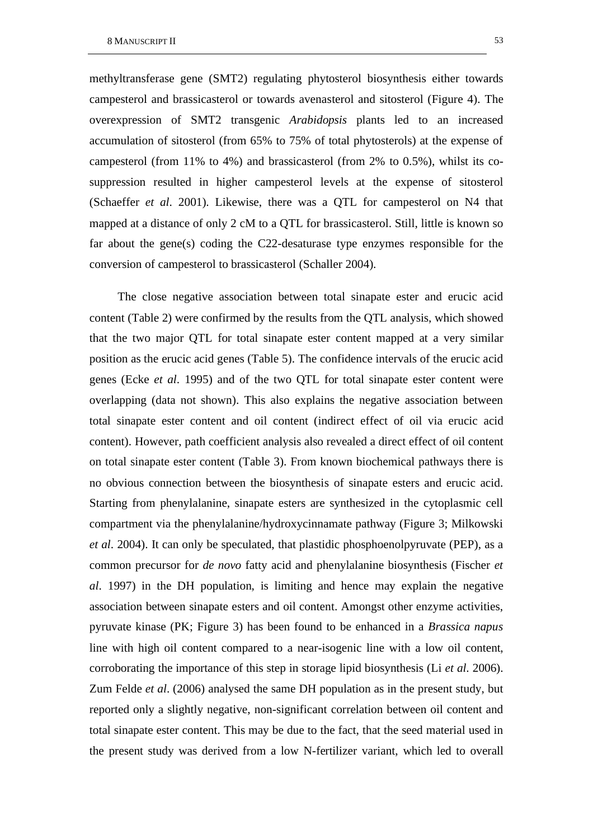methyltransferase gene (SMT2) regulating phytosterol biosynthesis either towards campesterol and brassicasterol or towards avenasterol and sitosterol (Figure 4). The overexpression of SMT2 transgenic *Arabidopsis* plants led to an increased accumulation of sitosterol (from 65% to 75% of total phytosterols) at the expense of campesterol (from 11% to 4%) and brassicasterol (from 2% to 0.5%), whilst its cosuppression resulted in higher campesterol levels at the expense of sitosterol (Schaeffer *et al*. 2001). Likewise, there was a QTL for campesterol on N4 that mapped at a distance of only 2 cM to a QTL for brassicasterol. Still, little is known so far about the gene(s) coding the C22-desaturase type enzymes responsible for the conversion of campesterol to brassicasterol (Schaller 2004).

The close negative association between total sinapate ester and erucic acid content (Table 2) were confirmed by the results from the QTL analysis, which showed that the two major QTL for total sinapate ester content mapped at a very similar position as the erucic acid genes (Table 5). The confidence intervals of the erucic acid genes (Ecke *et al*. 1995) and of the two QTL for total sinapate ester content were overlapping (data not shown). This also explains the negative association between total sinapate ester content and oil content (indirect effect of oil via erucic acid content). However, path coefficient analysis also revealed a direct effect of oil content on total sinapate ester content (Table 3). From known biochemical pathways there is no obvious connection between the biosynthesis of sinapate esters and erucic acid. Starting from phenylalanine, sinapate esters are synthesized in the cytoplasmic cell compartment via the phenylalanine/hydroxycinnamate pathway (Figure 3; Milkowski *et al*. 2004). It can only be speculated, that plastidic phosphoenolpyruvate (PEP), as a common precursor for *de novo* fatty acid and phenylalanine biosynthesis (Fischer *et al*. 1997) in the DH population, is limiting and hence may explain the negative association between sinapate esters and oil content. Amongst other enzyme activities, pyruvate kinase (PK; Figure 3) has been found to be enhanced in a *Brassica napus* line with high oil content compared to a near-isogenic line with a low oil content, corroborating the importance of this step in storage lipid biosynthesis (Li *et al*. 2006). Zum Felde *et al*. (2006) analysed the same DH population as in the present study, but reported only a slightly negative, non-significant correlation between oil content and total sinapate ester content. This may be due to the fact, that the seed material used in the present study was derived from a low N-fertilizer variant, which led to overall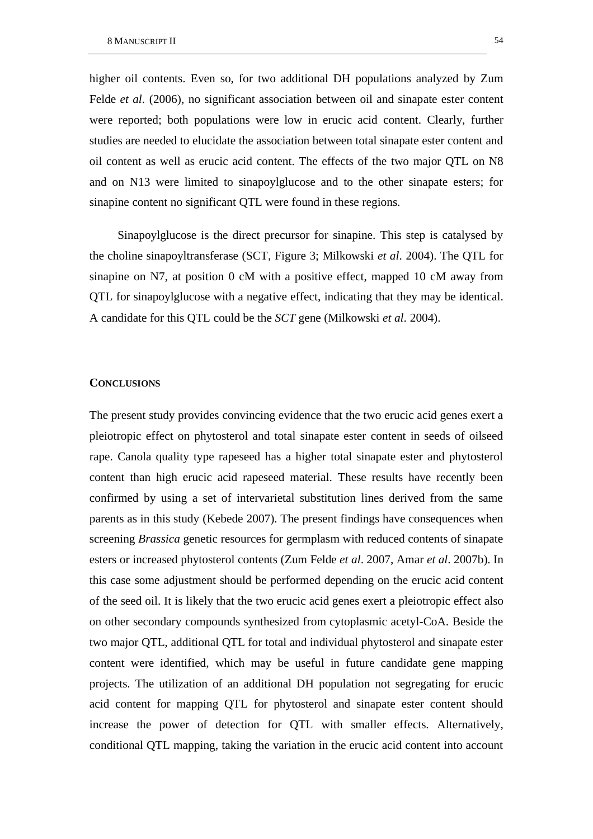higher oil contents. Even so, for two additional DH populations analyzed by Zum Felde *et al*. (2006), no significant association between oil and sinapate ester content were reported; both populations were low in erucic acid content. Clearly, further studies are needed to elucidate the association between total sinapate ester content and oil content as well as erucic acid content. The effects of the two major QTL on N8 and on N13 were limited to sinapoylglucose and to the other sinapate esters; for sinapine content no significant QTL were found in these regions.

Sinapoylglucose is the direct precursor for sinapine. This step is catalysed by the choline sinapoyltransferase (SCT, Figure 3; Milkowski *et al*. 2004). The QTL for sinapine on N7, at position 0 cM with a positive effect, mapped 10 cM away from QTL for sinapoylglucose with a negative effect, indicating that they may be identical. A candidate for this QTL could be the *SCT* gene (Milkowski *et al*. 2004).

### **CONCLUSIONS**

The present study provides convincing evidence that the two erucic acid genes exert a pleiotropic effect on phytosterol and total sinapate ester content in seeds of oilseed rape. Canola quality type rapeseed has a higher total sinapate ester and phytosterol content than high erucic acid rapeseed material. These results have recently been confirmed by using a set of intervarietal substitution lines derived from the same parents as in this study (Kebede 2007). The present findings have consequences when screening *Brassica* genetic resources for germplasm with reduced contents of sinapate esters or increased phytosterol contents (Zum Felde *et al*. 2007, Amar *et al*. 2007b). In this case some adjustment should be performed depending on the erucic acid content of the seed oil. It is likely that the two erucic acid genes exert a pleiotropic effect also on other secondary compounds synthesized from cytoplasmic acetyl-CoA. Beside the two major QTL, additional QTL for total and individual phytosterol and sinapate ester content were identified, which may be useful in future candidate gene mapping projects. The utilization of an additional DH population not segregating for erucic acid content for mapping QTL for phytosterol and sinapate ester content should increase the power of detection for QTL with smaller effects. Alternatively, conditional QTL mapping, taking the variation in the erucic acid content into account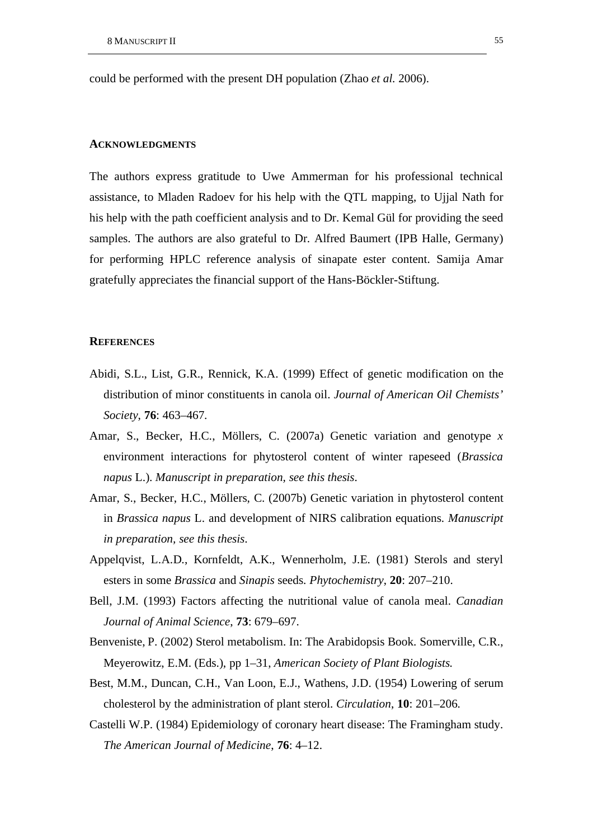could be performed with the present DH population (Zhao *et al*. 2006).

#### **ACKNOWLEDGMENTS**

The authors express gratitude to Uwe Ammerman for his professional technical assistance, to Mladen Radoev for his help with the QTL mapping, to Ujjal Nath for his help with the path coefficient analysis and to Dr. Kemal Gül for providing the seed samples. The authors are also grateful to Dr. Alfred Baumert (IPB Halle, Germany) for performing HPLC reference analysis of sinapate ester content. Samija Amar gratefully appreciates the financial support of the Hans-Böckler-Stiftung.

#### **REFERENCES**

- Abidi, S.L., List, G.R., Rennick, K.A. (1999) Effect of genetic modification on the distribution of minor constituents in canola oil. *Journal of American Oil Chemists' Society*, **76**: 463–467.
- Amar, S., Becker, H.C., Möllers, C. (2007a) Genetic variation and genotype *x* environment interactions for phytosterol content of winter rapeseed (*Brassica napus* L.). *Manuscript in preparation, see this thesis*.
- Amar, S., Becker, H.C., Möllers, C. (2007b) Genetic variation in phytosterol content in *Brassica napus* L. and development of NIRS calibration equations. *Manuscript in preparation, see this thesis*.
- Appelqvist, L.A.D., Kornfeldt, A.K., Wennerholm, J.E. (1981) Sterols and steryl esters in some *Brassica* and *Sinapis* seeds. *Phytochemistry*, **20**: 207–210.
- Bell, J.M. (1993) Factors affecting the nutritional value of canola meal. *Canadian Journal of Animal Science*, **73**: 679–697.
- Benveniste, P. (2002) Sterol metabolism. In: The Arabidopsis Book. Somerville, C.R., Meyerowitz, E.M. (Eds.), pp 1–31, *American Society of Plant Biologists.*
- Best, M.M., Duncan, C.H., Van Loon, E.J., Wathens, J.D. (1954) Lowering of serum cholesterol by the administration of plant sterol. *Circulation*, **10**: 201–206.
- Castelli W.P. (1984) Epidemiology of coronary heart disease: The Framingham study. *The American Journal of Medicine*, **76**: 4–12.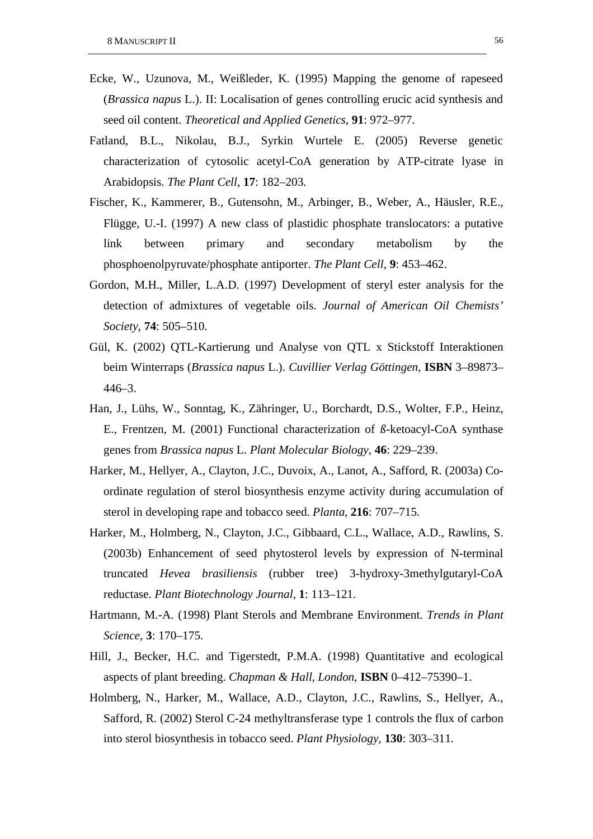- Ecke, W., Uzunova, M., Weißleder, K. (1995) Mapping the genome of rapeseed (*Brassica napus* L.). II: Localisation of genes controlling erucic acid synthesis and seed oil content. *Theoretical and Applied Genetics*, **91**: 972–977.
- Fatland, B.L., Nikolau, B.J., Syrkin Wurtele E. (2005) Reverse genetic characterization of cytosolic acetyl-CoA generation by ATP-citrate lyase in Arabidopsis. *The Plant Cell*, **17**: 182–203.
- Fischer, K., Kammerer, B., Gutensohn, M., Arbinger, B., Weber, A., Häusler, R.E., Flügge, U.-I. (1997) A new class of plastidic phosphate translocators: a putative link between primary and secondary metabolism by the phosphoenolpyruvate/phosphate antiporter. *The Plant Cell*, **9**: 453–462.
- Gordon, M.H., Miller, L.A.D. (1997) Development of steryl ester analysis for the detection of admixtures of vegetable oils. *Journal of American Oil Chemists' Society*, **74**: 505–510.
- Gül, K. (2002) QTL-Kartierung und Analyse von QTL x Stickstoff Interaktionen beim Winterraps (*Brassica napus* L.). *Cuvillier Verlag Göttingen*, **ISBN** 3–89873– 446–3.
- Han, J., Lühs, W., Sonntag, K., Zähringer, U., Borchardt, D.S., Wolter, F.P., Heinz, E., Frentzen, M. (2001) Functional characterization of *ß*-ketoacyl-CoA synthase genes from *Brassica napus* L. *Plant Molecular Biology*, **46**: 229–239.
- Harker, M., Hellyer, A., Clayton, J.C., Duvoix, A., Lanot, A., Safford, R. (2003a) Coordinate regulation of sterol biosynthesis enzyme activity during accumulation of sterol in developing rape and tobacco seed. *Planta*, **216**: 707–715.
- Harker, M., Holmberg, N., Clayton, J.C., Gibbaard, C.L., Wallace, A.D., Rawlins, S. (2003b) Enhancement of seed phytosterol levels by expression of N-terminal truncated *Hevea brasiliensis* (rubber tree) 3-hydroxy-3methylgutaryl-CoA reductase. *Plant Biotechnology Journal*, **1**: 113–121.
- Hartmann, M.-A. (1998) Plant Sterols and Membrane Environment. *Trends in Plant Science*, **3**: 170–175.
- Hill, J., Becker, H.C. and Tigerstedt, P.M.A. (1998) Quantitative and ecological aspects of plant breeding. *Chapman & Hall, London*, **ISBN** 0–412–75390–1.
- Holmberg, N., Harker, M., Wallace, A.D., Clayton, J.C., Rawlins, S., Hellyer, A., Safford, R. (2002) Sterol C-24 methyltransferase type 1 controls the flux of carbon into sterol biosynthesis in tobacco seed. *Plant Physiology*, **130**: 303–311.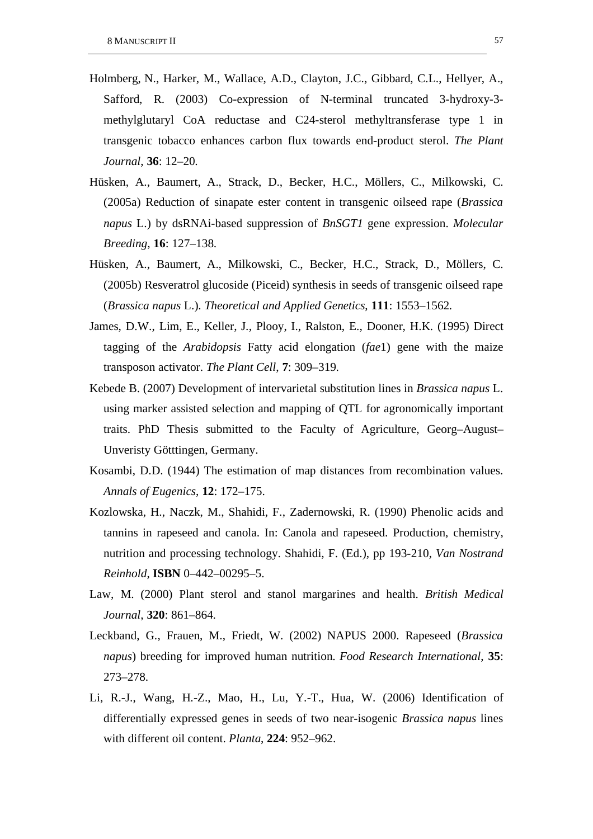- Holmberg, N., Harker, M., Wallace, A.D., Clayton, J.C., Gibbard, C.L., Hellyer, A., Safford, R. (2003) Co-expression of N-terminal truncated 3-hydroxy-3 methylglutaryl CoA reductase and C24-sterol methyltransferase type 1 in transgenic tobacco enhances carbon flux towards end-product sterol. *The Plant Journal*, **36**: 12–20.
- Hüsken, A., Baumert, A., Strack, D., Becker, H.C., Möllers, C., Milkowski, C. (2005a) Reduction of sinapate ester content in transgenic oilseed rape (*Brassica napus* L.) by dsRNAi-based suppression of *BnSGT1* gene expression. *Molecular Breeding*, **16**: 127–138.
- Hüsken, A., Baumert, A., Milkowski, C., Becker, H.C., Strack, D., Möllers, C. (2005b) Resveratrol glucoside (Piceid) synthesis in seeds of transgenic oilseed rape (*Brassica napus* L.). *Theoretical and Applied Genetics*, **111**: 1553–1562.
- James, D.W., Lim, E., Keller, J., Plooy, I., Ralston, E., Dooner, H.K. (1995) Direct tagging of the *Arabidopsis* Fatty acid elongation (*fae*1) gene with the maize transposon activator. *The Plant Cell*, **7**: 309–319.
- Kebede B. (2007) Development of intervarietal substitution lines in *Brassica napus* L. using marker assisted selection and mapping of QTL for agronomically important traits. PhD Thesis submitted to the Faculty of Agriculture, Georg–August– Unveristy Götttingen, Germany.
- Kosambi, D.D. (1944) The estimation of map distances from recombination values. *Annals of Eugenics*, **12**: 172–175.
- Kozlowska, H., Naczk, M., Shahidi, F., Zadernowski, R. (1990) Phenolic acids and tannins in rapeseed and canola. In: Canola and rapeseed. Production, chemistry, nutrition and processing technology. Shahidi, F. (Ed.), pp 193-210, *Van Nostrand Reinhold*, **ISBN** 0–442–00295–5.
- Law, M. (2000) Plant sterol and stanol margarines and health. *British Medical Journal*, **320**: 861–864.
- Leckband, G., Frauen, M., Friedt, W. (2002) NAPUS 2000. Rapeseed (*Brassica napus*) breeding for improved human nutrition. *Food Research International*, **35**: 273–278.
- Li, R.-J., Wang, H.-Z., Mao, H., Lu, Y.-T., Hua, W. (2006) Identification of differentially expressed genes in seeds of two near-isogenic *Brassica napus* lines with different oil content. *Planta*, **224**: 952–962.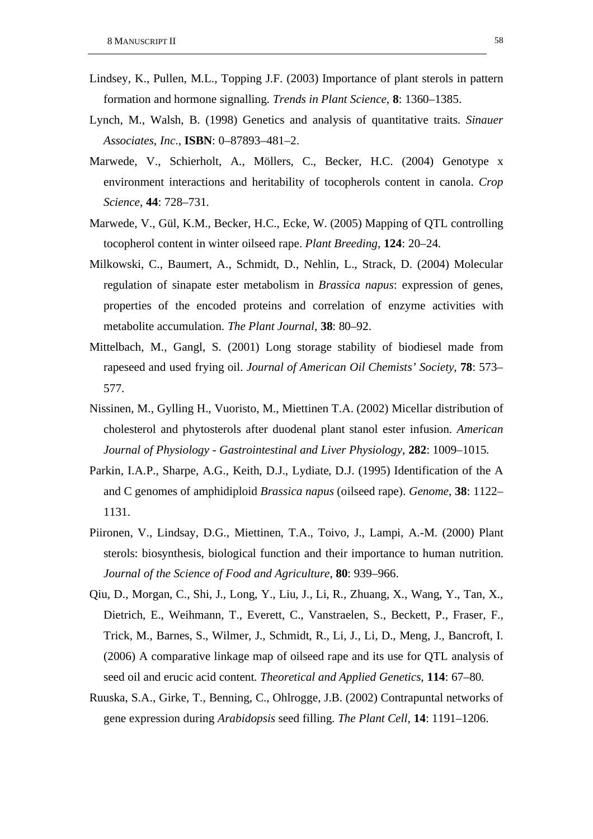- Lindsey, K., Pullen, M.L., Topping J.F. (2003) Importance of plant sterols in pattern formation and hormone signalling. *Trends in Plant Science*, **8**: 1360–1385.
- Lynch, M., Walsh, B. (1998) Genetics and analysis of quantitative traits. *Sinauer Associates*, *Inc*., **ISBN**: 0–87893–481–2.
- Marwede, V., Schierholt, A., Möllers, C., Becker, H.C. (2004) Genotype x environment interactions and heritability of tocopherols content in canola. *Crop Science*, **44**: 728–731.
- Marwede, V., Gül, K.M., Becker, H.C., Ecke, W. (2005) Mapping of QTL controlling tocopherol content in winter oilseed rape. *Plant Breeding*, **124**: 20–24.
- Milkowski, C., Baumert, A., Schmidt, D., Nehlin, L., Strack, D. (2004) Molecular regulation of sinapate ester metabolism in *Brassica napus*: expression of genes, properties of the encoded proteins and correlation of enzyme activities with metabolite accumulation. *The Plant Journal*, **38**: 80–92.
- Mittelbach, M., Gangl, S. (2001) Long storage stability of biodiesel made from rapeseed and used frying oil. *Journal of American Oil Chemists' Society*, **78**: 573– 577.
- Nissinen, M., Gylling H., Vuoristo, M., Miettinen T.A. (2002) Micellar distribution of cholesterol and phytosterols after duodenal plant stanol ester infusion. *American Journal of Physiology - Gastrointestinal and Liver Physiology*, **282**: 1009–1015.
- Parkin, I.A.P., Sharpe, A.G., Keith, D.J., Lydiate, D.J. (1995) Identification of the A and C genomes of amphidiploid *Brassica napus* (oilseed rape). *Genome*, **38**: 1122– 1131.
- Piironen, V., Lindsay, D.G., Miettinen, T.A., Toivo, J., Lampi, A.-M. (2000) Plant sterols: biosynthesis, biological function and their importance to human nutrition. *Journal of the Science of Food and Agriculture*, **80**: 939–966.
- Qiu, D., Morgan, C., Shi, J., Long, Y., Liu, J., Li, R., Zhuang, X., Wang, Y., Tan, X., Dietrich, E., Weihmann, T., Everett, C., Vanstraelen, S., Beckett, P., Fraser, F., Trick, M., Barnes, S., Wilmer, J., Schmidt, R., Li, J., Li, D., Meng, J., Bancroft, I. (2006) A comparative linkage map of oilseed rape and its use for QTL analysis of seed oil and erucic acid content. *Theoretical and Applied Genetics*, **114**: 67–80.
- Ruuska, S.A., Girke, T., Benning, C., Ohlrogge, J.B. (2002) Contrapuntal networks of gene expression during *Arabidopsis* seed filling. *The Plant Cell*, **14**: 1191–1206.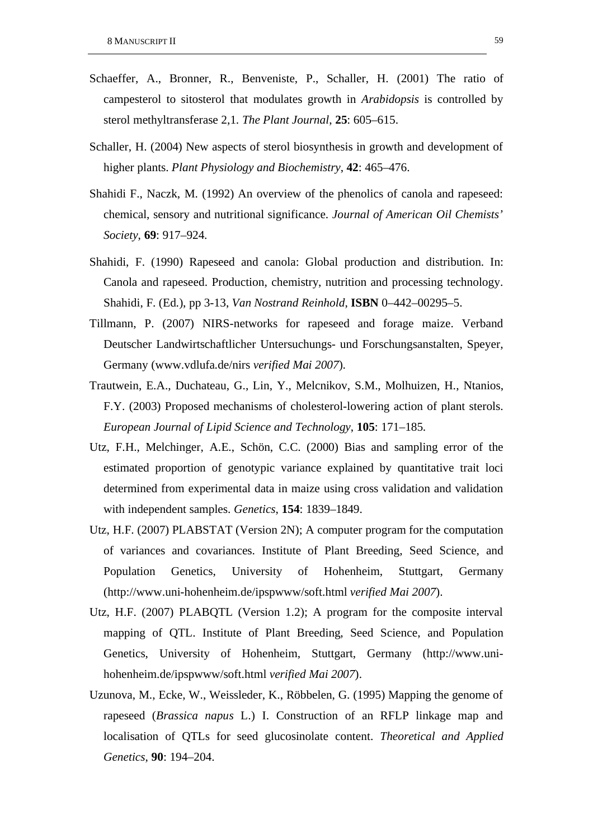- Schaeffer, A., Bronner, R., Benveniste, P., Schaller, H. (2001) The ratio of campesterol to sitosterol that modulates growth in *Arabidopsis* is controlled by sterol methyltransferase 2,1. *The Plant Journal*, **25**: 605–615.
- Schaller, H. (2004) New aspects of sterol biosynthesis in growth and development of higher plants. *Plant Physiology and Biochemistry*, **42**: 465–476.
- Shahidi F., Naczk, M. (1992) An overview of the phenolics of canola and rapeseed: chemical, sensory and nutritional significance. *Journal of American Oil Chemists' Society*, **69**: 917–924.
- Shahidi, F. (1990) Rapeseed and canola: Global production and distribution. In: Canola and rapeseed. Production, chemistry, nutrition and processing technology. Shahidi, F. (Ed.), pp 3-13, *Van Nostrand Reinhold*, **ISBN** 0–442–00295–5.
- Tillmann, P. (2007) NIRS-networks for rapeseed and forage maize. Verband Deutscher Landwirtschaftlicher Untersuchungs- und Forschungsanstalten, Speyer, Germany (www.vdlufa.de/nirs *verified Mai 2007*).
- Trautwein, E.A., Duchateau, G., Lin, Y., Melcnikov, S.M., Molhuizen, H., Ntanios, F.Y. (2003) Proposed mechanisms of cholesterol-lowering action of plant sterols. *European Journal of Lipid Science and Technology*, **105**: 171–185.
- Utz, F.H., Melchinger, A.E., Schön, C.C. (2000) Bias and sampling error of the estimated proportion of genotypic variance explained by quantitative trait loci determined from experimental data in maize using cross validation and validation with independent samples. *Genetics*, **154**: 1839–1849.
- Utz, H.F. (2007) PLABSTAT (Version 2N); A computer program for the computation of variances and covariances. Institute of Plant Breeding, Seed Science, and Population Genetics, University of Hohenheim, Stuttgart, Germany (http://www.uni-hohenheim.de/ipspwww/soft.html *verified Mai 2007*).
- Utz, H.F. (2007) PLABQTL (Version 1.2); A program for the composite interval mapping of QTL. Institute of Plant Breeding, Seed Science, and Population Genetics, University of Hohenheim, Stuttgart, Germany (http://www.unihohenheim.de/ipspwww/soft.html *verified Mai 2007*).
- Uzunova, M., Ecke, W., Weissleder, K., Röbbelen, G. (1995) Mapping the genome of rapeseed (*Brassica napus* L.) I. Construction of an RFLP linkage map and localisation of QTLs for seed glucosinolate content. *Theoretical and Applied Genetics*, **90**: 194–204.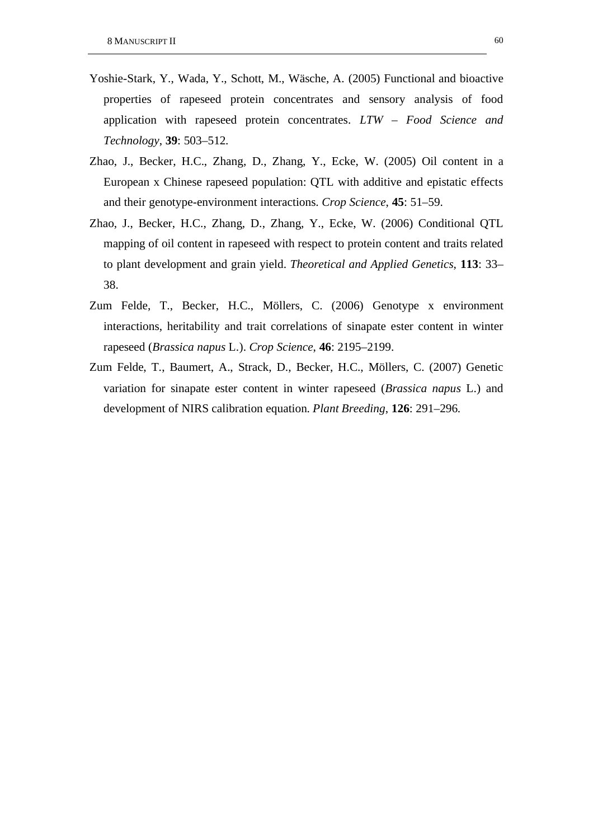- Yoshie-Stark, Y., Wada, Y., Schott, M., Wäsche, A. (2005) Functional and bioactive properties of rapeseed protein concentrates and sensory analysis of food application with rapeseed protein concentrates. *LTW – Food Science and Technology*, **39**: 503–512.
- Zhao, J., Becker, H.C., Zhang, D., Zhang, Y., Ecke, W. (2005) Oil content in a European x Chinese rapeseed population: QTL with additive and epistatic effects and their genotype-environment interactions. *Crop Science*, **45**: 51–59.
- Zhao, J., Becker, H.C., Zhang, D., Zhang, Y., Ecke, W. (2006) Conditional QTL mapping of oil content in rapeseed with respect to protein content and traits related to plant development and grain yield. *Theoretical and Applied Genetics*, **113**: 33– 38.
- Zum Felde, T., Becker, H.C., Möllers, C. (2006) Genotype x environment interactions, heritability and trait correlations of sinapate ester content in winter rapeseed (*Brassica napus* L.). *Crop Science*, **46**: 2195–2199.
- Zum Felde, T., Baumert, A., Strack, D., Becker, H.C., Möllers, C. (2007) Genetic variation for sinapate ester content in winter rapeseed (*Brassica napus* L.) and development of NIRS calibration equation. *Plant Breeding*, **126**: 291–296.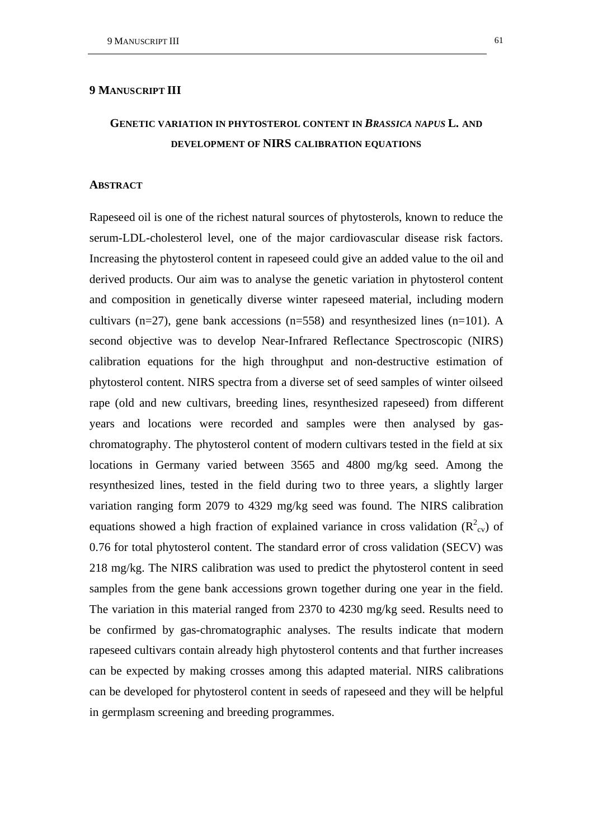## **9 MANUSCRIPT III**

# **GENETIC VARIATION IN PHYTOSTEROL CONTENT IN** *BRASSICA NAPUS* **L. AND DEVELOPMENT OF NIRS CALIBRATION EQUATIONS**

### **ABSTRACT**

Rapeseed oil is one of the richest natural sources of phytosterols, known to reduce the serum-LDL-cholesterol level, one of the major cardiovascular disease risk factors. Increasing the phytosterol content in rapeseed could give an added value to the oil and derived products. Our aim was to analyse the genetic variation in phytosterol content and composition in genetically diverse winter rapeseed material, including modern cultivars (n=27), gene bank accessions (n=558) and resynthesized lines (n=101). A second objective was to develop Near-Infrared Reflectance Spectroscopic (NIRS) calibration equations for the high throughput and non-destructive estimation of phytosterol content. NIRS spectra from a diverse set of seed samples of winter oilseed rape (old and new cultivars, breeding lines, resynthesized rapeseed) from different years and locations were recorded and samples were then analysed by gaschromatography. The phytosterol content of modern cultivars tested in the field at six locations in Germany varied between 3565 and 4800 mg/kg seed. Among the resynthesized lines, tested in the field during two to three years, a slightly larger variation ranging form 2079 to 4329 mg/kg seed was found. The NIRS calibration equations showed a high fraction of explained variance in cross validation  $(R^2_{\text{cv}})$  of 0.76 for total phytosterol content. The standard error of cross validation (SECV) was 218 mg/kg. The NIRS calibration was used to predict the phytosterol content in seed samples from the gene bank accessions grown together during one year in the field. The variation in this material ranged from 2370 to 4230 mg/kg seed. Results need to be confirmed by gas-chromatographic analyses. The results indicate that modern rapeseed cultivars contain already high phytosterol contents and that further increases can be expected by making crosses among this adapted material. NIRS calibrations can be developed for phytosterol content in seeds of rapeseed and they will be helpful in germplasm screening and breeding programmes.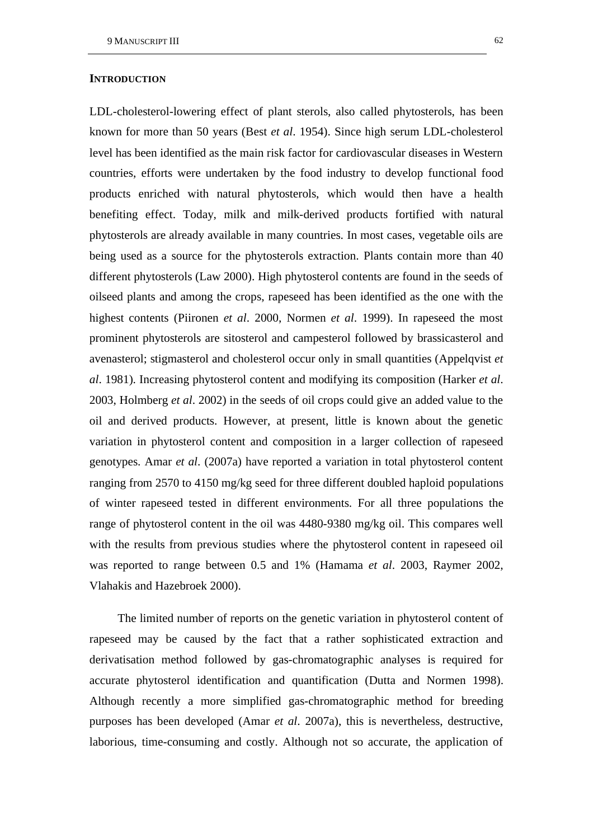LDL-cholesterol-lowering effect of plant sterols, also called phytosterols, has been known for more than 50 years (Best *et al*. 1954). Since high serum LDL-cholesterol level has been identified as the main risk factor for cardiovascular diseases in Western countries, efforts were undertaken by the food industry to develop functional food products enriched with natural phytosterols, which would then have a health benefiting effect. Today, milk and milk-derived products fortified with natural phytosterols are already available in many countries. In most cases, vegetable oils are being used as a source for the phytosterols extraction. Plants contain more than 40 different phytosterols (Law 2000). High phytosterol contents are found in the seeds of oilseed plants and among the crops, rapeseed has been identified as the one with the highest contents (Piironen *et al*. 2000, Normen *et al*. 1999). In rapeseed the most prominent phytosterols are sitosterol and campesterol followed by brassicasterol and avenasterol; stigmasterol and cholesterol occur only in small quantities (Appelqvist *et al*. 1981). Increasing phytosterol content and modifying its composition (Harker *et al*. 2003, Holmberg *et al*. 2002) in the seeds of oil crops could give an added value to the oil and derived products. However, at present, little is known about the genetic variation in phytosterol content and composition in a larger collection of rapeseed genotypes. Amar *et al*. (2007a) have reported a variation in total phytosterol content ranging from 2570 to 4150 mg/kg seed for three different doubled haploid populations of winter rapeseed tested in different environments. For all three populations the range of phytosterol content in the oil was 4480-9380 mg/kg oil. This compares well with the results from previous studies where the phytosterol content in rapeseed oil was reported to range between 0.5 and 1% (Hamama *et al*. 2003, Raymer 2002, Vlahakis and Hazebroek 2000).

The limited number of reports on the genetic variation in phytosterol content of rapeseed may be caused by the fact that a rather sophisticated extraction and derivatisation method followed by gas-chromatographic analyses is required for accurate phytosterol identification and quantification (Dutta and Normen 1998). Although recently a more simplified gas-chromatographic method for breeding purposes has been developed (Amar *et al*. 2007a), this is nevertheless, destructive, laborious, time-consuming and costly. Although not so accurate, the application of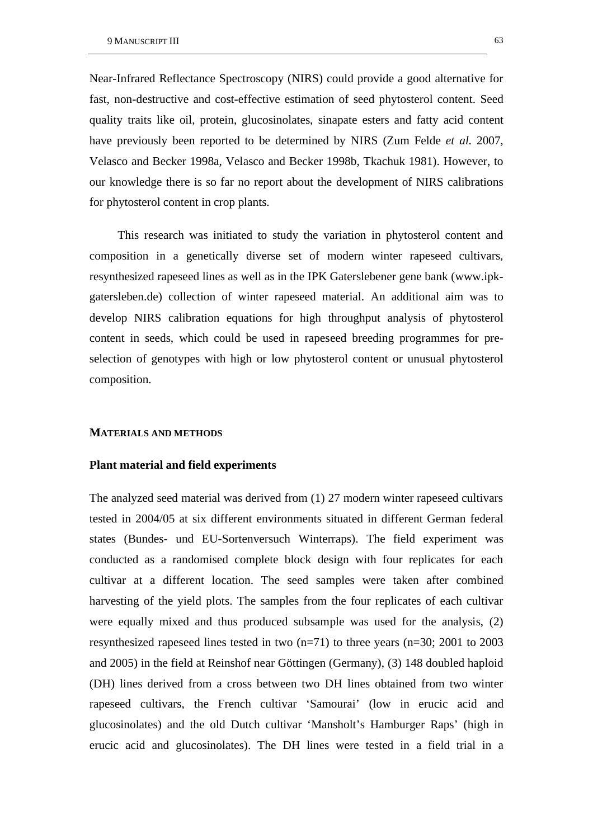Near-Infrared Reflectance Spectroscopy (NIRS) could provide a good alternative for fast, non-destructive and cost-effective estimation of seed phytosterol content. Seed quality traits like oil, protein, glucosinolates, sinapate esters and fatty acid content have previously been reported to be determined by NIRS (Zum Felde *et al*. 2007, Velasco and Becker 1998a, Velasco and Becker 1998b, Tkachuk 1981). However, to our knowledge there is so far no report about the development of NIRS calibrations for phytosterol content in crop plants.

This research was initiated to study the variation in phytosterol content and composition in a genetically diverse set of modern winter rapeseed cultivars, resynthesized rapeseed lines as well as in the IPK Gaterslebener gene bank (www.ipkgatersleben.de) collection of winter rapeseed material. An additional aim was to develop NIRS calibration equations for high throughput analysis of phytosterol content in seeds, which could be used in rapeseed breeding programmes for preselection of genotypes with high or low phytosterol content or unusual phytosterol composition.

#### **MATERIALS AND METHODS**

### **Plant material and field experiments**

The analyzed seed material was derived from (1) 27 modern winter rapeseed cultivars tested in 2004/05 at six different environments situated in different German federal states (Bundes- und EU-Sortenversuch Winterraps). The field experiment was conducted as a randomised complete block design with four replicates for each cultivar at a different location. The seed samples were taken after combined harvesting of the yield plots. The samples from the four replicates of each cultivar were equally mixed and thus produced subsample was used for the analysis, (2) resynthesized rapeseed lines tested in two (n=71) to three years (n=30; 2001 to 2003 and 2005) in the field at Reinshof near Göttingen (Germany), (3) 148 doubled haploid (DH) lines derived from a cross between two DH lines obtained from two winter rapeseed cultivars, the French cultivar 'Samourai' (low in erucic acid and glucosinolates) and the old Dutch cultivar 'Mansholt's Hamburger Raps' (high in erucic acid and glucosinolates). The DH lines were tested in a field trial in a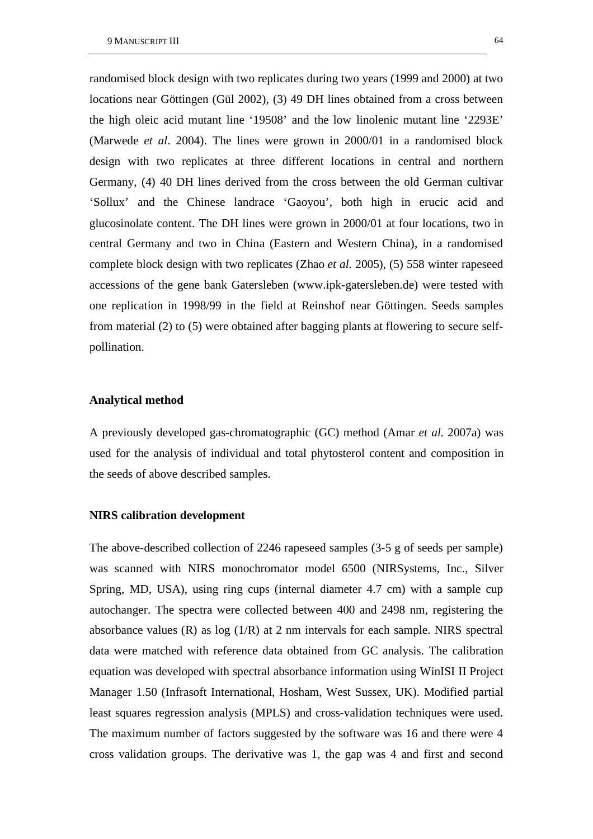randomised block design with two replicates during two years (1999 and 2000) at two locations near Göttingen (Gül 2002), (3) 49 DH lines obtained from a cross between the high oleic acid mutant line '19508' and the low linolenic mutant line '2293E' (Marwede *et al*. 2004). The lines were grown in 2000/01 in a randomised block design with two replicates at three different locations in central and northern Germany, (4) 40 DH lines derived from the cross between the old German cultivar 'Sollux' and the Chinese landrace 'Gaoyou', both high in erucic acid and glucosinolate content. The DH lines were grown in 2000/01 at four locations, two in central Germany and two in China (Eastern and Western China), in a randomised complete block design with two replicates (Zhao *et al.* 2005), (5) 558 winter rapeseed accessions of the gene bank Gatersleben (www.ipk-gatersleben.de) were tested with one replication in 1998/99 in the field at Reinshof near Göttingen. Seeds samples from material (2) to (5) were obtained after bagging plants at flowering to secure selfpollination.

#### **Analytical method**

A previously developed gas-chromatographic (GC) method (Amar *et al*. 2007a) was used for the analysis of individual and total phytosterol content and composition in the seeds of above described samples.

#### **NIRS calibration development**

The above-described collection of 2246 rapeseed samples (3-5 g of seeds per sample) was scanned with NIRS monochromator model 6500 (NIRSystems, Inc., Silver Spring, MD, USA), using ring cups (internal diameter 4.7 cm) with a sample cup autochanger. The spectra were collected between 400 and 2498 nm, registering the absorbance values (R) as log (1/R) at 2 nm intervals for each sample. NIRS spectral data were matched with reference data obtained from GC analysis. The calibration equation was developed with spectral absorbance information using WinISI II Project Manager 1.50 (Infrasoft International, Hosham, West Sussex, UK). Modified partial least squares regression analysis (MPLS) and cross-validation techniques were used. The maximum number of factors suggested by the software was 16 and there were 4 cross validation groups. The derivative was 1, the gap was 4 and first and second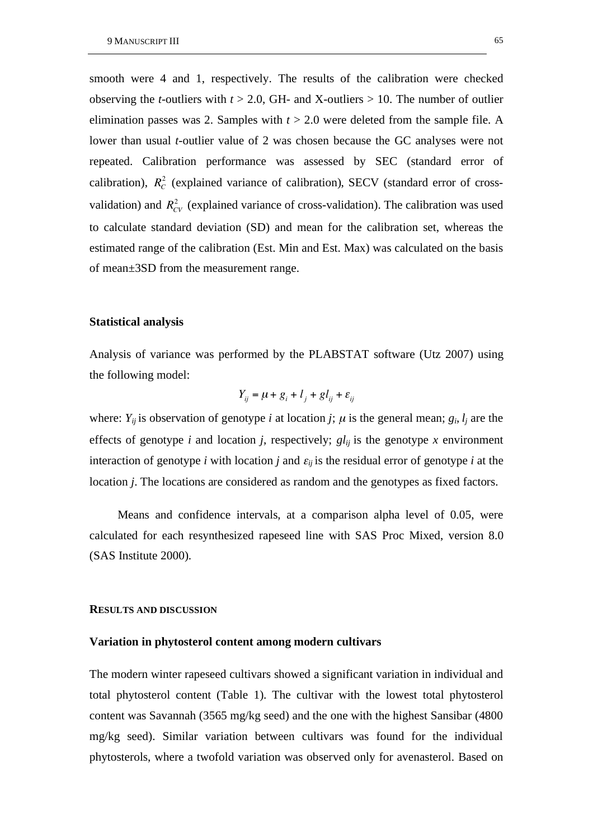smooth were 4 and 1, respectively. The results of the calibration were checked observing the *t*-outliers with *t* > 2.0, GH- and X-outliers > 10. The number of outlier elimination passes was 2. Samples with *t* > 2.0 were deleted from the sample file. A lower than usual *t*-outlier value of 2 was chosen because the GC analyses were not repeated. Calibration performance was assessed by SEC (standard error of calibration),  $R_C^2$  (explained variance of calibration), SECV (standard error of crossvalidation) and  $R_{CV}^2$  (explained variance of cross-validation). The calibration was used to calculate standard deviation (SD) and mean for the calibration set, whereas the estimated range of the calibration (Est. Min and Est. Max) was calculated on the basis of mean±3SD from the measurement range.

## **Statistical analysis**

Analysis of variance was performed by the PLABSTAT software (Utz 2007) using the following model:

$$
Y_{ij} = \mu + g_i + l_j + gl_{ij} + \varepsilon_{ij}
$$

where:  $Y_{ij}$  is observation of genotype *i* at location *j*;  $\mu$  is the general mean;  $g_i$ ,  $l_j$  are the effects of genotype *i* and location *j*, respectively;  $gl_{ij}$  is the genotype *x* environment interaction of genotype *i* with location *j* and  $\varepsilon_{ij}$  is the residual error of genotype *i* at the location *j*. The locations are considered as random and the genotypes as fixed factors.

Means and confidence intervals, at a comparison alpha level of 0.05, were calculated for each resynthesized rapeseed line with SAS Proc Mixed, version 8.0 (SAS Institute 2000).

#### **RESULTS AND DISCUSSION**

#### **Variation in phytosterol content among modern cultivars**

The modern winter rapeseed cultivars showed a significant variation in individual and total phytosterol content (Table 1). The cultivar with the lowest total phytosterol content was Savannah (3565 mg/kg seed) and the one with the highest Sansibar (4800 mg/kg seed). Similar variation between cultivars was found for the individual phytosterols, where a twofold variation was observed only for avenasterol. Based on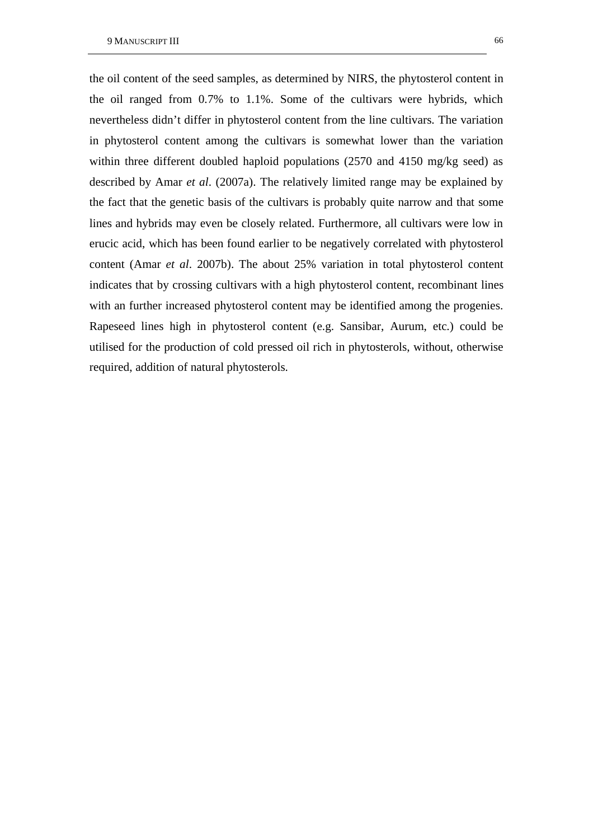the oil content of the seed samples, as determined by NIRS, the phytosterol content in the oil ranged from 0.7% to 1.1%. Some of the cultivars were hybrids, which nevertheless didn't differ in phytosterol content from the line cultivars. The variation in phytosterol content among the cultivars is somewhat lower than the variation within three different doubled haploid populations (2570 and 4150 mg/kg seed) as described by Amar *et al*. (2007a). The relatively limited range may be explained by the fact that the genetic basis of the cultivars is probably quite narrow and that some lines and hybrids may even be closely related. Furthermore, all cultivars were low in erucic acid, which has been found earlier to be negatively correlated with phytosterol content (Amar *et al*. 2007b). The about 25% variation in total phytosterol content indicates that by crossing cultivars with a high phytosterol content, recombinant lines with an further increased phytosterol content may be identified among the progenies. Rapeseed lines high in phytosterol content (e.g. Sansibar, Aurum, etc.) could be utilised for the production of cold pressed oil rich in phytosterols, without, otherwise required, addition of natural phytosterols.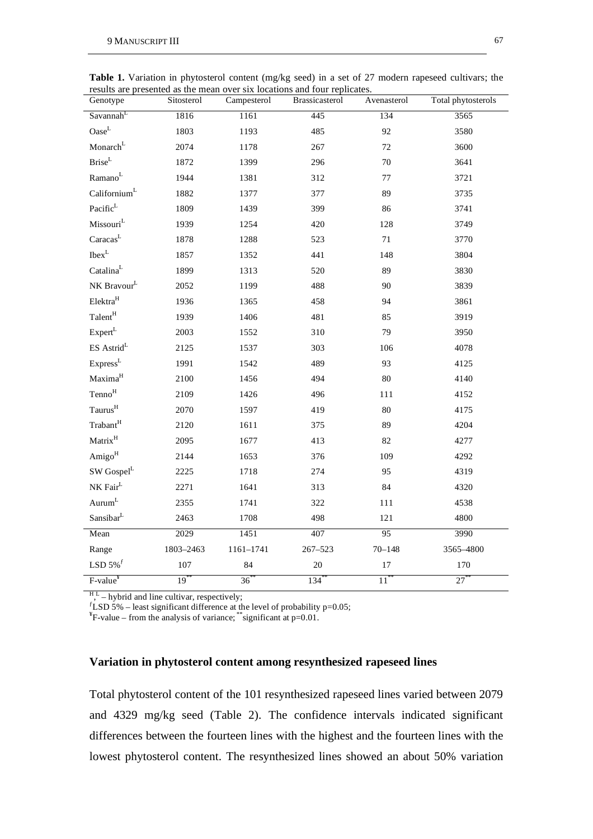| Genotype                                              | Sitosterol | Campesterol | Brassicasterol | Avenasterol       | Total phytosterols |
|-------------------------------------------------------|------------|-------------|----------------|-------------------|--------------------|
| Savannah <sup>L</sup>                                 | 1816       | 1161        | 445            | 134               | 3565               |
| $\mathrm{Oase}^{\mathrm{L}}$                          | 1803       | 1193        | 485            | 92                | 3580               |
| Monarch <sup>L</sup>                                  | 2074       | 1178        | 267            | 72                | 3600               |
| $\mathbf{Brise}^\mathbf{L}$                           | 1872       | 1399        | 296            | $70\,$            | 3641               |
| $\mathrm{Ramano}^\mathrm{L}$                          | 1944       | 1381        | 312            | $77\,$            | 3721               |
| Californium <sup>L</sup>                              | 1882       | 1377        | 377            | 89                | 3735               |
| Pacific $^L$                                          | 1809       | 1439        | 399            | 86                | 3741               |
| $\mathbf{M}$ issouri $^{\rm L}$                       | 1939       | 1254        | 420            | 128               | 3749               |
| $\text{Carcas}^{\text{L}}$                            | 1878       | 1288        | 523            | 71                | 3770               |
| $\mathrm{I}\mathrm{b}\mathrm{e}\mathrm{x}^\mathrm{L}$ | 1857       | 1352        | 441            | 148               | 3804               |
| $\mathrm{Catalina}^\mathrm{L}$                        | 1899       | 1313        | 520            | 89                | 3830               |
| NK Bravour <sup>L</sup>                               | 2052       | 1199        | 488            | 90                | 3839               |
| ${\rm Elektra}^{\rm H}$                               | 1936       | 1365        | 458            | 94                | 3861               |
| Talent <sup>H</sup>                                   | 1939       | 1406        | 481            | 85                | 3919               |
| Expert <sup>L</sup>                                   | 2003       | 1552        | 310            | 79                | 3950               |
| $\mathrm{ES}\ \mathrm{Astrid}^{\mathrm{L}}$           | 2125       | 1537        | 303            | 106               | 4078               |
| Express <sup>L</sup>                                  | 1991       | 1542        | 489            | 93                | 4125               |
| Maxima <sup>H</sup>                                   | 2100       | 1456        | 494            | 80                | 4140               |
| $\mathrm{Tenno}^{\mathrm{H}}$                         | 2109       | 1426        | 496            | 111               | 4152               |
| Taurus <sup>H</sup>                                   | 2070       | 1597        | 419            | 80                | 4175               |
| Trabant <sup>H</sup>                                  | 2120       | 1611        | 375            | 89                | 4204               |
| $\mathbf{Matrix}^{\mathrm{H}}$                        | 2095       | 1677        | 413            | 82                | 4277               |
| Amigo <sup>H</sup>                                    | 2144       | 1653        | 376            | 109               | 4292               |
| SW Gospel <sup>L</sup>                                | 2225       | 1718        | 274            | 95                | 4319               |
| $\rm N K \, \rm Fair^L$                               | 2271       | 1641        | 313            | 84                | 4320               |
| $\mathrm{Aurum}^\mathrm{L}$                           | 2355       | 1741        | 322            | 111               | 4538               |
| $\mathrm{Sansibar}^{\mathrm{L}}$                      | 2463       | 1708        | 498            | 121               | 4800               |
| Mean                                                  | 2029       | 1451        | 407            | 95                | 3990               |
| Range                                                 | 1803-2463  | 1161-1741   | $267 - 523$    | $70 - 148$        | 3565-4800          |
| LSD $5\%$ <sup>f</sup>                                | 107        | 84          | $20\,$         | $17\,$            | 170                |
| F-value <sup>¥</sup>                                  | $19***$    | $36^{*}$    | $134$ **       | $11$ <sup>*</sup> | $27$ **            |

**Table 1.** Variation in phytosterol content (mg/kg seed) in a set of 27 modern rapeseed cultivars; the results are presented as the mean over six locations and four replicates.

 $H,L$  – hybrid and line cultivar, respectively;

 $f$ LSD 5% – least significant difference at the level of probability p=0.05;

 $E^*$ F-value – from the analysis of variance; \*\*significant at p=0.01.

## **Variation in phytosterol content among resynthesized rapeseed lines**

Total phytosterol content of the 101 resynthesized rapeseed lines varied between 2079 and 4329 mg/kg seed (Table 2). The confidence intervals indicated significant differences between the fourteen lines with the highest and the fourteen lines with the lowest phytosterol content. The resynthesized lines showed an about 50% variation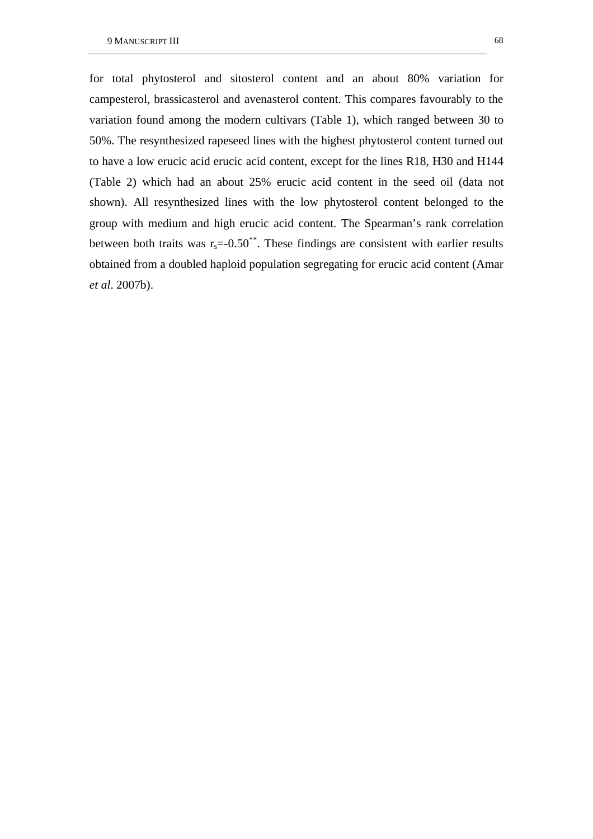for total phytosterol and sitosterol content and an about 80% variation for campesterol, brassicasterol and avenasterol content. This compares favourably to the variation found among the modern cultivars (Table 1), which ranged between 30 to 50%. The resynthesized rapeseed lines with the highest phytosterol content turned out to have a low erucic acid erucic acid content, except for the lines R18, H30 and H144 (Table 2) which had an about 25% erucic acid content in the seed oil (data not shown). All resynthesized lines with the low phytosterol content belonged to the group with medium and high erucic acid content. The Spearman's rank correlation between both traits was  $r_s = 0.50^{**}$ . These findings are consistent with earlier results obtained from a doubled haploid population segregating for erucic acid content (Amar *et al*. 2007b).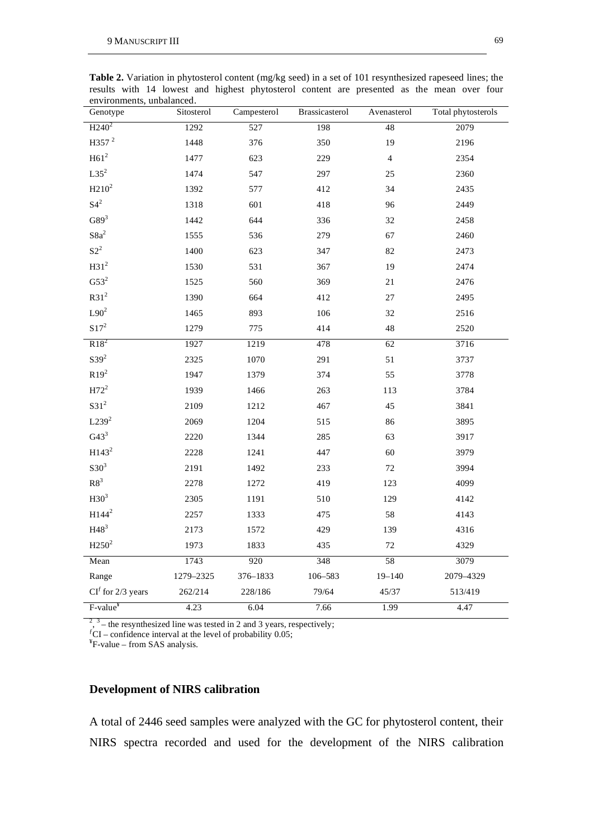| environments, unbalanced.<br>Genotype | Sitosterol | Campesterol      | Brassicasterol | Avenasterol     | Total phytosterols |
|---------------------------------------|------------|------------------|----------------|-----------------|--------------------|
| $\overline{H240^2}$                   | 1292       | $\overline{527}$ | 198            | $\overline{48}$ | 2079               |
| H357 <sup>2</sup>                     | 1448       | 376              | 350            | 19              | 2196               |
| $H61^2$                               | 1477       | 623              | 229            | $\overline{4}$  | 2354               |
| $L35^2$                               | 1474       | 547              | 297            | 25              | 2360               |
| $H210^2$                              | 1392       | 577              | 412            | 34              | 2435               |
| $S4^2$                                | 1318       | 601              | 418            | 96              | 2449               |
| G89 <sup>3</sup>                      | 1442       | 644              | 336            | 32              | 2458               |
| $S8a^2$                               | 1555       | 536              | 279            | 67              | 2460               |
| $S2^2$                                | 1400       | 623              | 347            | 82              | 2473               |
| H31 <sup>2</sup>                      | 1530       | 531              | 367            | 19              | 2474               |
| $G53^2$                               | 1525       | 560              | 369            | 21              | 2476               |
| R31 <sup>2</sup>                      | 1390       | 664              | 412            | $27\,$          | 2495               |
| $L90^2$                               | 1465       | 893              | 106            | 32              | 2516               |
| $S17^2$                               | 1279       | 775              | 414            | 48              | 2520               |
| $R18^2$                               | 1927       | 1219             | 478            | 62              | 3716               |
| S39 <sup>2</sup>                      | 2325       | 1070             | 291            | 51              | 3737               |
| $R19^2$                               | 1947       | 1379             | 374            | 55              | 3778               |
| $H72^2$                               | 1939       | 1466             | 263            | 113             | 3784               |
| $S31^2$                               | 2109       | 1212             | 467            | 45              | 3841               |
| L239 <sup>2</sup>                     | 2069       | 1204             | 515            | 86              | 3895               |
| G43 <sup>3</sup>                      | 2220       | 1344             | 285            | 63              | 3917               |
| H143 <sup>2</sup>                     | 2228       | 1241             | 447            | 60              | 3979               |
| $S30^3$                               | 2191       | 1492             | 233            | 72              | 3994               |
| ${\rm R8}^3$                          | 2278       | 1272             | 419            | 123             | 4099               |
| H30 <sup>3</sup>                      | 2305       | 1191             | 510            | 129             | 4142               |
| $H144^2$                              | 2257       | 1333             | 475            | 58              | 4143               |
| H48 <sup>3</sup>                      | 2173       | 1572             | 429            | 139             | 4316               |
| $H250^2$                              | 1973       | 1833             | 435            | $72\,$          | 4329               |
| Mean                                  | 1743       | 920              | 348            | 58              | 3079               |
| Range                                 | 1279-2325  | 376-1833         | 106-583        | $19 - 140$      | 2079-4329          |
| $CIf$ for 2/3 years                   | 262/214    | 228/186          | 79/64          | 45/37           | 513/419            |
| F-value <sup>¥</sup>                  | 4.23       | 6.04             | 7.66           | 1.99            | 4.47               |

**Table 2.** Variation in phytosterol content (mg/kg seed) in a set of 101 resynthesized rapeseed lines; the results with 14 lowest and highest phytosterol content are presented as the mean over four environments, unbalanced.

 $2^{2}$ ,  $3$  – the resynthesized line was tested in 2 and 3 years, respectively;

 ${}^f$ CI – confidence interval at the level of probability 0.05;

 $E^*$ F-value – from SAS analysis.

## **Development of NIRS calibration**

A total of 2446 seed samples were analyzed with the GC for phytosterol content, their NIRS spectra recorded and used for the development of the NIRS calibration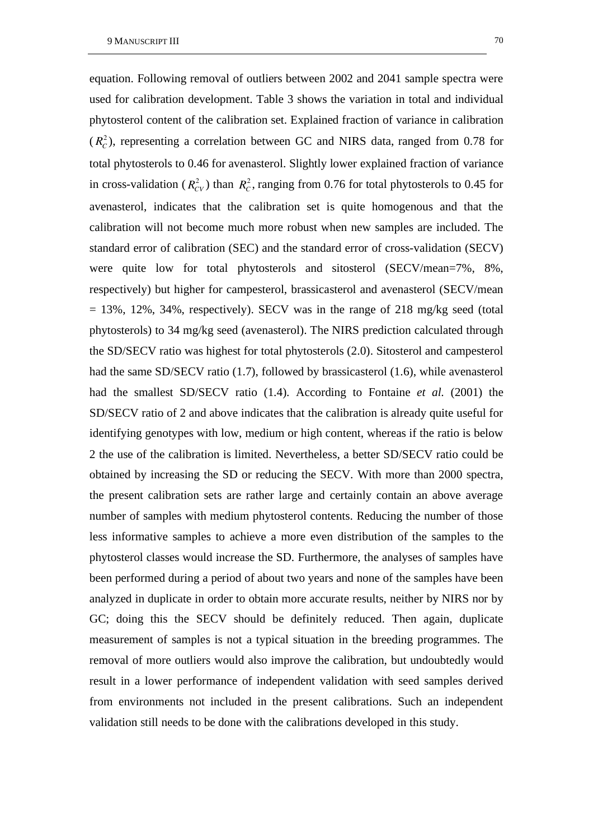equation. Following removal of outliers between 2002 and 2041 sample spectra were used for calibration development. Table 3 shows the variation in total and individual phytosterol content of the calibration set. Explained fraction of variance in calibration  $(R<sub>C</sub><sup>2</sup>)$ , representing a correlation between GC and NIRS data, ranged from 0.78 for total phytosterols to 0.46 for avenasterol. Slightly lower explained fraction of variance in cross-validation ( $R_{CV}^2$ ) than  $R_C^2$ , ranging from 0.76 for total phytosterols to 0.45 for avenasterol, indicates that the calibration set is quite homogenous and that the calibration will not become much more robust when new samples are included. The standard error of calibration (SEC) and the standard error of cross-validation (SECV) were quite low for total phytosterols and sitosterol (SECV/mean=7%, 8%, respectively) but higher for campesterol, brassicasterol and avenasterol (SECV/mean  $= 13\%$ , 12%, 34%, respectively). SECV was in the range of 218 mg/kg seed (total phytosterols) to 34 mg/kg seed (avenasterol). The NIRS prediction calculated through the SD/SECV ratio was highest for total phytosterols (2.0). Sitosterol and campesterol had the same SD/SECV ratio (1.7), followed by brassicasterol (1.6), while avenasterol had the smallest SD/SECV ratio (1.4). According to Fontaine *et al*. (2001) the SD/SECV ratio of 2 and above indicates that the calibration is already quite useful for identifying genotypes with low, medium or high content, whereas if the ratio is below 2 the use of the calibration is limited. Nevertheless, a better SD/SECV ratio could be obtained by increasing the SD or reducing the SECV. With more than 2000 spectra, the present calibration sets are rather large and certainly contain an above average number of samples with medium phytosterol contents. Reducing the number of those less informative samples to achieve a more even distribution of the samples to the phytosterol classes would increase the SD. Furthermore, the analyses of samples have been performed during a period of about two years and none of the samples have been analyzed in duplicate in order to obtain more accurate results, neither by NIRS nor by GC; doing this the SECV should be definitely reduced. Then again, duplicate measurement of samples is not a typical situation in the breeding programmes. The removal of more outliers would also improve the calibration, but undoubtedly would result in a lower performance of independent validation with seed samples derived from environments not included in the present calibrations. Such an independent validation still needs to be done with the calibrations developed in this study.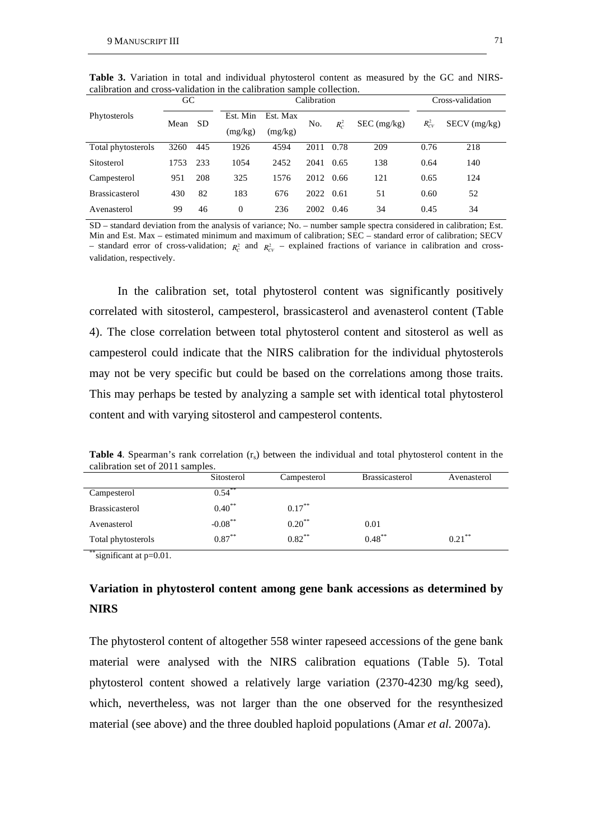| canoration and cross-vandation in the canoration sample conection. |      |           |                     |                     |      |         |             |            |                  |  |  |
|--------------------------------------------------------------------|------|-----------|---------------------|---------------------|------|---------|-------------|------------|------------------|--|--|
|                                                                    | GC   |           |                     | Calibration         |      |         |             |            | Cross-validation |  |  |
| Phytosterols                                                       | Mean | <b>SD</b> | Est. Min<br>(mg/kg) | Est. Max<br>(mg/kg) | No.  | $R_c^2$ | SEC (mg/kg) | $R_{CV}^2$ | $SECV$ (mg/kg)   |  |  |
| Total phytosterols                                                 | 3260 | 445       | 1926                | 4594                | 2011 | 0.78    | 209         | 0.76       | 218              |  |  |
| Sitosterol                                                         | 1753 | 233       | 1054                | 2452                | 2041 | 0.65    | 138         | 0.64       | 140              |  |  |
| Campesterol                                                        | 951  | 208       | 325                 | 1576                | 2012 | 0.66    | 121         | 0.65       | 124              |  |  |
| <b>Brassicasterol</b>                                              | 430  | 82        | 183                 | 676                 | 2022 | 0.61    | 51          | 0.60       | 52               |  |  |
| Avenasterol                                                        | 99   | 46        | $\Omega$            | 236                 | 2002 | 0.46    | 34          | 0.45       | 34               |  |  |

**Table 3.** Variation in total and individual phytosterol content as measured by the GC and NIRScalibration and cross-validation in the calibration sample collection.

SD – standard deviation from the analysis of variance; No. – number sample spectra considered in calibration; Est. Min and Est. Max – estimated minimum and maximum of calibration; SEC – standard error of calibration; SECV - standard error of cross-validation;  $R_c^2$  and  $R_{CV}^2$  – explained fractions of variance in calibration and crossvalidation, respectively.

In the calibration set, total phytosterol content was significantly positively correlated with sitosterol, campesterol, brassicasterol and avenasterol content (Table 4). The close correlation between total phytosterol content and sitosterol as well as campesterol could indicate that the NIRS calibration for the individual phytosterols may not be very specific but could be based on the correlations among those traits. This may perhaps be tested by analyzing a sample set with identical total phytosterol content and with varying sitosterol and campesterol contents.

| calibration set of 2011 samples. |             |             |                       |                      |  |  |  |  |
|----------------------------------|-------------|-------------|-----------------------|----------------------|--|--|--|--|
|                                  | Sitosterol  | Campesterol | <b>Brassicasterol</b> | Avenasterol          |  |  |  |  |
| Campesterol                      | $0.54***$   |             |                       |                      |  |  |  |  |
| <b>Brassicasterol</b>            | $0.40^{**}$ | $0.17***$   |                       |                      |  |  |  |  |
| Avenasterol                      | $-0.08$ **  | $0.20$ **   | 0.01                  |                      |  |  |  |  |
| Total phytosterols               | $0.87***$   | $0.82***$   | $0.48***$             | $0.21$ <sup>**</sup> |  |  |  |  |

**Table 4.** Spearman's rank correlation  $(r_s)$  between the individual and total phytosterol content in the calibration set of 2011 samples.

significant at  $p=0.01$ .

# **Variation in phytosterol content among gene bank accessions as determined by NIRS**

The phytosterol content of altogether 558 winter rapeseed accessions of the gene bank material were analysed with the NIRS calibration equations (Table 5). Total phytosterol content showed a relatively large variation (2370-4230 mg/kg seed), which, nevertheless, was not larger than the one observed for the resynthesized material (see above) and the three doubled haploid populations (Amar *et al*. 2007a).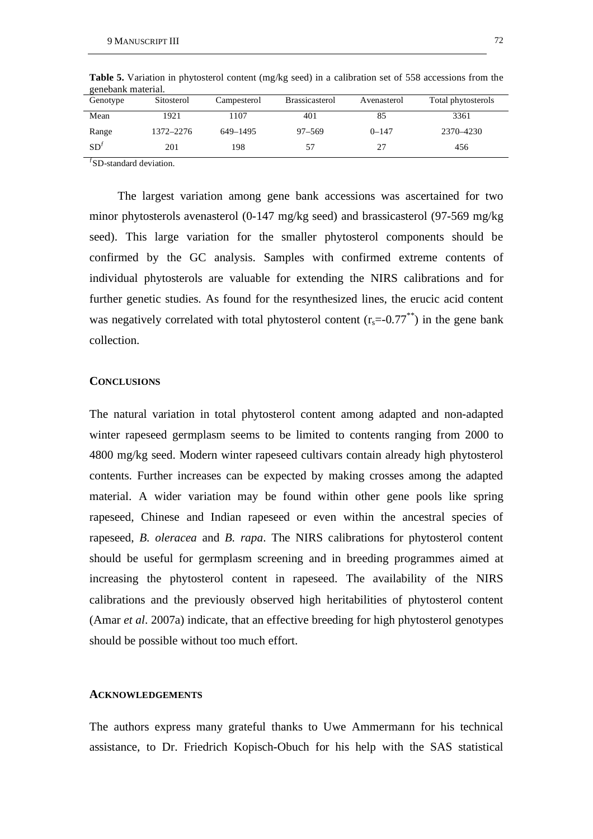| Genotype        | Sitosterol | Campesterol | <b>Brassicasterol</b> | Avenasterol | Total phytosterols |  |
|-----------------|------------|-------------|-----------------------|-------------|--------------------|--|
| Mean            | 1921       | 1107        | 401                   | 85          | 3361               |  |
| Range           | 1372-2276  | 649–1495    | $97 - 569$            | $0 - 147$   | 2370-4230          |  |
| SD <sup>j</sup> | 201        | 198         | 57                    | 27          | 456                |  |

**Table 5.** Variation in phytosterol content (mg/kg seed) in a calibration set of 558 accessions from the genebank material.

 $fSD$ -standard deviation.

The largest variation among gene bank accessions was ascertained for two minor phytosterols avenasterol (0-147 mg/kg seed) and brassicasterol (97-569 mg/kg seed). This large variation for the smaller phytosterol components should be confirmed by the GC analysis. Samples with confirmed extreme contents of individual phytosterols are valuable for extending the NIRS calibrations and for further genetic studies. As found for the resynthesized lines, the erucic acid content was negatively correlated with total phytosterol content  $(r_s=0.77^{**})$  in the gene bank collection.

#### **CONCLUSIONS**

The natural variation in total phytosterol content among adapted and non-adapted winter rapeseed germplasm seems to be limited to contents ranging from 2000 to 4800 mg/kg seed. Modern winter rapeseed cultivars contain already high phytosterol contents. Further increases can be expected by making crosses among the adapted material. A wider variation may be found within other gene pools like spring rapeseed, Chinese and Indian rapeseed or even within the ancestral species of rapeseed, *B. oleracea* and *B. rapa*. The NIRS calibrations for phytosterol content should be useful for germplasm screening and in breeding programmes aimed at increasing the phytosterol content in rapeseed. The availability of the NIRS calibrations and the previously observed high heritabilities of phytosterol content (Amar *et al*. 2007a) indicate, that an effective breeding for high phytosterol genotypes should be possible without too much effort.

### **ACKNOWLEDGEMENTS**

The authors express many grateful thanks to Uwe Ammermann for his technical assistance, to Dr. Friedrich Kopisch-Obuch for his help with the SAS statistical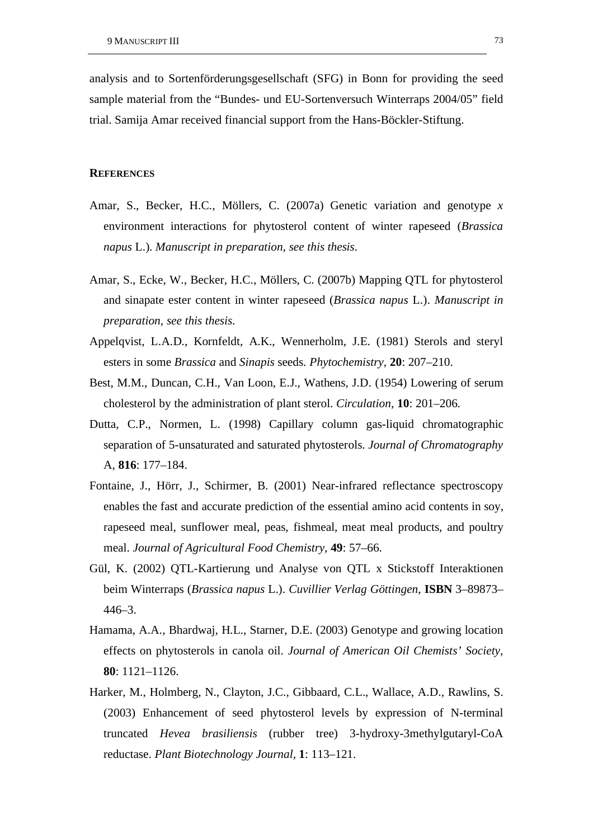analysis and to Sortenförderungsgesellschaft (SFG) in Bonn for providing the seed sample material from the "Bundes- und EU-Sortenversuch Winterraps 2004/05" field trial. Samija Amar received financial support from the Hans-Böckler-Stiftung.

#### **REFERENCES**

- Amar, S., Becker, H.C., Möllers, C. (2007a) Genetic variation and genotype *x* environment interactions for phytosterol content of winter rapeseed (*Brassica napus* L.). *Manuscript in preparation, see this thesis*.
- Amar, S., Ecke, W., Becker, H.C., Möllers, C. (2007b) Mapping QTL for phytosterol and sinapate ester content in winter rapeseed (*Brassica napus* L.). *Manuscript in preparation, see this thesis*.
- Appelqvist, L.A.D., Kornfeldt, A.K., Wennerholm, J.E. (1981) Sterols and steryl esters in some *Brassica* and *Sinapis* seeds. *Phytochemistry*, **20**: 207–210.
- Best, M.M., Duncan, C.H., Van Loon, E.J., Wathens, J.D. (1954) Lowering of serum cholesterol by the administration of plant sterol. *Circulation*, **10**: 201–206.
- Dutta, C.P., Normen, L. (1998) Capillary column gas-liquid chromatographic separation of 5-unsaturated and saturated phytosterols. *Journal of Chromatography*  A, **816**: 177–184.
- Fontaine, J., Hörr, J., Schirmer, B. (2001) Near-infrared reflectance spectroscopy enables the fast and accurate prediction of the essential amino acid contents in soy, rapeseed meal, sunflower meal, peas, fishmeal, meat meal products, and poultry meal. *Journal of Agricultural Food Chemistry*, **49**: 57–66.
- Gül, K. (2002) QTL-Kartierung und Analyse von QTL x Stickstoff Interaktionen beim Winterraps (*Brassica napus* L.). *Cuvillier Verlag Göttingen*, **ISBN** 3–89873– 446–3.
- Hamama, A.A., Bhardwaj, H.L., Starner, D.E. (2003) Genotype and growing location effects on phytosterols in canola oil. *Journal of American Oil Chemists' Society*, **80**: 1121–1126.
- Harker, M., Holmberg, N., Clayton, J.C., Gibbaard, C.L., Wallace, A.D., Rawlins, S. (2003) Enhancement of seed phytosterol levels by expression of N-terminal truncated *Hevea brasiliensis* (rubber tree) 3-hydroxy-3methylgutaryl-CoA reductase. *Plant Biotechnology Journal*, **1**: 113–121.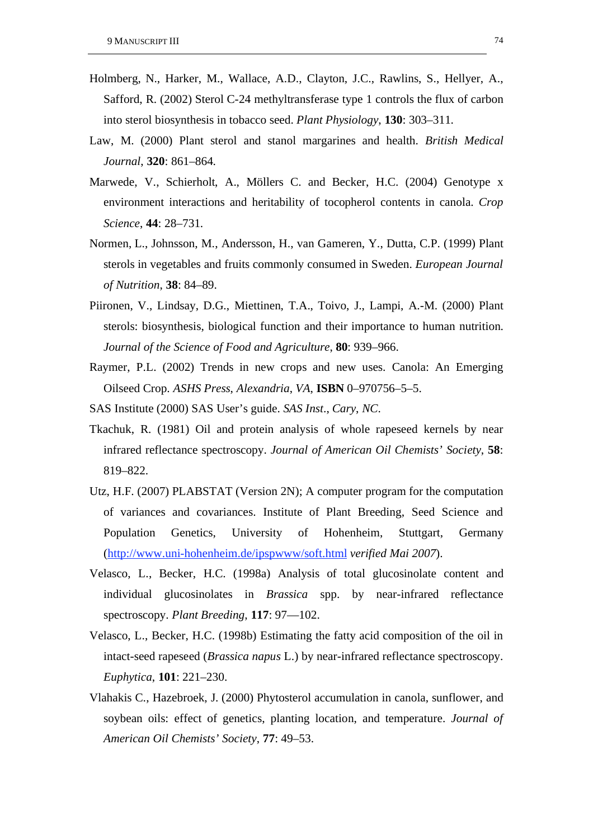- Holmberg, N., Harker, M., Wallace, A.D., Clayton, J.C., Rawlins, S., Hellyer, A., Safford, R. (2002) Sterol C-24 methyltransferase type 1 controls the flux of carbon into sterol biosynthesis in tobacco seed. *Plant Physiology*, **130**: 303–311.
- Law, M. (2000) Plant sterol and stanol margarines and health. *British Medical Journal*, **320**: 861–864.
- Marwede, V., Schierholt, A., Möllers C. and Becker, H.C. (2004) Genotype x environment interactions and heritability of tocopherol contents in canola. *Crop Science*, **44**: 28–731.
- Normen, L., Johnsson, M., Andersson, H., van Gameren, Y., Dutta, C.P. (1999) Plant sterols in vegetables and fruits commonly consumed in Sweden. *European Journal of Nutrition*, **38**: 84–89.
- Piironen, V., Lindsay, D.G., Miettinen, T.A., Toivo, J., Lampi, A.-M. (2000) Plant sterols: biosynthesis, biological function and their importance to human nutrition. *Journal of the Science of Food and Agriculture*, **80**: 939–966.
- Raymer, P.L. (2002) Trends in new crops and new uses. Canola: An Emerging Oilseed Crop. *ASHS Press*, *Alexandria*, *VA*, **ISBN** 0–970756–5–5.
- SAS Institute (2000) SAS User's guide. *SAS Inst*., *Cary*, *NC*.
- Tkachuk, R. (1981) Oil and protein analysis of whole rapeseed kernels by near infrared reflectance spectroscopy. *Journal of American Oil Chemists' Society*, **58**: 819–822.
- Utz, H.F. (2007) PLABSTAT (Version 2N); A computer program for the computation of variances and covariances. Institute of Plant Breeding, Seed Science and Population Genetics, University of Hohenheim, Stuttgart, Germany (http://www.uni-hohenheim.de/ipspwww/soft.html *verified Mai 2007*).
- Velasco, L., Becker, H.C. (1998a) Analysis of total glucosinolate content and individual glucosinolates in *Brassica* spp. by near-infrared reflectance spectroscopy. *Plant Breeding*, **117**: 97—102.
- Velasco, L., Becker, H.C. (1998b) Estimating the fatty acid composition of the oil in intact-seed rapeseed (*Brassica napus* L.) by near-infrared reflectance spectroscopy. *Euphytica*, **101**: 221–230.
- Vlahakis C., Hazebroek, J. (2000) Phytosterol accumulation in canola, sunflower, and soybean oils: effect of genetics, planting location, and temperature. *Journal of American Oil Chemists' Society*, **77**: 49–53.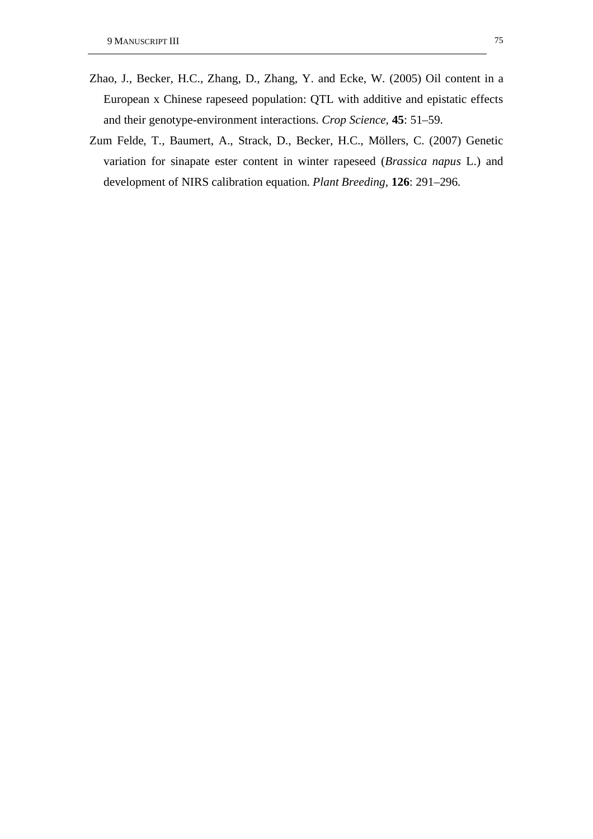- Zhao, J., Becker, H.C., Zhang, D., Zhang, Y. and Ecke, W. (2005) Oil content in a European x Chinese rapeseed population: QTL with additive and epistatic effects and their genotype-environment interactions. *Crop Science*, **45**: 51–59.
- Zum Felde, T., Baumert, A., Strack, D., Becker, H.C., Möllers, C. (2007) Genetic variation for sinapate ester content in winter rapeseed (*Brassica napus* L.) and development of NIRS calibration equation. *Plant Breeding*, **126**: 291–296.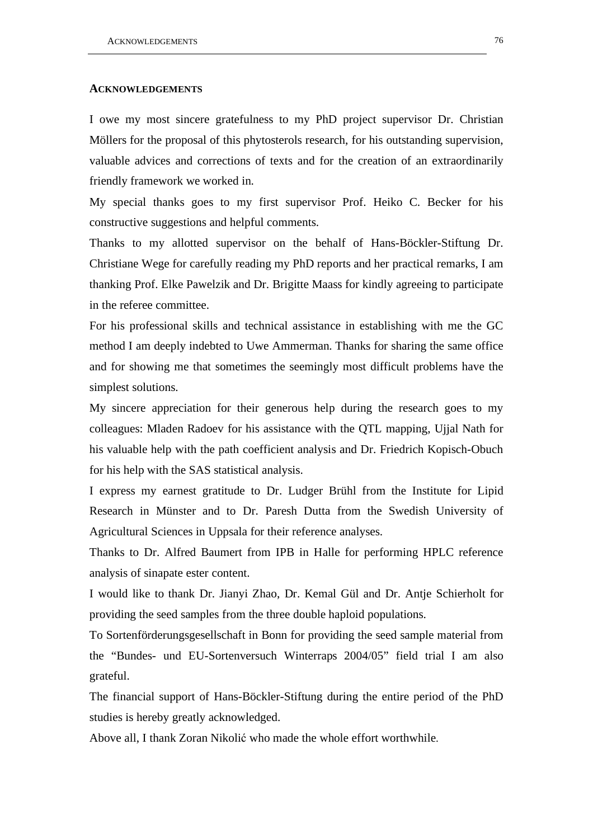#### **ACKNOWLEDGEMENTS**

I owe my most sincere gratefulness to my PhD project supervisor Dr. Christian Möllers for the proposal of this phytosterols research, for his outstanding supervision, valuable advices and corrections of texts and for the creation of an extraordinarily friendly framework we worked in.

My special thanks goes to my first supervisor Prof. Heiko C. Becker for his constructive suggestions and helpful comments.

Thanks to my allotted supervisor on the behalf of Hans-Böckler-Stiftung Dr. Christiane Wege for carefully reading my PhD reports and her practical remarks, I am thanking Prof. Elke Pawelzik and Dr. Brigitte Maass for kindly agreeing to participate in the referee committee.

For his professional skills and technical assistance in establishing with me the GC method I am deeply indebted to Uwe Ammerman. Thanks for sharing the same office and for showing me that sometimes the seemingly most difficult problems have the simplest solutions.

My sincere appreciation for their generous help during the research goes to my colleagues: Mladen Radoev for his assistance with the QTL mapping, Ujjal Nath for his valuable help with the path coefficient analysis and Dr. Friedrich Kopisch-Obuch for his help with the SAS statistical analysis.

I express my earnest gratitude to Dr. Ludger Brühl from the Institute for Lipid Research in Münster and to Dr. Paresh Dutta from the Swedish University of Agricultural Sciences in Uppsala for their reference analyses.

Thanks to Dr. Alfred Baumert from IPB in Halle for performing HPLC reference analysis of sinapate ester content.

I would like to thank Dr. Jianyi Zhao, Dr. Kemal Gül and Dr. Antje Schierholt for providing the seed samples from the three double haploid populations.

To Sortenförderungsgesellschaft in Bonn for providing the seed sample material from the "Bundes- und EU-Sortenversuch Winterraps 2004/05" field trial I am also grateful.

The financial support of Hans-Böckler-Stiftung during the entire period of the PhD studies is hereby greatly acknowledged.

Above all, I thank Zoran Nikolić who made the whole effort worthwhile.